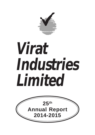# **Virat Industries Limited**

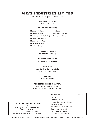# **VIRAT INDUSTRIES LIMITED**

25th Annual Report 2014-2015

#### **CHAIRMAN EMERITUS**

**Mr. Naozer J. Aga**

#### **BOARD OF DIRECTORS**

**Mr. Arun S. Sanghi** Chairman **Mr. Adi F. Madan** Managing Director **Mrs. Ayesha K. DadyBurjor** Whole-time Director **Mr. Ajit P. Walwaikar Mr. Armand N. Aga Mr. Harish H. Shah Mr. Vinay Sanghi**

**PRESIDENT (WORKS) Mr. Nirmal G. Awtaney**

**COMPANY SECRETARY Mr. Asinkhan S. Baholu**

**AUDITORS M/s. Deloitte Haskins & Sells**

Chartered Accountants

#### **BANKERS**

#### **Bank of Baroda**

#### **REGISTERED OFFICE & FACTORY**

A-1/2, GIDC Industrial Estate, Kabilpore, Navsari - 396 424, Gujarat.

**25TH ANNUAL GENERAL MEETING** on Thursday, the 3rd September, 2015 at 11.30 a.m. at A-1/2, GIDC Industrial Estate, Kabilpore, Navsari - 396 424, Gujarat.

| <b>CONTENTS</b>                                   | Page No. |
|---------------------------------------------------|----------|
| <b>Notice</b>                                     |          |
| Directors' Report                                 | 11       |
| Independent Auditors' Report                      | 37       |
| <b>Balance Sheet</b>                              | 40       |
| Statement of Profit and Loss                      | 41       |
| Cash Flow Statement                               | 42       |
| Notes forming part of<br>the Financial Statements | 43       |

**REQUEST :** Shareholders are requested to bring their copy of Annual Report to the Meeting.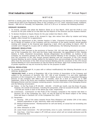#### **N O T I C E**

NOTICE is hereby given that the Twenty-Fifth Annual General Meeting of the Members of Virat Industries Limited will be held at the Registered Office of the Company at A-1/2, GIDC Industrial Estate, Kabilpore, Navsari - 396 424 on Thursday, 3rd September, 2015 at 11.30 a.m. to transact the following business:

#### **ORDINARY BUSINESS:**

- 1. To receive, consider and adopt the Balance Sheet as at 31st March, 2015 and the Profit & Loss Account for the year ended as on that date and the Reports of the Directors and the Auditors thereon.
- 2. To declare Dividend on Equity Shares for the year ended 31st March, 2015.
- 3. To appoint a Director in place of Mr. Armand N. Aga, who retires from office by rotation and being eligible, offers himself for re-appointment.
- 4. To affirm the appointment of M/s. Deloitte Haskins & Sells, Chartered Accountants, Baroda (Regn. No.117364W) as Auditors of the Company until the conclusion of the twenty seventh annual general meeting with respect to the financial year beginning 1 April, 2015 and ending 31 March, 2017. To consider and if thought fit, to pass with or without modification(s), the following Resolution as under:

#### **ORDINARY RESOLUTION:**

"RESOLVED THAT pursuant to the provisions of Section 139, 142 and other applicable provisions, if any, of the Companies Act, 2013 and the Rules made thereunder, the appointment of M/s. Deloitte Haskins & Sells, Chartered Accountants, Baroda (Registration No.117364W), as Auditors of the Company, by resolution passed at the 24th Annual General Meeting of the Company, to hold office from the conclusion of the 24th Annual General Meeting until the conclusion of the 27th Annual General Meeting, be and is hereby ratified for the balance term and accordingly they continue to hold office from the conclusion of the 25th Annual General Meeting until the conclusion of the 27th Annual General Meeting on such remuneration as may be fixed by the Board, apart from reimbursement of out of pocket expenses as may be incurred by them for the purpose of audit."

#### **SPECIAL RESOLUTION:**

5. To consider and if thought fit, to pass with or without modification(s) the following Resolution as an SPECIAL BUSINESS:

**"RESOLVED THAT,** in terms of Regulation 166 of the Articles of Association of the Company and subject to the provisions of Sections 196, 197, 198 of and Schedule V to and other applicable provisions of the Companies Act, 2013, Shri Adi F. Madan be and is hereby re-appointed Managing Director of the Company with effect from 1st October, 2015 for a term of 3 years up to 30th September, 2018 on the terms and conditions mentioned in the Agreement entered into between the Managing Director and the Company containing powers, functions and duties of the Managing Director and the following remuneration:

- (a) Salary In the Pay Scale of  $\overline{\zeta}$  155,000 165,000 175,000 per month, over the three (3) years. However, the overall remuneration, including the perquisites, shall not exceed  $\overline{\tau}$  315,000 - 350,000 - 375,000 per month in each of the above pay scale, respectively.
- (b) Commission Commission on Net Profit of the Company computed in the manner laid down in Sections 197 of the Companies Act, 2013, as may be fixed by the Board subject to the ceiling limits laid down in Sections 197 of the Companies Act, 2013.
- (c) Perquisites :
	- (1) Housing 35% of the salary towards House Rent Allowance and another 20% of the salary towards expenditure on gas, electricity, water and furnishing etc.
	- (2) Medical Reimbursement Reimbursement for self and family, on actual but not exceeding one month's salary
	- (3) Other Allowance at 10%
	- (4) Leave Travel concession For self and family, once in a year, restricted to one month's salary
	- (5) Club Fees Club Fees subject to  $\overline{z}$  2,000 per annum which will not include admission and life membership fees.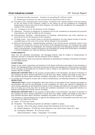- (6) Personal Accident Insurance Premium not exceeding  $\bar{\tau}$  1,000 per month.
- (7) Performance Incentives as may be fixed by the Board from time to time.
- (d) Provident Fund, Superannuation and Gratuity- Provident Fund, Superannuation Fund and gratuity as per the Rules of the Company, subject to the ceiling as per the guidelines for managerial remuneration in force from time to time. However, this shall not be included for the computation of ceiling on the remuneration.
- (e) Car Company's Car for the business of the Company.
- (f) Telephone Provision of telephone at residence will not be considered as perquisite but personal long distance call shall be billed by the Company.
- (g) Entertainment / Traveling Reimbursement of travelling, entertainment and other expenses as incurred by him for the business of the Company.
- (h) Privilege Leave One month's leave on full pay and allowance, for every eleven months of service, unavailed leave at the end of the tenure will be allowed to be encashed.
- (i) Minimum Remuneration Notwithstanding anything to the contrary herein contained, where in any financial year during the currency of the tenure of the Managing Director, the Company has made no profits or its profits are inadequate, the Company shall pay to the Managing Director, the above salary and perquisites, except commission not exceeding the ceiling limits prescribed in Scheduler V of the Companies Act, 2013 as Minimum Remuneration.

#### **OTHER BENEFITS**

Apart from the aforesaid remuneration, the Managing Director shall be entitled to reimbursement of expenses incurred in connection with the business of the Company.

The Managing Director shall not be paid any sitting fees for attending the meetings of the Board of Directors or Committees thereof.

#### **OTHER TERMS**

Subject to the control, supervision and directions of the Board of Directors and subject to the provisions of the Act, the Managing Director shall have the general conduct and management of the business and affairs of the Company as illustrated but not limited to what is stated in the Agreement between the Managing Director and the Company.

**RESOLVED FURTHER THAT** for the purpose of giving effect to this Resolution, the Board of Directors of the Company be and is hereby authorized to do all such acts, deeds, matters and things as they may in their absolute discretion deem necessary, expedient and proper in the best interests of the Company."

6 To consider and if thought fit, to pass with or without modification(s), the following Resolution as a **SPECIAL RESOLUTION:**

**"RESOLVED THAT** in terms of Regulation 166 of the Articles of Association of the Company and subject to the provisions 196 and 197 and Schedule V of the Companies Act, 2013, Mrs. Ayesha K. DadyBurjor, be and is hereby appointed as the Whole-time Director of the Company with effect from 1st August, 2014 for a term of 3 years up to 31st July, 2017 on terms and conditions mentioned in the Agreement entered in to between the Whole-time Director and the Company.

**RESOLVED FURTHER THAT** for the purpose of giving effect to this Resolution, the Board of Directors of the Company be and is hereby authorized to do all such acts, deeds, matters and things as they may in their absolute discretion deem necessary, expedient and proper in the best interest of the Company."

The Company in General Meeting has to approve the following terms of remuneration and other terms and conditions to the Whole-time Director:

- (a) Salary  $\overline{z}$  76,315 per month
- (b) Perquisites The following perquisites are allowed in addition to salary.
	- (1) Housing 35% of the salary towards House Rent Allowance  $\overline{\xi}$  26,710 per month
	- (2) Medical Allowance  $\bar{\xi}$  6,356 per month (Maximum one month's basic salary for a year)
	- (3) Conveyance Allowance  $\overline{z}$  21,619 per month

(Total Emoluments = Salary + Perquisites =  $\overline{\xi}$  131,000)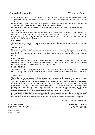# *25<sup>th</sup> Annual Report* 25<sup>th</sup> **Annual Report**

- (c) Gratuity Gratuity as per the provisions of the Gratuity Act as applicable to all other employees of the Company, subject to the ceiling as per the guidelines for Managerial Remuneration in force from time to time.
- (d) In the event of loss or inadequacy of profits in any financial year, the Whole-time Director shall be paid remuneration by way of salary and perquisites as specified above.
- (e) She will not be entitled to Provident Fund and any other benefit like Leave Travel Allowance, etc.

#### **OTHER BENEFITS**

Apart from the aforesaid remuneration, the Whole-time Director shall be entitled to reimbursement of expenses incurred in connection with the business of the Company. The Whole-time Director shall not be paid any sitting fees for attending meetings of the Board of Directors or Committees thereof so long as she continues as the Whole-time Director.

#### **NOT EXCLUSIVE**

The Directors are at liberty from time to time to appoint any other person or persons to be Whole-time Directors jointly with the Whole-time Director.

#### **TERMINATION**

Either party shall be entitled to terminate the Agreement by giving three months' notice in writing to the other party without assigning any reason and on expiry of period of such notice the Agreement shall stand terminated. The Company shall be entitled to give three months' salary and perquisites in lieu of the notice period.

#### **COMPENSATION**

If, at any time the office of the Whole-time Director is determined before the expiry of her term of office, the Whole-time Director shall be entitled to be compensated for loss of office in accordance with and subject to the restrictions laid down in Section 191 of the Companies Act, 2013.

#### **NON-ROTATIONAL**

The Whole-time Director shall not so long as she continues to hold office as Whole-time Director be liable to retire by rotation and she shall not be reckoned as Director for the purpose of determining the rotation for retirement of Directors.

#### **ARBITRATION**

That in the event of any dispute or difference at any time hereafter arising between the Company on one hand and the Whole-time Director on the other hand with reference to any of the provisions of this Agreement, matters or things herein contained, or any matters or things arising therefrom or thereabout, such dispute or difference shall be referred to two arbitrators one to be chosen by each party to the dispute or difference or in case of difference between Arbitrators, to an Umpire to be chosen by the Arbitrators before entering upon the matters referred to them and this Agreement shall be deemed to be a submission to the Arbitration of two Arbitrators within the meaning of the Arbitration and Conciliation Act, 1996 or any statutory amendment. Modification and re-enactment thereof, as the case may be.

**RESOLVED FURTHER THAT** for the purpose of giving effect to this Resolution, the Board of Directors of the Company be and is hereby authorized to do all such acts, deeds, matters and things as they may in their absolute discretion deem necessary, expedient and proper in the best interests of the Company."

By Order of the Board of Directors

A-1/2, GIDC Industrial Estate,  $\overline{C}$  A-1/2, GIDC Industrial Estate, Kabilpore, Navsari - 396 424, Gujarat. Membership No.: FCS 703

Place : Mumbai. Date : 29**th** May, 2015.

**REGISTERED OFFICE: ASINKHAN S. BAHOLU**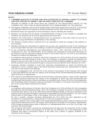#### **NOTES :**

A. **A MEMBER ENTITLED TO ATTEND AND VOTE IS ENTITLED TO APPOINT A PROXY TO ATTEND AND VOTE INSTEAD OF HIMSELF AND THE PROXY NEED NOT BE A MEMBER.**

PROXIES IN ORDER TO BE VALID MUST BE LODGED AT THE REGISTERED OFFICE OF THE COMPANY NOT LESS THAN 48 HOURS BEFORE THE COMMENCEMENT OF THE MEETING.

- B. The Register of Members and the Share Transfer Books shall remain closed from27-08-2015 to 03-09-2015 (including both dates) for the purpose of dividend entitlement and the 25th Annual General Meeting.
- C. Members/Proxies are requested to fill the Attendance Slip for attending the meeting.
- D. Members are informed that the facility of dematerialization of shares of the Company is available and members are advised to go for that by approaching concerned DPs.
- E. Members who hold shares in dematerialized form are requested to bring their Client ID and DP ID numbers for easy identification of attendance at the meeting.
- F. The Members holding shares in physical form are requested to notify any change in their address to the Company.
- G. Members desiring any information as regards the Accounts are requested to write to the Company at least 10 days before the date of the meeting to enable the management to keep the information ready.
- H. As per Companies (Management and Administration) Rules, 2014 read with Chapter VII of the Companies Act, 2013, the Shareholders of the Company are requested to furnish their information as per Annexure and are required to submit the same to Link Intime India Pvt. Ltd. RTA of Virat industries Limited on or before 3rd September, 2015.
- I. In compliance with provisions of Section 108 of the Companies Act, 2013 and Rule 20 of the Companies (Management and Administration) Rules, 2014, the Company is pleased to provide the Members the facility to exercise their right to vote at the 25th Annual General Meeting (AGM) by electronic means and the business may be transacted through e-voting services provided by CDSL Ventures Ltd. (CVL)
- J. Corporate members intending to send their authorized representatives to attend the Meeting are requested to send a certified copy of the Board Resolution authorizing their representative to attend and vote on their behalf at the Meeting.
- K. In terms of Regulations 139, 140 and 141 of the Articles of Association of the Company, Shri Armand N. Aga (DIN 00022401) will retire by rotation at the ensuing Annual General Meeting and being eligible offers himself for re-appointment.
- L. Brief resume of all Independent Directors and the Director retiring by rotation, nature of their expertise in specific functional areas and the names of the Companies in which they hold directorships and membership/Chairmanship of Board committees as stipulated under Clause 49 of the Listing Agreement with the Bombay Stock Exchange Limited are provided in the Report on Corporate Governance forming part of the Annual Report along with this Notice.

#### M **E-voting**

In compliance with provisions of Section 108 of the Companies Act, 2013 and Rule 20 of the Companies (Management and Administration) Rules, 2014, the Company is pleased to provide its members facility to exercise their right to vote at the 25th Annual General Meeting (AGM) on the items mentioned in the notice by electronic means through e-voting Services provided by Link Intime India Pvt. Ltd. The e-voting shall be open on 29th August, 2015 to 31st August, 2015 from 9.00 AM to 5.00 PM.

Mr. Atul J. Gandhi, Company Secretary (Membership No: FCS 1632) has been appointed as the Scrutinizer for conducting the e-voting process in a fair and transparent manner.

E-voting is optional. The e-voting rights of the shareholders/beneficiary owners shall be reckoned on the equity shares held by them as on 27th August, 2015 being the Cut-off date for the purpose. Shareholders of the Company holding shares either in physical or in dematerialized form, as on the Cut-off date, may cast their vote electronically.

The Scrutinizer shall within a period not exceeding three (3) days from the conclusion of the e-voting period unblock the votes in the presence of at least two (2) witnesses not in the employment of the Company and make a Scrutinizer's Report of the votes cast in favour or against, forthwith to the Chairman of the Company.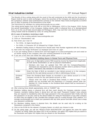# *25<sup>th</sup> Annual Report* 25<sup>th</sup> **Annual Report**

The Results of the e-voting along with the result of the poll conducted at the AGM and the Scrutinizer's Report shall be sent to stock exchanges, where the securities of the Company are listed and placed on the Company's website www.viratindustries.comand on the website https://www.evotingindia.co.inwithin two (2) days of passing of the Resolutions at the AGM.

The instructions for members for voting electronically are as under:-

The voting period begins from 9.00 AM to 6.00 PM on 29thAugust, 2015 to 31st August, 2015. During this period shareholders' of the Company, holding shares either in physical form or in dematerialized form, as on the cut-off date (record date) on27thAugust, 2015, may cast their vote electronically. The evoting module shall be disabled by CDSL for voting thereafter.

#### **(A) In case of members receiving e-mail:**

- i) Log on to the e-voting website www.evotingindia.com
- ii) Click on "Shareholders" tab.
- iii) Now Enter your User ID
	- For CDSL: 16 digits beneficiary ID,
	- For NSDL: 8 Character DP ID followed by 8 Digits Client ID,
	- Members holding shares in Physical Form should enter Folio Number registered with the Company.
- iv) Next enter the Image Verification as displayed and Click on Login.
- v) If you are holding shares in demat form and had logged on to www.evotingindia.com and voted on an earlier voting of any company, then your existing password is to be used.
- vi) If you are a first time user follow the steps given below:

|                  | For Members holding shares in Demat Form and Physical Form                                                                                                                                                                                                           |
|------------------|----------------------------------------------------------------------------------------------------------------------------------------------------------------------------------------------------------------------------------------------------------------------|
| PAN <sup>*</sup> | Enter your 10 digit alpha-numeric PAN issued by Income Tax Department (Applicable<br>for both demat shareholders as well as physical shareholders)                                                                                                                   |
|                  | Members who have not updated their PAN with the Company/Depository<br>$\bullet$<br>Participant are requested to use the sequence number which is printed on Postal<br>Ballot / Attendance Slip indicated in the PAN Field.                                           |
| DOB#             | Enter the Date of Birth as recorded in your demat account or in the company<br>records for the said demat account or folio in dd/mm/yyyy format.                                                                                                                     |
| Dividend<br>Bank | Enter the Dividend Bank Details as recorded in your demat account or in the<br>company records for the said demat account or folio.                                                                                                                                  |
| Details#         | Please enter the DOB or Dividend Bank Details in order to login. If the<br>$\bullet$<br>details are not recorded with the Depository or Company please enter the<br>Member ID / Folio Number in the Dividend Bank details field as mentioned in<br>instruction (iv). |

- vii) After entering these details appropriately, click on "SUBMIT" tab.
- viii) Members holding shares in physical form will then reach directly the Company selection screen. However, members holding shares in demat form will now reach 'Password Creation' menu wherein they are required to mandatorily enter their login password in the new password field. Kindly note that this password is to be also used by the demat holders for voting for Resolutions of any other company on which they are eligible to vote, provided that company opts for e-voting through CDSL platform. It is strongly recommended not to share your password with any other person and take utmost care to keep your password confidential.
- ix) For Members holding shares in physical form, the details can be used only for e-voting on the Resolutions contained in this Notice.
- x) Click on the EVSN for the relevant <Company Name> on which you choose to vote.
- xi) On the voting page, you will see "RESOLUTION DESCRIPTION" and against the same the option "YES/NO" for voting. Select the option YES or NO as desired. The option YES implies that you assent to the Resolution and option NO implies that you dissent to the Resolution.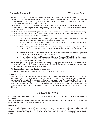- xii) Click on the "RESOLUTIONS FILE LINK" if you wish to view the entire Resolution details.
- xiii) After selecting the Resolution you have decided to vote on, click on "SUBMIT". A confirmation box will be displayed. If you wish to confirm your vote, click on "OK", else to change your vote, click on "CANCEL" and accordingly modify your vote.
- xiv) Once you "CONFIRM" your vote on the Resolution, you will not be allowed to modify your vote.
- xv) You can also take out print of the voting done by you by clicking on "Click here to print" option on the Voting page.
- xvi) If Demat account holder has forgotten the changed password then Enter the User ID and the image verification code and click on Forgot Password and enter the details as prompted by the system.
- xvii) Note for Non Individual Shareholders and Custodians
	- o Non-Individual shareholders (i.e. other than Individuals, HUF, NRI etc.) are required to log on to www.evotingindia.com and register themselves as Corporates.
	- o A scanned copy of the Registration Form bearing the stamp and sign of the entity should be emailed to helpdesk.evoting@cdslindia.com.
	- o After receiving the login details they have to create a Compliance user using the admin login and password. The Compliance user would be able to link the account(s) for which they wish to vote on.
	- o The list of accounts should be mailed to helpdesk.evoting@cdslindia.com and on approval of the accounts they would be able to cast their vote.
	- o A scanned copy of the Board Resolution and Power of Attorney (POA) which they have issued in favour of the Custodian, if any, should be uploaded in PDF format in the system for the scrutinizer to verify the same.
- xviii) In case you have any queries or issues regarding e-voting, you may refer to the Frequently Asked Questions ("FAQs") and e-voting manual available at www.evotingindia.com under help section or write an email to helpdesk.evoting@cdslindia.com.

#### **(B) In case of members receiving the physical copy:**

Please follow all steps from sl. no. (i) to sl. no. (xvi) above to cast vote.

#### N. **Poll at the Meeting**

After all the items of the notice have been discussed, the Chairman will order poll in respect of all the items. Poll will be conducted and supervised under the Scrutinizer appointed for e-voting as stated above. After conclusion of the poll, the Chairman may declare the meeting as closed. The results of the poll aggregated with the results of e-voting will be announced by the Company on its website: www.viratindustries.com within two days from the date of AGM of the Company and on the website of CDSL and also informed to the stock exchanges where the securities of the Company are listed within two (2) days of the Annual General Meeting.

## **ANNEXURE TO NOTICE**

#### **EXPLANATORY STATEMENT AS REQUIRED PURSUANT TO SECTION 102(1) OF THE COMPANIES ACT, 2013**

The following Explanatory Statement sets out all material facts relating to the SPECIAL BUSINESS mentioned under Item No. 3 and 4 accompanying the Notice.

#### **Item No. 5:**

Mr. Adi F. Madan (58) (B.Com, LL.B.) is the Managing Director of the Company. He is sought to be appointed as Director of the Company out of the quota of 1/3rd of the Directors who are not subject to retirement by rotation within the meaning of Sec. 152 of the Companies Act, 2013 till he is Managing Director of the Company.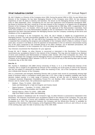# *25<sup>th</sup> Annual Report* 25<sup>th</sup> **Annual Report**

Mr. Adi F. Madan is a Director of the Company since 1994. During the period 1994 to 2004, he was Whole-time Director of the Company. He has been Managing Director of the Company since 2004. He has extensive experience of over 30 years in industry and business. His tenure as the Managing Director of the Company ends on 30th September, 2015. Considering his rich and vast experience and exceptional managerial skills, the Board of Directors felt that it would be in the best interest of the Company to re-appoint him as Managing Director of the Company. The Board of Directors, in its meeting held on 29th May, 2015, re-appointed him as Managing Director w.e.f. 1st October, 2015 and as per the approval of the Remuneration Committee, fixed terms and conditions as to the Remuneration payable to him as mentioned in the Item No. 5 Resolution. An agreement has been executed between the Managing Director and the Company containing all the terms and conditions of his re-appointment.

In terms of Schedule V to the Companies Act, 2013, Mr. Adi F. Madan is eligible for re-appointment as Managing Director. The total remuneration payable to Mr. Adi F. Madan shall not exceed 5% of the net profits, calculated in terms of Sec. 196, 197 and 198 of the Companies Act, 2013, during any of the financial years. It is expected that considering the progress and profitability of the Company which is likely to continue in future years also, occasion is not likely to arise for payment of remuneration to him as minimum remuneration during any of the years comprised in the renewed period of his office. However, out of abundant precautions, the provisions of Schedule V to the Companies Act, 2013 are being also adhered to.

Your Directors recommend the Resolution for your approval.

Except Mr. Adi F. Madan, no other Director is concerned or interested in this Resolution. The Directors recommend your acceptance thereof in the interest of the Company. This may also be treated as an Abstract of terms and conditions and Memorandum of Interest under Section 190 of the Companies Act, 2013. The Agreement between the Company and the Managing Director is available for inspection of the members of the Company, at the Registered Office, between 11:00 a.m. and 1:00 p.m.on any of the working days upto the date of previous day of the 25th AGM.

#### **Item No. 6:**

Mrs. Ayesha K. DadyBurjor (44) (BBA (Hons) University of Texas, U. S. A. is the Whole-time Director of the Company. She is sought to be appointed as Director of the Company out of the quota of 1/3rd of the Directors who are not subject to retirement by rotation within the meaning of Sec. 152 of the Companies Act, 2013 till she is Whole-time Director of the Company.

She is a charismatic and energetic Marketing Director with a proven track record of consistently winning high levels of business within a competitive market place like U.S.A. She is able to establish credibility with senior decision makers quickly, in a wide range of business contexts, all with the aim of helping to grow the Company's business Shapoorjee Chandabhoy Finvest Pvt. Ltd. Mumbai. 2004, onwards Executive Director/ Director and its market share. Her professional experience is as under:

- Wolford Plano, TX (USA) : 2002-2004 Sales and Marketing for a high-end lingerie and hosiery brand
- Sigma Systems Carrollton, TX (USA) : 2000-2002 Managed Accounts Receivables and Collections
- Neiman Marcus- Plano TX (USA) : 1995-1998 High End Retail Couture Sales and Marketing

Except Mrs. Ayesha K. DadyBurjor and Mr. Armand N. Aga, no other Director is concerned or interested in this Resolution. The Directors recommend your acceptance thereof in the interest of the Company. This may also be treated as an Abstract of terms and conditions and Memorandum of Interest under Section 190 of the Companies Act, 2013. The Agreement between the Company and the Whole-time Director is available for inspection of the members of the Company, at the Registered Office, between 11:00 a.m. and 1:00 p.m. on any of the working days upto the date of previous day of the 25th AGM.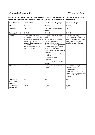## **DETAILS OF DIRECTORS BEING APPOINTED/RE-APPOINTED AT THE ANNUAL GENERAL MEETING [IN PURSUANCE OF CLAUSE 49(IV)(G)(1)] OF THE LISTING AGREEMENT :**

| <b>Name of Director</b>                                                               | Mr. Adi F. Madan                                                                                                                                                                                                                                                            | Mrs. Ayesha K. DadyBurjor                                                                                                                                                                                                                                                                                                                                                                                                                                             | Mr. Armand N. Aga                                                                                                                                                                                                    |
|---------------------------------------------------------------------------------------|-----------------------------------------------------------------------------------------------------------------------------------------------------------------------------------------------------------------------------------------------------------------------------|-----------------------------------------------------------------------------------------------------------------------------------------------------------------------------------------------------------------------------------------------------------------------------------------------------------------------------------------------------------------------------------------------------------------------------------------------------------------------|----------------------------------------------------------------------------------------------------------------------------------------------------------------------------------------------------------------------|
| Age                                                                                   | 58 years                                                                                                                                                                                                                                                                    | 44 years                                                                                                                                                                                                                                                                                                                                                                                                                                                              | 46 years                                                                                                                                                                                                             |
| Qualification                                                                         | B. Com., LL.B.                                                                                                                                                                                                                                                              | BBA (Hons) in Management and<br>Marketing                                                                                                                                                                                                                                                                                                                                                                                                                             | B. Com.                                                                                                                                                                                                              |
| Date of Appointment                                                                   | 24-05-1994                                                                                                                                                                                                                                                                  | 01-09-2014                                                                                                                                                                                                                                                                                                                                                                                                                                                            | 28-05-2010                                                                                                                                                                                                           |
| <b>Expertise</b>                                                                      | He is a Director of the Company<br>since 1994. During the period 1994<br>to 2004, he was Whole-time Director<br>of the Company. He has been<br>Managing Director of the Company<br>since 2004. He has extensive<br>experience of over 30 years in<br>industry and business. | Her professional experience is as<br>under:<br>Shapoorjee Chandabhoy Finvest<br>Pvt Ltd. - 2004, onwards,<br><b>Executive Director/Director</b><br>Wolford - Plano, TX (USA) 2002-2004<br>Sales and Marketing for a high-end<br>lingerie and hosiery brand<br>Sigma Systems, Carrollton, TX (USA) :<br>2000-2002<br>Managed Accounts Receivables and<br>Collections<br>Neiman Marcus - Plano, TX (USA)<br>1995-1998<br>High End Retail Couture Sales and<br>Marketing | CEO of Armayesh Group of<br>Companies engaged in Consultancy,<br>Finance, Investment, manufacturing<br>and exporting of high fashion<br>embroidery to large and reputed<br><b>Fashion Houses</b>                     |
| <b>Other Directorships</b><br>Chairmanship/<br>Membership of the<br><b>Committees</b> | None<br>None                                                                                                                                                                                                                                                                | Shapoorjee Chandabhoy Finvest<br>Pvt. Ltd.<br>None                                                                                                                                                                                                                                                                                                                                                                                                                    | • Armayesh Consultancy &<br>Agencies Pvt. Ltd.<br>• Armayesh Fashion Pvt. Ltd.<br>• Armayesh Embroidery Pvt. Ltd.<br>· Janas Finance & Investment Pvt. Ltd.<br>• Shapoorjee Chanda bhoy Finvest<br>Pvt. Ltd.<br>None |
| Shareholding in<br>the Company                                                        | 118,406                                                                                                                                                                                                                                                                     | 17,536                                                                                                                                                                                                                                                                                                                                                                                                                                                                | 34,989                                                                                                                                                                                                               |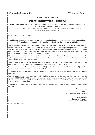*25<sup>th</sup> Annual Report* 25<sup>th</sup> **Annual Report** 

# **ANNEXURE TO NOTE H Virat Industries Limited**

(**Regd. Office Address:** A – 1/2, GIDC Industrial Estate, Kabilpore, Navsari - 396 424, Gujarat, India) **CIN: L29199GJ1990PLC014514**

Tel No: +912637 - 265011/22 Fax: +912637 - 265712 Email: factory@viratindustries.com Website: www.viratindustries.com

Dear Members of the Company,

#### **Subject: Registration of email Id for the communication through electronic mode & providing information as required under section 88(1) of the Companies Act, 2013.**

The new Companies Act, 2013, has been notified w.e.f. 1st April, 2014, It, inter alia, allows the Company, to communicate with its Members through electronic mode like email. As per the provisions of the said Act, the Company can now opt to send the notices of the General Meetings and Postal Ballot through the electronic mode. The members may also exercise their right to vote at any General Meeting and on Postal Ballot by electronic means i.e., through e-voting.

The communication between the members and the Company through the electronic mode will help reduce paper consumption and will help in saving the natural resources, which indirectly help you to contribute towards saving environment.

Thus, in view of the above, we request you to register your email Id's with the Company, for the purpose of receiving the future communication from the Company through electronic mode.

We also draw your attention to the Section 88(1) of the Companies Act, 2013 and Rule 3(1) of the Companies (Management and Administration) Rules, 2014.

To enable us to update your details we request you to return/provide the information as per format attached.

We also request you to register your ECS mandate to enable the Company to disburse the dividends through NECS/NEFT/RTGS to avoid misplacement of physical warrant, quick credit to your account and also save your time in depositing the cheque in your bank account. This will also help you participate in e-voting at your convenience.

Shareholders holding shares in demat segment are requested to update their details in their demat account.

> Thanking you, Yours faithfully, For **Virat Industries Limited**

**A.S. Baholu** Company Secretary Place : Mumbai, **Membership No.: FCS 703** 

Date : 29**th** May, 2015.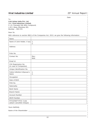Date:

#### To: **Link Intime India Pvt. Ltd.** Unit: **Virat Industries Limited,** C–13, Pannalal Silk Mills Compound, L.B.S. Marg, Bhandup (W), Mumbai – 400 078

Dear Sir,

With reference to section 88(1) of the Companies Act, 2013, we give the following information:

| Name                                            |               |
|-------------------------------------------------|---------------|
| Name of Joint Holder, if any 1.                 | 2.            |
| Address                                         |               |
| Folio No.                                       |               |
| Contact No.                                     | Res.:<br>Mob: |
| Email Id                                        |               |
| CIN Registration No.<br>(in case of Companies)  |               |
| Unique Identification No.                       |               |
| Father's/Mother's/Spouse's<br>Name              | 1.<br>2.      |
| Occupation                                      |               |
| Date of Birth                                   |               |
| PAN No.                                         |               |
| Nationality                                     |               |
| <b>Bank Name</b>                                |               |
| <b>Branch Name</b>                              |               |
| Account Number                                  |               |
| <b>MICR Number</b>                              |               |
| RTGS/NEFT/FSC Code<br>(attach cancelled cheque) |               |

Yours faithfully

Name of the Shareholder: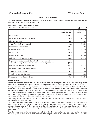# *25<sup>th</sup> Annual Report* 25<sup>th</sup> **Annual Report**

## **DIRECTORS' REPORT**

Your Directors take pleasure in presenting the 25th Annual Report together with the Audited Statement of Accounts for the year ended 31 March, 2015.

#### **FINANCIAL RESULTS AND ACCOUNTS:**

The Financial Results are as under : **(***T* in Lacs)

**Year ended** Year ended **31 March, 2015** 31 March, 2014 Gross Income **2,106.47** 2,251.20 Profit Before Interest and Depreciation **414.86** 592.25 **Finance Charges 10.69 8.70 8.70 8.70 8.70 8.70 10.69** Gross Profit before Depreciation **406.16 406.16** 581.36 Provision for Depreciation **103.98** 94.96 Net Profit Before Tax **302.18** 486.60 Provision for Tax **94.04** 158.20 Net Profit After Tax **208.14** 328.40 Balance of Profit brought forward **692.64** 500.76 Depreciation on transition to Schedule II of the Companies Act, 2013 on tangible fixed assets with nil remaining useful life **(6.23)** – Balance available for appropriation **894.55** 829.16 Proposed Dividend on Equity Shares **88.62** 88.62 Tax on proposed Dividend **18.15** 15.06 Transfer to General Reserve **20.82** 32.06 Surplus carried to Balance Sheet **766.96 766.96 692.64** 

#### **OPERATIONS:**

India's merchandise exports of US \$ 310534 million recorded in the year under review are marginally lower than US \$ 314416 million exports achieved in the previous year, registering a negative growth of 1.23%.

During the year, your Company experienced subdued demand from its major overseas clients, due to global slowdown. There was decline in the inflow of orders from European markets where your Company dispatches major quantity of its merchandise. Consequent to this, the actual dispatches in terms of pairs of socks were 12.48% lower compared to the previous year. The actual sales value of  $\bar{\tau}$  1893 lac was posted this year by your Company. However, there is a reduction of only 6.60% compared to the previous year sales, due to better product-mix achieved during the year.

The export sales constituted 91.38% of the total sales value. Domestic sales this year were 58.06% higher compared to the previous year.

Your Company could improve its product-mix by initiating efforts to reach out to some niche markets which need exclusive products and offer higher realization. The average selling price during the year was  $\bar{\zeta}$  43.57 per pair of socks against  $\overline{\xi}$  40.62 per pair of socks achieved in the previous year, recording a rise of 7.26%. The Company is focusing on improving its high margin business through innovation and change in processes.

Your Company continued to make relentless efforts to develop new markets and increase the share of sales to existing small clients in export markets. This helped improve its client-mix, and bring down the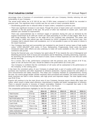percentage share of business of concentrated customers with your Company; thereby reducing risk and vulnerability of your Company.

The actual profit before tax of  $\overline{\zeta}$  302.18 lac was 37.90% lower compared to  $\overline{\zeta}$  486.60 lac recorded in previous year. This significant drop in profits was the out come of many cumulative factors.

- Decelerating growth due to reduced inflow of export orders, compared to previous year.
- There was significant increase in cost inputs. Though the prices of dyed cotton yarn recorded nominal reduction in the last quarter of the year, the prices of other raw materials ie woolen yarn, nylon and elastane yarn showed no improvement.

There was unprecedented rise in minimum wages of operators during the year as declared by the Gujarat Government by  $\overline{\zeta}$  1359 per month per head amounting to 22.56% of total wages. With 45 to 50% fringe benefits, the impact on the wage bill of the Company was substantial. The power rate increased by 3.88% and natural gas rate increased by 8.82% compared to the previous year. Your Company had to absorb these cost escalations, as it is not possible to pass on the same to clients in the export business.

• Your Company launched and successfully test marketed its own brand of various types of high quality cotton "LORD WALKER" (LW) socks, in Pune, Maharashtra. Progressively, these socks are being introduced nation wide. Efforts are also underway to make LW socks available on line, with reputed ecommerce web portals.

During the financial year, your Company has spent about  $\bar{\tau}$  70 lac towards the cost of Managerial and Marketing personnel, both in house and consultants and for Marketing, including advertising, expenses, for launching and promoting the LW brand of socks. Some of these expenses are one time and some will be recurring.

For a correct, like to like, performance comparison with the previous year, this amount of  $\bar{\tau}$  70 lac. spent on the LW launch this year, should be added to the profit before tax of this year.

Your Company is confident that the contribution of LW socks will be substantial to the performance of the Company, in the coming years.

It has been the consistent policy of your Company to plough back a part of surplus profit every year to purchase new machines and other equipment to enhance production, improve product-mix and adhere to strict environmental and safety measures. This helps your Company maintain its competitiveness. During the year, Six coarse gauge double cylinder machines were purchased and installed. The socks produced on these machines are sold in niche markets, with high prices and improved margin. The total capital outlay was  $\bar{z}$  60.79 lac.

Exports will continue to be the main thrust area of your Company, because export clients offer large size orders, which result in better plant efficiency, improvement in quality and better management of inventory. There is assured security in recovery of export receivables. However, it is expected that sales in the domestic market will play an increasingly important role, in the future.

|                            | Units               | 2014-15 | 2013-14 | 2012-13 | 2011-12 | 2010-11 |
|----------------------------|---------------------|---------|---------|---------|---------|---------|
| Total Income               | $\bar{\tau}$ in lac | 2106.47 | 2251.20 | 2120.54 | 1685.23 | 1503.39 |
| <b>Export Sale</b>         | $\bar{z}$ in lac    | 1729.78 | 1923.53 | 1838.07 | 1449.10 | 1326.49 |
| Net Profit before Tax      | $\bar{z}$ in lac    | 302.18  | 486.60  | 328.47  | 201.02  | 124.99  |
| Net Profit after Tax       | $\bar{z}$ in lac    | 208.14  | 328.40  | 221.50  | 139.20  | 86.84   |
| Cash Profit                | $\bar{z}$ in lac    | 312.11  | 423.36  | 306.18  | 218.76  | 164.11  |
| Knitting Production        | Pairs in lac        | 41.86   | 51.92   | 57.42   | 45.38   | 46.16   |
| Pairs Dispatched           | Pairs in lac        | 43.45   | 49.64   | 55.30   | 46.78   | 48.68   |
| Sales realization per pair | ₹                   | 43.57   | 40.83   | 35.36   | 32.81   | 29.14   |
| Earning Per Share          | ₹                   | 4.23    | 6.67    | 4.50    | 2.83    | 1.76    |

The comparative performance highlights for last five years are as under: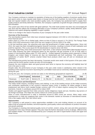# *25<sup>th</sup> Annual Report* 25<sup>th</sup> **Annual Report**

Your Company continues to maintain its reputation of being one of the leading suppliers of premium quality dress and sports socks to many reputed retail chains in Europe and the Gulf Countries. As most of the customers are high end reputed retailers who need excellent quality socks, the Company has positioned itself to supply them quality products and timely deliveries. Therefore, the Company is optimistic of growth through continued expansion and innovation.

The current year 2015-16 has started with great optimism. The order book position has been very encouraging till July 2015 and this reflects the increasing affirmation of your Company's products, quality, timely deliveries, quick response and superb designing capability in export markets.

There is no change in the nature of business of your Company for the year under review.

#### **Overview of the Economy:**

The merchandise exports from India have remained stagnant between US \$ 302 to US \$ 314 billion in the last three financial years.

India's share is a mere 2% in Global trade, where as that of China is around 11.7% (2013). The Foreign Trade Policy 2015-2020 announced in April 2015 has set a target of 3.5% by 2020-21 for India.

In the last two/three years, the exporting units were big beneficiaries of Indian rupee depreciation. Since mid 2014, the rupee has been strengthening against Several Currencies, resulting in erosion of both realisation and profit for exporters. This is one cause for the deceleration in exports since mid 2014.

In Foreign Trade Policy 2015-2020 announced in April 2015, a new scheme named MEIS (Merchandise Exports From India Scheme) has been introduced where by the exporters will get incentive of 2% of FOB value in respect of merchandise falling under ITC (HS) code 61 - Knitted Apparels (including socks) exported to United Kingdom and United States of America etc (but not Switzerland and Gulf countries). This scheme is in substitution of earlier MLFP scheme (market linked focal product) which was off and on introduced and withdrawn.

The manufacturing activity has been decreasing. Corporate results were weak in third quarter of the year under review and the fourth quarter results are also not encouraging.

However the new initiatives taken and good ground work done to improve the economy will helpfully bear full fruit in the year to come.

Despite odds, the performance of your Company in the year under review is satisfactory when viewed in the backdrop of the expense incurred in launching the Lord Walker brand and an extremely challenging environment during the year.

During the year, the Company carried out sales in the following geographical segments: (In  $\bar{z}$ )

|          | United Kingdom | <b>Switzerland</b> | <b>UAE</b> | India      | <b>Rest of the World</b> | Total       |
|----------|----------------|--------------------|------------|------------|--------------------------|-------------|
| Revenues | 76.677.240     | 58.014.174         | 31.786.244 | 16.328.233 | 6.500.135                | 189.306.026 |

#### **Industry Structure and Development**

The Indian textile industry, including hosiery and clothing, is one of the leading sectors of the Indian economy and contributes significantly to the country's industrial output (14%). It employs 35 million people in direct employment and earns much needed foreign currency with 17% of India's exports coming from Textiles and Garments. Overall, it contributes around 5% to India's GDP.

Textiles and apparel exported from India consume mainly indigenous inputs and are, therefore, big earners of net foreign exchange. This helps the country reduce its current account deficit.

Value of socks manufactured in India is estimated around  $\overline{z}$  3000 crores per annum. Many major socks manufacturers in India are supplying their socks in the domestic market as licensees of international brands. Only a few supply under their own brand name.

#### **Opportunities**

Your Company is well poised to seize opportunities available in the sock knitting industry on account of its state-of-the-art production facilities, technical expertise, good quality culture and emphasis on product innovation and growth potential.

Your Company is meeting international quality norms of comfort, stretch, sizing, skin care and other parameters essential for inner wear intimate apparel. They also meet the fashion demands in terms of design, different knits and multiple shades. The socks manufactured by your Company are sold in Supermarket Chains and upper end Retail Stores.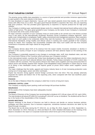The growing young middle-class population is a source of great potential and provides immense opportunities to spurt growth in the sock industry in the future.

For duty drawback on export shipments, "cap per unit" was raised upwards (more than double, say 2.25-2.50 times) with effect from 22.11.2014. This gave good financial benefit to exporters like Virat, who are exporting high price products. This has provided good opportunity to exporters to improve product-mix for high price markets.

Your Company is knitting super sophisticated design socks for a reputed international brand selling socks in big outlets at high prices. This gives great goodwill to your Company, as the name of your Company is mentioned on the band rolls of the socks of that brand.

All major overseas customers of your Company insist on social audits to be carried out in the factory at least once in two years, by the internationally acclaimed "Business Social Compliance Initiative Agencies". Such audits cover compensation to employees, health, safety, environment and management practices. New customers also insist on such audits to be conducted, before they start the business. The compliance of such audits to International Standards, brings healthy and ethical culture in working and creates goodwill of the Company among its clients. Your Company has successfully complied with many such audits and has thus ensured continuance of business with major clients for long periods.

#### **Threats:**

Your Company derives about 91% of its revenue from the export market. Economic slowdown or decline in demand in the country of buyer of your Company's products will have adverse impact on the working of the Company.

Your Company is potentially exposed to any changes in exchange rates, tariff, duty drawback rates, and also the Government Policies of the Countries which purchase your Company's product.

In the international market, countries like Turkey have developed an edge over the Indian manufacturers due to reduced freight cost and much reduced delivery time. Besides, Turkey enjoys exemption of 10.6% custom duty in relation with EU countries. This has posed a threat to the Indian socks suppliers and may pressurise them to reduce prices and thereby squeeze their margins. Even Bangladesh enjoys exemption in import duty by virtue of its being a less developed country and exports goods at prices which Indian socks suppliers cannot compete.

The major challenge that the textile, apparel and hosiery industry faces is of ever increasing production costs arising out of rising wages, power and other overheads.

Rupee has become strong against several foreign currencies from mid 2014. This has already adversely impacted the topline and bottom line of the exporting units, when compared with their last two/three years' performances.

#### **FINANCE**

As on the date of Balance Sheet the company is debt free in terms of long term loans.

#### **WORKING CAPITAL LOAN**

The Company is enjoying export packing credit and foreign bill purchase facilities.

#### **INSURANCE**

All the assets of the Company have been adequately insured.

#### **DIVIDEND**

The Board of Directors of the Company has recommended a dividend of  $\overline{z}$  1.80 per share of  $\overline{z}$  10/- each (18%). The total dividend will absorb  $\bar{\xi}$  8,862,012 excluding  $\bar{\xi}$  1,814,497 as tax on dividend. The dividend will be free of tax in the hands of the shareholders of the Company.

#### **BOARD MEETINGS**

Regular meetings of the Board of Directors are held to discuss and decide on various business policies, strategies and other business. Due to business exigencies, sometimes business decisions are taken by the Board through circulation.

The Board met six (6) times during the FY 2014-15, viz. on May 29, 2014, August 12, 2014, September 11, 2014, November 13, 2014, February 12, 2015 and March 05, 2015. Detailed information on the meeting of the Board is included in the report on Corporate Governance which forms part of this Annual Report.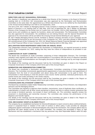# *25<sup>th</sup> Annual Report* 25<sup>th</sup> **Annual Report**

#### **DIRECTORS AND KEY MANAGERIAL PERSONNEL**

Mrs. Ayesha K. DadyBurjor was appointed as a whole time Director of the Company in the Board of Directors' meeting held on 11.09.2014. Her remuneration was also approved by the Nomination and Remuneration Committee on the same date. Her appointment as a Whole-time Director has to be ratified by the shareholders in the Annual General Meeting to be held on 3rd September, 2015.

The term of Mr. Adi F. Madan as Managing Director of the Company is expiring on 30th September, 2015. The Board of Directors in its meeting held on 29th May, 2015 has re-appointed Mr. Adi F. Madan as Managing Director of the Company for the further term of 3 years from 1st October, 2015 to 30th September, 2018 on the same terms and conditions as regards his functions, duties and remuneration. The Remuneration Committee has also approved his remuneration. His candidature as non-retiring Director and the Special Resolution for approval of his remuneration will be put before the ensuing Annual General Meeting for your approval.

Mr. Adi F. Madan Managing Director and Mr. Asinkhan S. Baholu Company Secretary of your Company are the Key Managerial Personnel as per the provision of the Companies Act, 2013, and were already in office before the commencement of the Companies Act, 2013. Mr. Bhavik Maisuria Deputy Financial Manager was appointed as a Chief Financial Officer of your Company in the Board Meeting held on 29th May, 2014.

#### **DECLARATION FROM INDEPENDENT DIRECTORS ON ANNUAL BASIS**

The Independent Directors have submitted the Declaration of Independence, as required pursuant to section 149(7) of the Companies Act, 2013, stating that they meet the criteria of independence as provided in subsection (6).

#### **COMPOSITION OF AUDIT COMMITEE**

The Board has constituted an Audit Committee comprising of three Independent Directors. The Committee members meet regularly and make their recommendations in accordance with the terms of reference specified by the Board. Such recommendations are thoroughly discussed in Board meetings and by and large accepted for implementation.

The details of the meetings and the discussion held by the Committee are given in detail in the 'Report on Corporate Governance' of the Company which forms part of this Annual Report.

#### **NOMINATION AND REMUNERATION COMMITTEE**

The Board has constituted a Nomination and Remuneration Committee comprising of three Independent Directors. The Committee recommends appointment/re-appointment of executive directors and appointment of employees from the level of vice-president and above along with remuneration to be paid to them. The remuneration is fixed keeping in mind the person's track record, his/her potential, individual performance, the market trends and scales prevailing in the similar industry.

The details of the meetings and the discussion held by the Committee are given in details in the 'Report on Corporate Governance' of the Company which forms part of this Annual Report.

#### **STAKEHOLDERS RELATIONSHIP COMMITTEE**

The Board has constituted a Stake Holder Relationship Committee comprising of three Directors, two independent Directors and the Managing Director.

The Committee met regularly to approve share transfers, transmission, issue of duplicate share certificates, rematerialization of shares and all other issues pertaining to shares and also to redress investor grievances like non-receipt of dividend warrants, non-receipt of share certificates, etc. The committee regularly reviews the movement in shareholding and ownership structure. The committee also reviews the performance of the Registrar and Transfer Agents.

The details of the meetings and the discussion held by the Committee are given in detail in the 'Report on Corporate Governance' of the Company which forms part of this Annual Report.

#### **VIGIL MECHANISM / WHISTLE BLOWER POLICY**

The company has an established mechanism for Directors/Employees to report concerns about unethical behavior, actual or suspected fraud or violation of the code of conduct or ethics policy. It also provides for adequate safeguards against victimization of directors/employees who avail of the mechanism. The company affirms that no personnel has been denied access to the audit committee. The company has formulated a Policy of Vigil Mechanism and has established a mechanism that any personnel may raise Reportable Matters within 60 days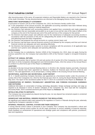after becoming aware of the same. All suspected violations and Reportable Matters are reported to the Chairman of the Audit Committee. The key directions/actions are informed to the Managing Director of the Company.

#### **DIRECTORS' RESPONSIBILITY STATEMENT**

In pursuance of section 134 (5) of the Companies Act, 2013, the Directors hereby confirm that:

- (a) in the preparation of the annual accounts, the applicable accounting standards have been followed along with proper explanation relating to material departures;
- (b) the Directors had selected such accounting policies and applied them consistently and made judgments and estimates that are reasonable and prudent so as to give a true and fair view of the state of affairs of the company at the end of the financial year and of the profit and loss of the company for that period;
- (c) the Directors had taken proper and sufficient care for the maintenance of adequate accounting records in accordance with the provisions of this Act for safeguarding the assets of the company and for preventing and detecting fraud and other irregularities;
- (d) the Directors had prepared the annual accounts on a going concern basis; and
- (e) the Directors had laid down internal financial controls to be followed by the company and that such internal financial controls are adequate and were operating effectively.
- (f) the Directors had devised proper systems to ensure compliance with the provisions of all applicable laws and that such systems were adequate and operating effectively.

#### **SUBSIDIARIES**

As the Company has no subsidiaries, Section 129(3) of the Companies Act, 2013, does not apply. During the previous year(2013-14), the Company had subscribed to 30% of the Partners' Capital in Armayesh Enterprise LLP.

#### **EXTRACT OF ANNUAL RETURN**

Pursuant to sub-section 3(a) of section 134 and sub-section (3) of section 92 of the Companies Act 2013, read with Rule 12 of the Companies (Management and Administration) Rules, 2014 the extract of the Annual Return as at March 31,2015 forms part of this Report as **Annexure I.**

#### **AUDITORS**

As decided in the last Annual General Meeting held on 11.09.2014, M/s. Deloitte Haskins and Sells, Chartered Accountants, Baroda have been appointed as Statutory Auditors for financial years 2014-15, 2015-16 and 2016-17. The said appointment, on an annual basis, is being ratified in the ensuing Annual General Meeting.

#### **SECRETARIAL AUDITOR AND SECRETARIAL AUDIT REPORT**

Mr. A. J. Gandhi practicing Company Secretary was appointed as a Secretarial Auditor under the provision of section 204 of the Companies Act, 2013 for the financial year 2014-15, during the Board Meeting held on 29th May 2014. The report of the secretarial auditor for the F.Y 2014-15 is annexed to this Report as **Annexure - II.**

#### **CONSERVATION OF ENERGY, TECHNOLOGY ABSORPTION AND FOREIGN EXCHANGE EARNINGS AND OUTGOING**

Additional information on conservation of energy, technology absorption, foreign exchange earnings and outgo as required to be disclosed in terms of Section 134(3)(m) of the Companies Act, 2013 read with the Companies (Accounts) Rules, 2014 is annexed and forms part of this Report as **Annexure - III.**

#### **DETAILS RELATING TO DEPOSITS**

The Company has not accepted any deposit during the year, nor any deposit has remained unpaid or unclaimed as at the end of the year.

#### **SIGNIFICANT AND MATERIAL ORDERS PASSED BY THE REGULATORS**

No significant and material orders were passed by the regulators or Courts or Tribunals during the year, adversely impacting the Company's operation in future.

#### **INTERNAL FINANCIAL CONTROL SYSTEM AND THEIR ADEQUACY**

A strong internal control culture is pervasive in your Company. Your Company has documented a robust and comprehensive internal control system for all the major processes to ensure reliability of financial reporting, timely feedback on achievement of operational and strategic goals and compliance with policies, procedures, laws and regulations.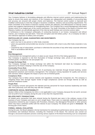# *25<sup>th</sup> Annual Report* 25<sup>th</sup> **Annual Report**

Your Company believes in formulating adequate and effective internal control systems and implementing the same to ensure that assets and interests of the Company are safeguarded and reliability of accounting data and accuracy are ensured with proper checks and balances. The Internal control system is improved and modified continuously to meet the changes in business conditions, statutory and accounting requirements. The Audit Committee of the Board of Directors actively reviews the adequacy and effectiveness of internal control system and suggests improvements for strengthening them. The Company has a sound Management Information System which is an integral part of the control mechanism. The Audit Committee of the Board of Directors and Statutory Auditors are periodically apprised of the internal audit findings and corrective actions taken.

In furtherance to the Company's philosophy of conducting business in an honest, transparent and ethical manner, your Company has laid down. "Virat Anti corruption and Anti bribery policy". As a Company we take a zero tolerance approach to bribery and corruption.

#### **PARTICULARS OF LOANS, GUARANTEES AND INVESTMENTS**

Your Company has not -

- given any loan to any person or other body corporate.
- given any guarantee and provided any security in connection with a loan to any other body corporate or any person.
- acquired by way of subscription, purchase or otherwise the securities of any other body corporate otherwise than in accordance with the law.

#### **RISK**

#### **Risk Management:**

A documented risk management policy is in place as per clause 49 (VI) of the listing agreement.

Your Company is exposed to risk from fluctuation of foreign exchange rates, prices of raw materials and finished goods, compliances risk and people risk.

#### **Foreign Exchange Risk:**

Your Company manages its foreign exchange risk within the framework laid down by Company's policy, approved by the Board, keeping in mind the size of the Company.

#### **Commodity Prices Risk:**

Your Company proactively manages the risk of purchasing raw materials through forward booking, vendor development practices and inventory management. The Company's strong reputation for quality and services with overseas clients mitigates the impact of price risk on finished goods.

#### **Compliance Risk:**

Your company has to follow various statutes and regulations including the Companies Act. The company is mitigating these risks through regular review of legal compliances carried out through internal as well as external compliance audits.

#### **People Risk:**

Your Company nurtures and grooms the talented and key personnel for future business leadership and looks after them judiciously such that they stay with the Company.

#### **CORPORATE SOCIAL RESPONSIBILITY**

Section 135(1) of the Companies Act 2013, is not applicable to your Company, because the net worth, turnover and net profit of your Company during the year is less than the required limits.

#### **RELATED PARTY TRANSACTIONS**

All related party transaction that were entered during the financial year were in the ordinary course of the business of your Company and were on arm's length basis. There were no materially significant related party transactions entered by your Company with Promoters, Directors, Key Managerial Personnel or other persons which may have a potential conflict with the interest of your Company. The details are given in **Annexure - IV,** forming part of this report.

#### **FORMAL ANNUAL EVALUATION**

During the year, the Board adopted a formal mechanism for evaluating its performance and as well as that of its Committees and individual Directors, including the Chairman of the Board. The exercise was carried out through a structured evaluation process covering various aspects of the Board functioning such as composition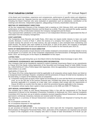of the Board and Committees, experience and competencies, performance of specific duties and obligations, governance issues etc. Separate exercise was carried out to evaluate the performance of individual Directors including the Board Chairman who were evaluated on parameters such as attendance, contribution at the meetings and otherwise, independent judgment, safeguarding of minority shareholders interest etc.

#### **MEETING OF INDEPENDENT DIRECTORS**

All the four independent Directors of the Company held a meeting on 12th February 2015, and reviewed the performance of non-independent Directors and the Board as a whole. They also assessed the quality, quantity and timeliness of flow of information between the Company management and the Board.

They expressed their satisfaction at the performance of non-independent Directors and appreciated the flow of information from the Company management.

#### **COST AUDITORS**

The Companies (Cost Records and Audit) Rules, 2014 does not require textile industry to have cost audit records. Moreover, in terms of Rule 7, where the revenue of a company from exports, in foreign exchange, exceeds seventy five percent of its total revenue, the said company is also exempted from maintaining cost audit records. The above rules were notified on 30.06.2014. In view of the above, the Company is exempted from maintaining Cost Audit records and appointment of Cost Auditor for the financial year 2014-15.

#### **RATIO OF REMUNERATION TO EACH DIRECTOR**

The ratio of the remuneration of each director to the median employee's remuneration and other details in terms of sub-section 12 of section 197 of the Companies (Appointment and Remuneration of Managerial Personnel) Rules, 2014, are forming part of this Report as **Annexure V** of this report.

#### **LISTING FEES**

Your Company has paid listing fees up to 31st March 2016 to the Bombay Stock Exchange in April, 2015.

#### **CORPORATE GOVERNANCE AND SHAREHOLDERS INFORMATION**

Your Company shall not be mandatorily required to submit Corporate Governance Report as per amendments to Clause 49 of the Equity Listing Agreement of the Securities and Exchange Board of India (SEBI) Circular No.: CIR/CFD/POLICY CELL/7/2014 dated 15th September, 2014; the applicability of Corporate Governance in listed entities is as under:

#### Applicability of Clause 49:

The Clause 49 of the Listing Agreement shall be applicable to all companies whose equity shares are listed on a recognized stock exchange. However, compliance with the provisions of Clause 49 shall not be mandatory, for the time being, in respect of the following class of companies:

- a) Companies having paid up equity share capital not exceeding  $\bar{\tau}$  10 crore and Net Worth not exceeding  $\bar{\tau}$  25 crore, as on the last day of the previous financial year; Provided that where the provisions of Clause 49 becomes applicable to a company at a later date, such company shall comply with the requirements of Clause 49 within six months from the date on which the provisions became applicable to the company.
- b) Companies whose equity share capital is listed exclusively on the SME and SME-ITP Platforms.

#### **ANTI SEXUAL HARASSMENT POLICY**

The company has in place an Anti Sexual Harassment Policy in line with the requirements of 'The Sexual Harassment of Women at the Workplace' (Prevention Prohibition & Redressal) Act, 2013. Internal Complaints Committee (ICC) has been set up to redress complaints received regarding Sexual Harassment. All employees (permanent, contractual, temporary, trainees) are covered under this policy.

The following is a summary of Sexual Harassment complaints received and disposed of during the year 2014-15:

No. of complaints received: Nil

No. of complaints disposed of: Not applicable

#### **PARTICULARS OF EMPLOYEES**

As per provision of Section 197 of the Companies Act, 2013 read with the Companies (Appointment and Remuneration of Managerial Personnel) Rules, 2014, particulars of the employees are required to be annexed in respect of the employees of the Company who were in receipt of total remuneration of  $\bar{\tau}$  60.00 Lac per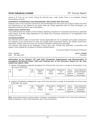# *25<sup>th</sup> Annual Report* 25<sup>th</sup> **Annual Report**

annum or  $\overline{\tau}$  5.00 Lac per month. During the financial year, under review, there is no employee drawing remuneration as above.

#### **CORPORATE GOVERNANCE AND MANAGEMANT DISCUSSION AND ANALYSIS**

Detailed notes on the Corporate Governance and the Management Discussion and Analysis Report and other such disclosures as are required to be made under the Listing Agreement with the Stock Exchanges, are separately annexed and form part of this Report.

#### **COMPLIANCE CERTIFICATE**

The Certificate from the Auditors of the Company regarding compliance of Corporate Governance as stipulated under Clause 49 of the Listing Agreement is not issued since Corporate Governance is not applicable to the company this year.

#### **ACKNOWLEDGMENT**

Your Directors wish to place on record their sincere appreciation for the co-operation and support extended to the Company by the Government of India, the Gujarat State Government and by the relevant Government Authorities, Central, State and Local, the Company's Bankers and Business Associates.

Your Directors also thank all the employees at every level, who, through their dedication, co-operation and support, have enabled the Company to achieve sustained growth.

For and on behalf of the Board of Directors

Place: Mumbai, **Arun S. Sanghi** Date : 29<sup>th</sup> May, 2015. Chairman Chairman 2015.

#### **Information as per Section 197 read with Companies (Appointment and Remuneration of managerial Personnel) Rules, 2014 and forming part of the Directors' Report for the Year ended 31st March, 2015.**

A. Names of Employees employed throughout the Financial Year and were in receipt of remuneration of not less than  $\bar{\tau}$  6,000,000/-.

| Sr.<br>No. | Name | Age<br>(yrs.) | Designation/<br>Nature<br>of Duties | Remuneration<br>Gross<br>Rupees | Qualification<br>and<br>Experience | Date of<br>Commen-<br>cement of<br>Employment | Last employment/<br>Name of Employer/<br>Designation<br>held and period |
|------------|------|---------------|-------------------------------------|---------------------------------|------------------------------------|-----------------------------------------------|-------------------------------------------------------------------------|
|            |      |               |                                     | ------ NONE ------              |                                    |                                               |                                                                         |

B. Names of Employees employed for a part of the Year and were in receipt of remuneration of not less than 500,000/- per month.

| Sr.<br>No. | Name | Age<br>(yrs.) | Designation/<br>Nature<br>of Duties | Remuneration<br>Gross<br>Rupees | Qualification<br>and<br>Experience | Date of<br>Commen-<br>cement of<br>Employment | Last employment/<br>Name of Employer/<br>Designation<br>held and period |
|------------|------|---------------|-------------------------------------|---------------------------------|------------------------------------|-----------------------------------------------|-------------------------------------------------------------------------|
|            |      |               |                                     | ------ NONE ------              |                                    |                                               |                                                                         |

**Note:** Gross Remuneration includes Salary, Company's Contribution to Provident Fund, House Rent Allowance, Medical Allowance, Leave Travel Allowance and Leave Encashment.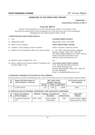# **ANNEXURE TO THE DIRECTORS' REPORT**

**ANNEXURE - I Annual Return Extracts in MGT 9**

## **Form No. MGT-9**

Extract of Annual Return as on the financial year ended on 31st March, 2015 [Pursuant to section 92(3) of the Companies Act, 2013 and rule 12(1) of the Companies (Management and Administration) Rules, 2014]

## **I. REGISTRATION AND OTHER DETAILS:**

| i)  | <b>CIN</b>                                                                        | L29199GJ1990PLC014514                                                                                                                                                                                           |
|-----|-----------------------------------------------------------------------------------|-----------------------------------------------------------------------------------------------------------------------------------------------------------------------------------------------------------------|
| ii) | <b>Registration Date</b>                                                          | Registration Date 14/10/1990                                                                                                                                                                                    |
|     | iii) Name of the Company                                                          | <b>VIRAT INDUSTRIES LIMITED</b>                                                                                                                                                                                 |
|     | iv) Category / Sub-Category of the Company                                        | Public Company Limited by shares                                                                                                                                                                                |
| V)  | Address of the Registered office and contact details                              | A - 1/2, GIDC Industrial Estate, Kabilpore,<br>Navsari, Gujarat, India, PIN - 396 424.<br>Tel: 02637-265011/265022 Fax: 02637-265712<br>Email: factory@viratindustries.com<br>Website: www.viratindustries.com  |
|     | vi) Whether listed Company Yes / No                                               | Yes                                                                                                                                                                                                             |
|     | vii) Name, Address and Contact details of Registrar and<br>Transfer Agent, if any | Link Intime India Private Limited<br>C-13, Pannalal Silk Mills Compund,<br>L.B.S. Marg, Bhandup (W),<br>Mumbai, Maharashtra, India, PIN - 400 078.<br>Tel: 022-25963838<br>Email: rnt.helpdesk@linkintime.co.in |

#### **II. PRINCIPAL BUSINESS ACTIVITIES OF THE COMPANY**

All the business activities contributing 10% or more of the total turnover of the Company shall be stated :-

| SI.<br>No. | <b>Name and Description of</b><br>main products / services | NIC Code of the<br><b>Product / Service</b> |              |                  | % to total turnover of<br>the company |  |
|------------|------------------------------------------------------------|---------------------------------------------|--------------|------------------|---------------------------------------|--|
|            |                                                            | Group                                       | <b>Class</b> | <b>Sub-Class</b> |                                       |  |
|            | <b>Knitted Socks</b>                                       | 143                                         | 1430         | 14309            | $100\%$                               |  |

#### **III. PARTICULARS OF HOLDING, SUBSIDIARY AND ASSOCIATE COMPANIES**

| SI. | <b>Name and Address</b>             | <b>CIN/GLN</b> | Holding / Subsidiary /           | $%$ of      | Applicable                                        |
|-----|-------------------------------------|----------------|----------------------------------|-------------|---------------------------------------------------|
| No. | of the Company                      |                | <b>Associate</b>                 | Shares held | <b>Section</b>                                    |
|     | Armayesh Enterprise -<br><b>LLP</b> | AAB - 6194     | Limited Liability<br>Partnership | 30%         | As per Limited Liability<br>Partnership Act, 2008 |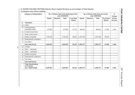| <b>Category of Shareholders</b> |                                                                   |                          | No. of Shares held at the beginning of the<br>year 01/04/2014 |                          |                             |                          |                          | No. of Shares held at the end of the<br>year 31/03/2015 |                             | $\frac{0}{0}$<br>Change  |
|---------------------------------|-------------------------------------------------------------------|--------------------------|---------------------------------------------------------------|--------------------------|-----------------------------|--------------------------|--------------------------|---------------------------------------------------------|-----------------------------|--------------------------|
|                                 |                                                                   | <b>Demat</b>             | <b>Physical</b>                                               | <b>Total</b>             | % of Total<br><b>Shares</b> | <b>Demat</b>             | <b>Physical</b>          | <b>Total</b>                                            | % of Total<br><b>Shares</b> | during<br>the year       |
| Α.                              | <b>Promoters</b>                                                  |                          |                                                               |                          |                             |                          |                          |                                                         |                             |                          |
| (1)                             | Indian                                                            |                          |                                                               |                          |                             |                          |                          |                                                         |                             |                          |
| a)                              | Individual/Hindu<br><b>Undivided Family</b>                       | 527,802                  | $\qquad \qquad -$                                             | 527,802                  | 10.720                      | 599,942                  | $\qquad \qquad -$        | 599,942                                                 | 12.186                      | 1.465                    |
| b)                              | <b>Central Government</b>                                         | —                        | $\qquad \qquad -$                                             | $\overline{\phantom{0}}$ | $\overline{\phantom{m}}$    | $\overline{\phantom{0}}$ | $\overline{\phantom{m}}$ | $\qquad \qquad -$                                       |                             |                          |
| $\mathbf{C}$                    | <b>State Governments</b>                                          |                          | $\overline{\phantom{0}}$                                      |                          | $\overline{\phantom{0}}$    |                          | $\qquad \qquad -$        |                                                         |                             | $\qquad \qquad -$        |
| d)                              | <b>Bodies Corporate</b>                                           | 1,753,795                |                                                               | 1,753,795                | 35.622                      | 1,753,795                | $\overline{\phantom{a}}$ | 1,753,795                                               | 35.622                      |                          |
| e)                              | <b>Banks/Family Institutions</b>                                  |                          | $\qquad \qquad -$                                             | $\overline{\phantom{0}}$ | $\qquad \qquad -$           |                          | $\qquad \qquad -$        |                                                         |                             | $\overline{\phantom{0}}$ |
| f                               | Any Other                                                         |                          | $\qquad \qquad -$                                             |                          |                             |                          | $\overline{\phantom{0}}$ |                                                         |                             |                          |
|                                 | Sub-total (A) (1)                                                 | 2,281,597                | $\overline{\phantom{0}}$                                      | 2,281,597                | 46.342                      | 2,353,737                | $\qquad \qquad -$        | 2,353,737                                               | 47.808                      | 1.465                    |
| (2)                             | Foreign                                                           |                          | $\qquad \qquad -$                                             |                          |                             |                          | $\qquad \qquad -$        |                                                         |                             |                          |
| a)                              | NRIs - Individuals                                                | $\overline{\phantom{0}}$ | $\overline{\phantom{0}}$                                      | $\overline{\phantom{0}}$ |                             | $\overline{\phantom{0}}$ | $\qquad \qquad -$        | $\qquad \qquad -$                                       |                             |                          |
| b)                              | Other - Individuals                                               | $\overline{\phantom{0}}$ | $\qquad \qquad -$                                             | $\overline{\phantom{0}}$ |                             | $\overline{\phantom{0}}$ | $\overline{\phantom{0}}$ | $\overline{\phantom{0}}$                                |                             |                          |
| $\mathbf{C}$                    | <b>Bodies Corporate</b>                                           | $\overline{\phantom{0}}$ | $\overline{\phantom{0}}$                                      | $\equiv$                 |                             | $\overline{\phantom{0}}$ | $\overline{\phantom{0}}$ | $\overline{\phantom{0}}$                                |                             |                          |
| d)                              | <b>Banks/Family Institutions</b>                                  | —                        | $\qquad \qquad -$                                             | $\qquad \qquad -$        |                             | —                        | $\qquad \qquad -$        | $\qquad \qquad -$                                       |                             |                          |
| e)                              | Any Other                                                         | $\overline{\phantom{0}}$ | $\overline{\phantom{0}}$                                      | $\overline{\phantom{0}}$ |                             | $\overline{\phantom{0}}$ | $\qquad \qquad -$        | $\overline{\phantom{0}}$                                |                             |                          |
|                                 | Sub-total (A) (2)                                                 | $\overline{\phantom{0}}$ | $\qquad \qquad -$                                             |                          |                             |                          | $\overline{\phantom{0}}$ |                                                         |                             |                          |
|                                 | <b>Total Shareholding</b><br>of Promoter<br>$(A) = (A)(1)+(A)(2)$ | 2,281,597                | $\qquad \qquad -$                                             | 2,281,597                | 46.342                      | 2,353,737                | $\overline{\phantom{0}}$ | 2,353,737                                               | 47.808                      | 1.465                    |

21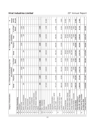|                                                                                                                                                                                                                                                                                                                                                                                                                                                                                                                                                                                                                                                                      | Category of Shareholders                                 |                |                | No. of Shares held at the beginning of the<br>year 01/04/2014 |                             |              |              | No. of Shares held at the end of the<br>year 31/03/2015 |                             | Change<br>వ్       |
|----------------------------------------------------------------------------------------------------------------------------------------------------------------------------------------------------------------------------------------------------------------------------------------------------------------------------------------------------------------------------------------------------------------------------------------------------------------------------------------------------------------------------------------------------------------------------------------------------------------------------------------------------------------------|----------------------------------------------------------|----------------|----------------|---------------------------------------------------------------|-----------------------------|--------------|--------------|---------------------------------------------------------|-----------------------------|--------------------|
|                                                                                                                                                                                                                                                                                                                                                                                                                                                                                                                                                                                                                                                                      |                                                          | Demat          | Physical       | <b>Total</b>                                                  | % of Total<br><b>Shares</b> | Demat        | Physical     | <b>Total</b>                                            | % of Total<br><b>Shares</b> | the year<br>during |
| മ                                                                                                                                                                                                                                                                                                                                                                                                                                                                                                                                                                                                                                                                    | Public Shareholding                                      |                |                |                                                               |                             |              |              |                                                         |                             |                    |
| $\widehat{E}$                                                                                                                                                                                                                                                                                                                                                                                                                                                                                                                                                                                                                                                        | Institutions                                             |                |                |                                                               |                             |              |              |                                                         |                             |                    |
| ত্ত                                                                                                                                                                                                                                                                                                                                                                                                                                                                                                                                                                                                                                                                  | Mutual Funds                                             | $\overline{1}$ | 3,000          | 3,000                                                         | 0.061                       |              | 3,000        | 3,000                                                   | 0.061                       |                    |
| $\widehat{\Omega}$                                                                                                                                                                                                                                                                                                                                                                                                                                                                                                                                                                                                                                                   | Banks / Family Institutions                              | 200            | $\overline{1}$ | 200                                                           | 0.004                       | 200          |              | 200                                                     | 0.004                       | $\mathbf{I}$       |
| ි                                                                                                                                                                                                                                                                                                                                                                                                                                                                                                                                                                                                                                                                    | Central Government                                       | $\overline{1}$ | $\mathbf{I}$   | $\mathbf{I}$                                                  |                             |              | $\mathbf{I}$ |                                                         |                             | T                  |
| $\widehat{\sigma}$                                                                                                                                                                                                                                                                                                                                                                                                                                                                                                                                                                                                                                                   | State Governments                                        | $\mathbf{I}$   | $\mathbf{I}$   | J.                                                            | $\mathbf{I}$                | $\mathbf{I}$ | $\mathbf{I}$ | $\mathbf{I}$                                            | $\mathbf{I}$                | $\overline{1}$     |
| $\widehat{\Phi}$                                                                                                                                                                                                                                                                                                                                                                                                                                                                                                                                                                                                                                                     | Venture Capital Funds                                    | J.             | $\mathbf{I}$   | $\mathbf{I}$                                                  | J.                          | J.           | $\mathbf{I}$ | J.                                                      | J.                          | $\mathbf{I}$       |
| ⇐                                                                                                                                                                                                                                                                                                                                                                                                                                                                                                                                                                                                                                                                    | Insurance Companies                                      | $\mathbf{I}$   | T              | T                                                             | T                           | $\mathbf{I}$ | T            | T                                                       | $\mathbf{I}$                | $\mathbf{I}$       |
| ම                                                                                                                                                                                                                                                                                                                                                                                                                                                                                                                                                                                                                                                                    | Foreign Institutional Investors                          | $\mathbf{I}$   | $\mathbf{I}$   | $\mathbf{I}$                                                  | J.                          | $\mathbf{I}$ | $\mathbf{I}$ | J.                                                      | J.                          | $\mathbf{I}$       |
| $\widehat{=}$                                                                                                                                                                                                                                                                                                                                                                                                                                                                                                                                                                                                                                                        | Foreign Venture Capital Investors                        | $\mathbf{I}$   | J.             | $\mathbf{I}$                                                  | т                           | $\mathbf{I}$ | J.           | J.                                                      | T                           | T                  |
| $\widehat{\phantom{a}}$                                                                                                                                                                                                                                                                                                                                                                                                                                                                                                                                                                                                                                              | Others                                                   |                |                |                                                               |                             |              |              |                                                         |                             | п                  |
|                                                                                                                                                                                                                                                                                                                                                                                                                                                                                                                                                                                                                                                                      | Sub-total (B)(1)                                         | 200            | 3,000          | 3,200                                                         | 0.065                       | 200          | 3,000        | 3,200                                                   | 0.065                       | J.                 |
| $[2] % \begin{center} % \includegraphics[width=\linewidth]{imagesSupplemental_3.png} % \end{center} % \caption { % Our method can be used for the image. % Note that the \emph{Defleft:} (a) is the same number of times, and the \emph{Defleft:} (b) is the same number of times, and the \emph{Defleft:} (c) is the same number of times, and the \emph{Defleft:} (d) is the same number of times, and the \emph{Defleft:} (e) is the same number of times, and the \emph{Defleft:} (f) is the same number of times, and the \emph{Defleft:} (g) is the same number of times, and the \emph{Defleft:} (h) is the same number of times, and the \emph{Defleft:} (i$ | Non - Institutions                                       |                |                |                                                               |                             |              |              |                                                         |                             |                    |
| କ                                                                                                                                                                                                                                                                                                                                                                                                                                                                                                                                                                                                                                                                    | Bodies Corporate                                         |                |                |                                                               |                             |              |              |                                                         |                             |                    |
| $\widehat{\phantom{a}}$                                                                                                                                                                                                                                                                                                                                                                                                                                                                                                                                                                                                                                              | Indian                                                   | 107,423        | 20,600         | 128,023                                                       | 2.600                       | 100,515      | 19,500       | 120,015                                                 | 2.438                       | (0.163)            |
| ≘                                                                                                                                                                                                                                                                                                                                                                                                                                                                                                                                                                                                                                                                    | Overseas                                                 |                |                |                                                               |                             |              |              |                                                         |                             |                    |
| $\widehat{\mathbf{p}}$                                                                                                                                                                                                                                                                                                                                                                                                                                                                                                                                                                                                                                               | Individuals                                              |                |                |                                                               |                             |              |              |                                                         |                             | H                  |
| $\widehat{\phantom{a}}$                                                                                                                                                                                                                                                                                                                                                                                                                                                                                                                                                                                                                                              | Individual shareholders                                  |                |                |                                                               |                             |              |              |                                                         |                             |                    |
|                                                                                                                                                                                                                                                                                                                                                                                                                                                                                                                                                                                                                                                                      | holding nominal share capital<br>upto Rs. 1 lakh         | 707,173        | 313,840        | 1,021,013                                                     | 20.738                      | 642,151      | 296,340      | 938,491                                                 | 19.062                      | (1.676)            |
| $\widehat{=}$                                                                                                                                                                                                                                                                                                                                                                                                                                                                                                                                                                                                                                                        | holding nominal share capital<br>Individual shareholders |                |                |                                                               |                             |              |              |                                                         |                             |                    |
|                                                                                                                                                                                                                                                                                                                                                                                                                                                                                                                                                                                                                                                                      | in excess of Rs 1 lakh                                   | 888,440        | 33,000         | 921,440                                                       | 18.716                      | 933,343      | 22,000       | 955,343                                                 | 19.404                      | 0.689              |
| ි                                                                                                                                                                                                                                                                                                                                                                                                                                                                                                                                                                                                                                                                    | Others                                                   |                |                |                                                               |                             |              |              |                                                         |                             |                    |
| $\widehat{=}$                                                                                                                                                                                                                                                                                                                                                                                                                                                                                                                                                                                                                                                        | <b>Clearing Member</b>                                   | 50,405         | $\mathbf{I}$   | 50,405                                                        | 1.024                       | 26,642       | $\mathbf{I}$ | 26,642                                                  | 0.541                       | (0.483)            |
| $\widehat{=}$                                                                                                                                                                                                                                                                                                                                                                                                                                                                                                                                                                                                                                                        | Non Resident Indians (Repat)                             | 22,322         | $\mathbf{I}$   | 22,322                                                        | 0.453                       | 22,322       | $\mathbf{I}$ | 22,322                                                  | 0.453                       |                    |
| ⊜                                                                                                                                                                                                                                                                                                                                                                                                                                                                                                                                                                                                                                                                    | Non Resident Indians (Non Repat)                         | $\overline{1}$ | $\mathbf{I}$   | $\mathbf{I}$                                                  | $\mathbf{I}$                | 8,250        | $\mathbf{I}$ | 8,250                                                   | 0.168                       | 0.168              |
| $\tilde{=}$                                                                                                                                                                                                                                                                                                                                                                                                                                                                                                                                                                                                                                                          | Foreign Companies                                        | 492,340        | T              | 492,340                                                       | 10.000                      | 492,340      | T            | 492,340                                                 | 10.000                      |                    |
| $\widehat{\phantom{1}}$                                                                                                                                                                                                                                                                                                                                                                                                                                                                                                                                                                                                                                              | Overseas Bodies Corporates                               |                | 3,000          | 3,000                                                         | 0.061                       |              | 3,000        | 3,000                                                   | 0.061                       |                    |
|                                                                                                                                                                                                                                                                                                                                                                                                                                                                                                                                                                                                                                                                      | Sub-total (B)(2)                                         | 2,268,103      | 370,440        | 2,638,543                                                     | 53.593                      | 2,225,563    | 340,840      | 2,566,403                                               | 52.127                      | (1.465)            |
|                                                                                                                                                                                                                                                                                                                                                                                                                                                                                                                                                                                                                                                                      | Public (B) = $(B)(1)+(B)(2)$<br>Total Shareholding of    | 2,268,303      | 373,440        | 2,641,743                                                     | 53.658                      | 2,225,763    | 343,840      | 2,569,603                                               | 52.192                      | (1.465)            |
| ن                                                                                                                                                                                                                                                                                                                                                                                                                                                                                                                                                                                                                                                                    | Shares held by Custodian                                 |                |                |                                                               |                             |              |              |                                                         |                             |                    |
|                                                                                                                                                                                                                                                                                                                                                                                                                                                                                                                                                                                                                                                                      | for GDRs & ADRs                                          | L              |                | L                                                             |                             | п            | L            | ı                                                       |                             |                    |
|                                                                                                                                                                                                                                                                                                                                                                                                                                                                                                                                                                                                                                                                      | Grand Total (A+B+C)                                      | 4,549,900      | 373,440        | 4,923,340                                                     | 100.000                     | 4,579,500    | 343,840      | 4,923,340                                               | 100.000                     | $\mathbf I$        |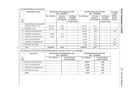|                | <b>Shareholder's Name</b>                     |                                                                                 | Shareholding at the beginning of the<br>year - 01/04/2014 |                                                         |                                                     | Shareholding at the end of the<br>year - 31/03/2015 |                                                         | % change<br>in share          |
|----------------|-----------------------------------------------|---------------------------------------------------------------------------------|-----------------------------------------------------------|---------------------------------------------------------|-----------------------------------------------------|-----------------------------------------------------|---------------------------------------------------------|-------------------------------|
| SI.<br>No.     |                                               | No. of Shares                                                                   | % of total<br><b>Shares of</b><br>the Company             | %of Shares<br>Pledged/<br>encumbered<br>to total shares | No. of Shares                                       | % of total<br><b>Shares of</b><br>the Company       | %of Shares<br>Pledged/<br>encumbered<br>to total shares | holding<br>during<br>the year |
| $\mathbf{1}$   | SHAPOORJEE CHANDABHOY<br>FINVEST PRIVATE LTD. | 1,753,795                                                                       | 35.62                                                     | $\overline{\phantom{0}}$                                | 1,753,795                                           | 35.62                                               | $\qquad \qquad -$                                       | $\overline{\phantom{m}}$      |
| $\overline{2}$ | NAOZER J AGA                                  | 475,277                                                                         | 9.65                                                      | $\equiv$                                                | 475,277                                             | 9.65                                                | $\overline{\phantom{a}}$                                | $\qquad \qquad -$             |
| 3              | KAIZAD R DADYBURJOR                           |                                                                                 |                                                           | $\overline{\phantom{0}}$                                | 48,819                                              | 0.99                                                | $-$                                                     | 100                           |
| $\overline{4}$ | ARMAND NAOZER AGA                             | 34,989                                                                          | 0.71                                                      | $\overline{\phantom{0}}$                                | 34,989                                              | 0.71                                                | $\overline{\phantom{0}}$                                | $\overline{\phantom{0}}$      |
| 5              | AYESHA K DADYBURJOR                           | 17,536                                                                          | 0.36                                                      | $\overline{\phantom{0}}$                                | 17,536                                              | 0.36                                                | $\overline{\phantom{0}}$                                |                               |
| 6              | RUSI H DADYBURJOR                             | $\overline{\phantom{0}}$                                                        | $\overline{\phantom{0}}$                                  | $\overline{\phantom{0}}$                                | 11,000                                              | 0.22                                                | $-$                                                     | 100                           |
| $\overline{7}$ | ZENOBIA R DADYBURJOR                          | $\overline{\phantom{m}}$                                                        |                                                           | $\overline{\phantom{0}}$                                | 11,000                                              | 0.22                                                | $\overline{\phantom{m}}$                                | 100                           |
| 8              | <b>RUSTOM ZAL IRANI</b>                       | $\overline{\phantom{0}}$                                                        | $\overline{\phantom{0}}$                                  | $\equiv$                                                | 1,321                                               | 0.03                                                | $-$                                                     | 100                           |
|                | <b>Total</b>                                  | 2,281,597                                                                       | 46.34                                                     | $\overline{\phantom{0}}$                                | 2,353,737                                           | 47.81                                               | $\overline{\phantom{m}}$                                |                               |
|                |                                               | (iii) Change in Promoters' Shareholding (please specify, if there is no change) |                                                           |                                                         |                                                     |                                                     |                                                         |                               |
|                | <b>Particulars</b>                            | Shareholding at the beginning of the<br>year - 01/04/2014                       |                                                           |                                                         | Shareholding at the end of the<br>year - 31/03/2015 |                                                     |                                                         |                               |
| SI.<br>No.     |                                               | No. of Shares                                                                   |                                                           | % of total Shares<br>of the Company                     | No. of Shares                                       |                                                     | % of total Shares<br>of the Company                     |                               |
| $\mathbf{1}$   | KAIZAD R DADYBURJOR                           | $\overline{\phantom{0}}$                                                        |                                                           | $\overline{\phantom{0}}$                                | 48,819                                              |                                                     | 0.99                                                    |                               |
| $\overline{2}$ | RUSI H DADYBURJOR                             | $\overline{\phantom{0}}$                                                        |                                                           | $\equiv$                                                | 11,000                                              |                                                     | 0.22                                                    |                               |
| 3              | ZENOBIA R DADYBURJOR                          | $\qquad \qquad -$                                                               |                                                           | $\overline{\phantom{0}}$                                | 11,000                                              |                                                     | 0.22                                                    |                               |
|                | <b>RUSTOM ZAL IRANI</b>                       | $\overline{\phantom{m}}$                                                        |                                                           | $\overline{\phantom{0}}$                                | 1,321                                               |                                                     | 0.03                                                    |                               |
| $\overline{4}$ |                                               | $\overline{\phantom{m}}$                                                        |                                                           | $\qquad \qquad -$                                       | 72,140                                              |                                                     | 1.47                                                    |                               |

23

|            | <b>Particulars</b>       |               | Shareholding at the beginning of the<br>year - 01/04/2014 |               | Shareholding at the end of the<br>year - 31/03/2015 |
|------------|--------------------------|---------------|-----------------------------------------------------------|---------------|-----------------------------------------------------|
| SI.<br>No. |                          | No. of Shares | % of total Shares<br>of the Company                       | No. of Shares | % of total Shares<br>of the Company                 |
|            | KAIZAD R DADYBURJOR      |               |                                                           | 48,819        | 0.99                                                |
|            | <b>RUSI H DADYBURJOR</b> |               |                                                           | 11,000        | 0.22                                                |
|            | ZENOBIA R DADYBURJOR     |               |                                                           | 11,000        | 0.22                                                |
|            | <b>RUSTOM ZAL IRANI</b>  |               |                                                           | 1,321         | 0.03                                                |
|            | <b>Total</b>             |               |                                                           | 72,140        | 1.47                                                |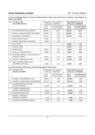#### **(iv) Shareholding Pattern of top ten Shareholders (other than Directors, Promoters and Holders of GDRs and ADRs):**

| SI. | For Each of the<br><b>Top 10 Shareholders</b>             |                  | Shareholding at the beginning<br>of the year - 01/04/2014 |                  | Shareholding at the end<br>of the year - 31/03/2015 |
|-----|-----------------------------------------------------------|------------------|-----------------------------------------------------------|------------------|-----------------------------------------------------|
|     |                                                           | No. of<br>shares | % of total shares<br>of the Company                       | No. of<br>shares | % of total shares<br>of the Company                 |
| 1.  | H M INVESTMENTS (UK) LIMITED                              | 492,340          | 10.00                                                     | 492,340          | 10.00                                               |
| 2.  | PRAMILA HEMRAJ MUNOT/LATA MUNOT                           | 205,050          | 4.16                                                      | 204,800          | 4.16                                                |
| 3.  | MAHENDRA GIRDHARILAL                                      | 122,413          | 2.49                                                      | 101,755          | 2.07                                                |
| 4.  | UDAY ANANTH NAYAK                                         | 61,786           | 1.25                                                      |                  |                                                     |
| 5.  | RAJESH RAMAKANT KINNERKAR                                 | 47,400           | 0.96                                                      |                  |                                                     |
| 6.  | <b>RAJIV GARG</b>                                         |                  |                                                           | 65,000           | 1.32                                                |
| 7.  | <b>KESHAV GARG</b>                                        |                  |                                                           | 60,000           | 1.22                                                |
| 8.  | <b>BOMSI WADIA</b>                                        | 45,203           | 0.92                                                      | 45,203           | 0.92                                                |
| 9.  | RUSSI JAL TARAPOREVALA                                    | 42,000           | 0.85                                                      | 42,000           | 0.85                                                |
| 10. | STANROSE MAFATLAL INVESTMENTS &<br><b>FINANCE LIMITED</b> | 34,250           | 0.70                                                      | 34,250           | 0.70                                                |
| 11. | JAIN PAL JAIN/KALPANA JAIN                                | 34,808           | 0.71                                                      | 33,348           | 0.68                                                |
| 12. | DILIP NAVINCHANDRA DALAL/<br>KASHMIRA DILIP DALAL         | 32,093           | 0.65                                                      | 31,800           | 0.65                                                |

#### **(v) Shareholding of Directors and Key Managerial Personnel:**

| SI. | For Each of the<br>Directors and KMP          |                  | Shareholding at the beginning<br>of the year - 01/04/2014 |                  | Shareholding at the end<br>of the year - 31/03/2015 |
|-----|-----------------------------------------------|------------------|-----------------------------------------------------------|------------------|-----------------------------------------------------|
|     |                                               | No. of<br>shares | % of total shares<br>of the Company                       | No. of<br>shares | % of total shares<br>of the Company                 |
| 1.  | NAOZER J AGA/ARMAND N AGA                     | 250,561          | 5.09                                                      | 250,561          | 5.09                                                |
| 2.  | NAOZER J AGA/AYESHA K DADYBURJOR              | 224,716          | 4.56                                                      | 224,716          | 4.56                                                |
| 3.  | ADI MADAN/AYESHA MADAN/<br>JEHAN ADI MADAN    | 134,205          | 2.73                                                      | 134,205          | 2.73                                                |
| 4.  | KAIZAD R DADYBURJOR/<br>AYESHA K DADYBURJOR   | 64,355           | 1.31                                                      | 66,355           | 1.35                                                |
| 5.  | ARMAND NAOZER AGA                             | 34.989           | 0.71                                                      | 34,989           | 0.71                                                |
| 6.  | NIRMAL G AWTANEY/<br><b>KRISHNA N AWTANEY</b> | 7.000            | 0.14                                                      | 7,000            | 0.14                                                |
| 7.  | ASHINKHAN SIKANDAR BAHOLU                     | 1,000            | 0.02                                                      | 1,000            | 0.02                                                |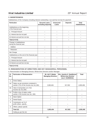# *25<sup>th</sup> Annual Report* **Virat Industries Limited Annual Report**

## **V. INDEBTEDNESS**

Indebtedness of the Company including interest outstanding / accrued but not due for payment

| <b>Particulars</b>                                     | <b>Secured Loans</b><br>excluding deposits | <b>Unsecured</b><br>Loans | <b>Deposits</b> | <b>Total</b><br><b>Indebtedness</b> |
|--------------------------------------------------------|--------------------------------------------|---------------------------|-----------------|-------------------------------------|
| Indebtedness at the beginning<br>of the financial year |                                            |                           |                 |                                     |
| <b>Principal Amount</b><br>i)                          |                                            |                           |                 |                                     |
| ii) Interest due but not paid                          |                                            |                           |                 |                                     |
| iii) Interest accrued but not due                      |                                            |                           |                 |                                     |
| Total (i+ii+iii)                                       |                                            |                           |                 |                                     |
| Change in Indebtedness<br>during the financial year    |                                            |                           |                 |                                     |
| - Addition                                             |                                            |                           |                 |                                     |
| - Reduction                                            |                                            |                           |                 |                                     |
| Net Change                                             |                                            |                           |                 |                                     |
| Indebtedness at the end of the financial year          |                                            |                           |                 |                                     |
| <b>Principal Amount</b><br>i)                          |                                            |                           |                 |                                     |
| ii) Interest due but not paid                          |                                            |                           |                 |                                     |
| iii) Interest accrued but not due                      |                                            |                           |                 |                                     |
| Total (i+ii+iii)                                       |                                            |                           |                 |                                     |

## **VI. REMUNERATION OF DIRECTORS AND KEY MANAGERIAL PERSONNEL**

A. Remuneration to Managing Director, Whole-time Directors and/or Manager:

| SI.<br>No.     | <b>Particulars of Remuneration</b>                                                 | Mr. Adi F. Madan<br><b>Managing Directors</b> | Mrs. Ayesha K. DadyBurjor<br><b>Whole-time Director</b><br>(w.e.f. 01/09/2014) | <b>Total</b> |
|----------------|------------------------------------------------------------------------------------|-----------------------------------------------|--------------------------------------------------------------------------------|--------------|
| 1              | Gross Salary:                                                                      |                                               |                                                                                |              |
| (a)            | Salary as per provisions contained in<br>section 17(1) of the Income-tax Act, 1961 | 3,083,404                                     | 917,002                                                                        | 4,000,406    |
| (b)            | Value of perquisites u/s 17(2)<br>Income-tax Act, 1961                             |                                               |                                                                                |              |
| (c)            | Profits in lieu of salary under<br>section 17(3) Income-tax Act, 1961              |                                               |                                                                                |              |
| 2              | <b>Stock Option</b>                                                                |                                               |                                                                                |              |
| 3              | <b>Sweat Equity</b>                                                                |                                               |                                                                                |              |
| $\overline{4}$ | Commission-as % of<br>profit-others, specify                                       |                                               |                                                                                |              |
| 5              | Others, please specify                                                             |                                               |                                                                                |              |
|                | Total (A)                                                                          | 3,083,404                                     | 917,002                                                                        | 4,000,406    |
|                | Ceiling as per the Act                                                             |                                               |                                                                                |              |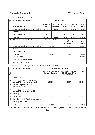B. Remuneration to Other Directors:

| SI.<br>No.     | <b>Particulars of Remuneration</b>         |                       | <b>Name of Directors</b> |                        |                                                           |                               |
|----------------|--------------------------------------------|-----------------------|--------------------------|------------------------|-----------------------------------------------------------|-------------------------------|
| 1              | <b>Independent Directors</b>               | Mr. Arun S.<br>Sanghi | Mr. Ajit P.<br>Walwaikar | Mr. Vinay V.<br>Sanghi | Mr. Harish<br>H. Shah                                     | <b>Total</b><br><b>Amount</b> |
|                | Fee for attending board committee meetings | 175,000               | 175,000                  | 60,000                 | 170,000                                                   | 580,000                       |
|                | Commission                                 |                       |                          |                        |                                                           |                               |
|                | Others, please specify                     |                       |                          |                        |                                                           |                               |
|                | Total (1)                                  | 175,000               | 175,000                  | 60,000                 | 170,000                                                   | 580,000                       |
| $\overline{2}$ | <b>Other Non-Executive Directors</b>       |                       | Mr. Armand N. Aga        |                        | Mrs. Ayesha K.<br><b>DadyBurjor</b><br>(up to 01/09/2014) | <b>Total</b><br><b>Amount</b> |
|                | Fee for attending board committee meetings |                       | 10,000                   |                        | 20,000                                                    | 30,000                        |
|                | Commission                                 |                       |                          |                        |                                                           |                               |
|                | Others, please specify                     |                       |                          |                        |                                                           |                               |
|                | Total (2)                                  |                       | 10,000                   |                        | 20,000                                                    | 30,000                        |
|                | Total $(B)=(1+2)$                          |                       |                          |                        |                                                           | 610,000                       |
|                | <b>Total Managerial Remuneration</b>       |                       |                          |                        |                                                           |                               |
|                | Overall Ceiling as per the Act             |                       |                          |                        |                                                           |                               |

C. Remuneration to Key Managerial Personnel other than MD/Manager/WTD

|            | <b>Particulars of Remuneration</b>                                                 | <b>Key Managerial Personnel</b>                    |                                                                                 |              |
|------------|------------------------------------------------------------------------------------|----------------------------------------------------|---------------------------------------------------------------------------------|--------------|
| SI.<br>No. |                                                                                    | Mr. Asinkhan S. Baholu<br><b>Company Secretary</b> | Mr. Bhavik R. Maisuria<br><b>Chief Financial Officer</b><br>(w.e.f. 29/05/2014) | <b>Total</b> |
| 1          | Gross Salary:                                                                      |                                                    |                                                                                 |              |
| (a)        | Salary as per provisions contained in<br>section 17(1) of the Income-tax Act, 1961 | 296,099                                            | 398,770                                                                         | 694,869      |
| (b)        | Value of perquisites u/s 17(2)<br>Income-tax Act, 1961                             |                                                    |                                                                                 |              |
| (c)        | Profits in lieu of salary under<br>section 17(3) Income-tax Act, 1961              |                                                    |                                                                                 |              |
| 2          | <b>Stock Option</b>                                                                |                                                    |                                                                                 |              |
| 3          | <b>Sweat Equity</b>                                                                |                                                    |                                                                                 |              |
| 4          | Commission–as % of profit–others, specify                                          |                                                    |                                                                                 |              |
| 5          | Others, please specify                                                             |                                                    |                                                                                 |              |
|            | <b>Total</b>                                                                       | 296,099                                            | 398,770                                                                         | 694,869      |

**VII. PENALTIES / PUNISHMENT/ COMPOUNDING OF OFFENCES (Under the Companies Act, 2013):**

None.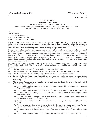#### **ANNEXURE - II**

#### **Form No. MR-3 SECRETARIAL AUDIT REPORT**

For the Financial Year Ended 31st March, 2015.

[Pursuant to section 204(1) of the Companies Act, 2013 and rule No.9 of the Companies (Appointment and Remuneration Personnel) Rules, 2014]

To,

The Members,

**Virat Industries Limited,**

A 1/ 2, GIDC Industrial Estate,

Kabilpore, Navsari - 396 424. Gujarat.

I have conducted the secretarial audit of the compliance of applicable statutory provisions and the adherence to good corporate practices by Virat Industries Limited (hereinafter called the company). Secretarial Audit was conducted in a manner that provided me a reasonable basis for evaluating the corporate conducts/statutory compliances and expressing my opinion thereon.

Based on my verification of the books, papers, minute books, forms and returns filed and other records of Virat Industries Limited, maintained by the company and also the information provided by the Company, its officers, agents and authorized representatives during the conduct of secretarial audit, I hereby report that in my opinion, the company has, during the audit period covering the financial year ended on 31st March, 2015, complied with the statutory provisions listed hereunder and also that the Company has proper Board-processes and compliance-mechanism in place to the extent, in the manner and subject to the reporting made hereinafter:

I/we have examined the books, papers, minute books, forms and returns filed and other records maintained by Virat Industries Limited ("the Company") for the financial year ended on 31st March, 2015 according to the provisions of:

- (i) The Companies Act, 2013 (the Act) and the rules made thereunder;
- (ii) The Securities Contracts (Regulation) Act, 1956 ('SCRA') and the rules made thereunder;
- (iii) The Depositories Act, 1996 and the Regulations and Bye-laws framed thereunder;
- (iv) Foreign Exchange Management Act, 1999 and the rules and regulations made thereunder to the extent of Foreign Direct Investment, Overseas Direct Investment and External Commercial Borrowings;
- (v) The following Regulations and Guidelines prescribed under the Securities and Exchange Board of India Act, 1992 ('SEBI Act') :-
	- (a) The Securities and Exchange Board of India (Substantial Acquisition of Shares and Takeovers) Regulations, 2011;
	- (b) The Securities and Exchange Board of India (Prohibition of Insider Trading) Regulations, 1992;
	- (c) The Securities and Exchange Board of India (Issue of Capital and Disclosure Requirements) Regulations, 2009;
	- (d) The Securities and Exchange Board of India (Employee Stock Option Scheme and Employee Stock Purchase Scheme) Guidelines, 1999;
	- (e) The Securities and Exchange Board of India (Issue and Listing of Debt Securities) Regulations, 2008;
	- (f) The Securities and Exchange Board of India (Registrars to an Issue and Share Transfer Agents) Regulations, 1993 regarding the Companies Act and dealing with client;
	- (g) The Securities and Exchange Board of India (Delisting of Equity Shares) Regulations, 2009; and
	- (h) The Securities and Exchange Board of India (Buyback of Securities) Regulations, 1998;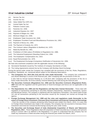- (vi) Service Tax Act.
- (vii) Income Tax Act.
- (viii) Value Added Tax (VAT) Act.
- (ix) Central Sales Tax Act.
- (x) Pollution Control Laws.
- (xi) Factories Act, 1948.
- (xii) Industrial Disputes Act, 1947.
- (xiii) Payment of Wages Act, 1936.
- (xiv) Minimum Wages Act, 1948.
- (xv) Employees' State Insurance Act, 1948.
- (xvi) Employees' Provident Fund and Miscellaneous Provisions Act, 1952.
- (xvii) Payment of Bonus Act, 1965.
- (xviii) The Payment of Gratuity Act, 1972.
- (xix) The Contract Labour (Regulation & Abolition) Act, 1970.
- (xx) Maternity Benefit Act, 1961.
- (xxi) Prohibition of Child Labour (Prohibition & Regulation) Act, 1986.
- (xxii) The Industrial Employment (Standing Orders) Act, 1946.
- (xxiii) The Employees' Compensation Act, 1923.
- (xxiv) Equal Remuneration Act, 1976.
- (xxv) The Employment Exchange (Compulsory Notification of Vacancies) Act, 1956.

We have also examined compliance with the applicable clauses of the following:

- (i) Secretarial Standards issued by The Institute of Company Secretaries of India.
- (ii) The Listing Agreements entered into by the Company with Bombay Stock Exchange.

During the period under review the Company has complied with the provisions of the Act, Rules, Regulations, Guidelines, Standards, etc. mentioned above subject to the following observations:

- 1. **The Companies Act, 2013 (the Act) and the rules made thereunder** The company has conducted 6 (six) Board Meetings in course of the financial year, after complying with the provisions of the Act. It also held its Annual General Meeting on 11.09.2014 after complying with the provisions of the Act &
- Rules made thereunder. No Extra-ordinary General Meeting was held during the financial year. 2. **The Securities Contracts (Regulation) Act, 1956 and the Securities Contracts (Regulation) Rules,**
- **1957** deal with the regulation and the governance of Stock Exchanges and hence are not applicable to the company. 3. **The Depositories Act, 1996 and the Regulations and Bye-laws framed thereunder -** These deal with
- regulation of transactions pertaining to securities between Depositories, Depository Participants, Issuers and Beneficial Owners. The company is registered with the Depository Participant, Link Intime India Private Ltd. and all transactions pertaining to the securities issued by the company are carried out through this agency.
- 4. **Foreign Exchange Management Act, 1999 and the rules and regulations made thereunder to the extent of Foreign Direct Investment, Overseas Direct Investment and External Commercial Borrowings -** From the records of the company pertaining tothe financial year ended 31st March, 2015, it is seen that no Foreign Direct Investment was made in the company. The company has not resorted to Overseas Direct Investment and External Commercial Borrowings during the year under review.
- 5. **The Securities and Exchange Board of India (Substantial Acquisition of Shares and Takeovers) Regulations, 2011 -** These Regulations deal with acquisition of listed securities by a Company and 'persons acting in concert' with it as defined in the Regulations. It is given to understand that the company has not made any investments in listed securities during the financial year ended 31st March, 2013.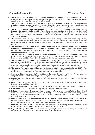# *25<sup>th</sup> Annual Report* 25<sup>th</sup> **Annual Report**

- 6. **The Securities and Exchange Board of India (Prohibition of Insider Trading) Regulations, 2015** The Company has formulated an Insider Trading Code for the price sensitive information pertaining to the securities issued by it and the same is strictly followed.
- 7. **The Securities and Exchange Board of India (Issue of Capital and Disclosure Requirements) Regulations, 2009 -** The Company has not made an issue of the type mentioned in these Regulationsduring the financial year ended 31st March, 2015. Hence these Regulations are not applicable.
- 8. **The Securities and Exchange Board of India (Employee Stock Option Scheme and Employee Stock Purchase Scheme) Guidelines, 1999 -** These Guidelines deal with Employee Stock Option Scheme of Employee Stock Purchase Scheme of implemented by the Company. The Company has not so far formulated any Employee Stock Option Scheme or any Employee Stock Purchase Scheme. Hence these guidelines are not applicable to it.
- 9. **The Securities and Exchange Board of India (Issue and Listing of Debt Securities) Regulations, 2008 -** TheseRegulations are not applicable to the company for the financial year under review as it has not made any issue of any debt securities or listed any debt securities during the financial year ended 31st March, 2015.
- 10. **The Securities and Exchange Board of India (Registrars to an Issue and Share Transfer Agents) Regulations, 1993 regarding the Companies Act and dealing with client -** These Regulations lay down the procedure for registration and regulation of the working of Registrars and Share Transfer Agents and as such do not apply to the company.
- 11. **The Securities and Exchange Board of India (Delisting of Equity Shares) Regulations, 2009 -** The company has not delisted its equity shares listed on the Bombay Stock Exchange (BSE) during the financial year ended 31st March, 2015. Hence these Regulations are not applicable to it.
- 12. **The Securities and Exchange Board of India (Buy Back of Securities) Regulations, 1998** These regulations are applicable to buy-back of shares or other specified securities of a company listed on a stock exchange. The company has confirmed that it did not buy back any of its securities listed on the stock exchange (BSE) during the financial year. Hence, these Regulations do not apply to the company.
- 13. **The Listing Agreement entered into by the Company with Bombay Stock Exchange (BSE)** The company has filed the necessary documents and returns and supplied the information required to be submitted by it to Bombay Stock Exchange as per the Listing Agreement.
- 14. **Secretarial Standards issued by The Institute of Company Secretaries of India** The company has complied with these standards during the financial year ended 31st March, 2015.
- 15. **Service Tax Act -** The company has filed half yearly Service Tax Returns, in respect of Service Tax collected by it.
- 16. **Income Tax -** The company has filed its Income Tax Return for the AssessmentYear 2014-15, during the financial year ended 31st March, 2015.
- 17. **Value Added Tax (VAT) -** The company has regularly filed monthly returns for Value Added Tax (VAT) paid.
- 18. **Central Sales Tax -** The company has regularly filed monthly returns as required.
- 19. **Pollution Control Laws -** The company has obtained CCA Renewal from Gujarat Pollution Control Board under Section 21 of Water Pollution Control Act, Rule 3(c) & 5 (5) of the Hazardous Waste (Management & Handlling & Trans boundary Movement) Rules, 2008 and under Environment Pollution Control Act. The consent is valid up to 22.07.2019.
- 20. **Factories Act, 1948 -** The company has obtained a license to work a factory, issued by the Directorate Industrial Safety and Health, Gujarat State, on 1st March, 1996. The same is valid till 31st December, 2017. It has filed monthly returns as required under the Factories Act, 1948.
- 21. **Industrial Disputes Act, 1947** The company has maintained the necessary records under this Act. No industrial dispute was reported to have occurred during the financial year.
- 22. **Payment of Wages Act, 1936 -** The requirements regarding the timely payment of wages under this Act and display of an abstract of the Act and Rules have been complied with.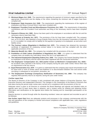- 23. **Minimum Wages Act, 1948 -** The requirements regarding the payment of minimum wages specified by the appropriate Government and the display of the notice containing the minimum rate of wages have been complied with.
- 24. **Employees' State Insurance Act, 1948 -** The requirements regarding the maintenance of the register of employees and filing of Annual Return have been complied with.
- 25. **Employees' Provident Fund and Miscellaneous Provisions Act, 1952** The requirements of depositing contributions with the Provident Fund authorities and filing of the necessary returns have been complied with.
- 26. **Payment of Bonus Act, 1965** Bonus has been paid to the employees in accordance with the Act and the necessary returns have been filed.
- 27. **The Payment of Gratuity Act, 1972 -** The provisions of the Act have been complied with. The company has, on 01.03.2014, also obtained a Group Gratuity Policy from the Life Insurance Corporation of India Ltd. (L.I.C.) to enable it to comply with its liability for the payment of gratuity to its employees, as and when such liability arises.
- 28. **The Contract Labour (Regulation & Abolition) Act, 1970 -** The company has obtained the necessary certificate of registration for employing contract labour in its factory and has complied with the other applicable provisions of the Act.
- 29. **Maternity Benefit Act, 1961 -** The company has complied with the provisions of the Act.
- 30. **Prohibition of Child Labour (Prohibition & Regulation) Act, 1986 -** It is given to understand that the company does not employ any child labour hence this Act is not applicable to it.
- 31. **The Industrial Employment (Standing Orders) Act, 1946 -** The company has framed Standing Orders for its employees at the factory and the same have been registered with the concerned authorities.
- 32. **The Employees' Compensation Act, 1923 (earlier known as Workmen's Compensation Act, 1923) -** No accidents were reported in the factory of the company during the year under review. Hence there was no requirement to file any returns.
- 33. **Equal Remuneration Act, 1976 -** It is given to understand that the company pays equal remuneration to all for same work or work of similar nature and thatthere is no discrimination between men and women while recruiting or subsequent to recruitment, promotion, etc.
- 34. **The Employment Exchange (Compulsory Notification of Vacancies) Act, 1956 -** The company has regularly filed quarterly returns as required, during the year under review.

#### **I further report that**

The Board of Directors of the Company is duly constituted with proper balance of Executive Directors, Non-Executive Directors and Independent Directors. The changes in the composition of the Board of Directors that took place during the period under review were carried out in compliance with the provisions of the Act.

Adequate notice is given to all Directors to schedule the Board Meetings and agenda and detailed notes on agenda were sent at least seven days in advance, and a system exists for seeking and obtaining further information and clarifications on the agenda items before the meeting and for meaningful participation at the meeting.

Majority decision is carried through while the dissenting members' views are captured and recorded as part of the Minutes.

**I/we further report that** there are adequate systems and processes in the company commensurate with the size and operations of the company to monitor and ensure compliance with applicable laws, rules, regulations and guidelines.

Signature: Name of Company Secretary in practice/ Firm: **A. J. Gandhi** Place : Mumbai, ACS/FCS No. 1632<br>Dated : 18<sup>th</sup> May, 2015. ACS/FCS No. 1632

Dated : 18<sup>th</sup> May, 2015.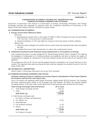#### **ANNEXURE - II**

#### **CONSERVATION OF ENERGY, TECHNOLOGY ABSORPTION AND FOREIGN EXCHANGE EARNINGS AND OUTGOING**

Disclosure of particulars with respect to Conservation of Energy, Technology Absorption and Foreign Exchange earnings and outgoings as required under the Companies (Disclosure of Particulars in the Board of Directors' Report) Section 134(3)(m) are given below:

#### **(A) CONSERVATION OF ENERGY:**

#### **a. Energy Conservation Measures Taken:**

Electricity:

- i) Maintained the power factor in the range of 0.998 to 0.999, throughout the year and got rebate of  $\overline{\zeta}$  1,82,416/- on this account in electricity bills.
- ii) Started installation of LED tube lights for saving of electricity power of factory lighting. Natural Gas:
	- i) Reduced steam leakages from boiler house to plant level and maintained the same throughout the year.
- ii) Installed float trap of right specification to reduce the condensation losses.

#### **b. Additional Investments and Proposals being implemented in Consumption of Energy:**

Your Company has given a turnkey assignment to "Systel Energy Solution India, Coimbtore" for reducing the leakages of compressed air in knitting machines and pipelines and also to improve the quality of compressed air supplied by compressors. They have already carried out the audit of our machines and pipelines.

The assignment will cost  $\overline{\zeta}$  7.50 lac and the payback period is estimated to be around half year to nine months. The materials have been purchased by them and their engineer has started the work in the first week of May 2015.

#### **(B) TECHNOLOGY ABSORPTION:**

Efforts made in Technology Absorption are as per Form annexed.

#### **(C) FOREIGN EXCHANGE EARNINGS AND OUTGO:**

#### **Activities relating to Exports, Initiatives to Increase Exports, Development of New Export Markets for Products and Services and Export Plan:**

Ours is an export unit operating under Export Promotion Capital Goods (EPCG) Scheme. The Company has been exporting goods mainly to the European and Gulf Markets. All efforts are directed towards increasing exports. In the year under review about 91% of total revenues were derived from the export.

| <b>Total Foreign Exchange Used and Earned:</b> | $($ ₹ in Lacs) |
|------------------------------------------------|----------------|
| a. i. Total foreign exchange earned            | 1729.78        |
| ii. Other                                      | 32.88          |
| SUB-TOTAL (a)                                  | 1762.66        |
| b. Total foreign exchange used                 |                |
| For import of Plant and Machinery              |                |
| ii. For Spares, etc.                           | 37.81          |
| iii. Raw Materials                             |                |
| iv. For Dividend remitted                      | 11.43          |
| iv. Others                                     | 14.64          |
| SUB-TOTAL (b)                                  | 63.88          |
| % of Import to Export                          | 3.62%          |
|                                                |                |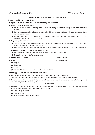#### **PARTICULARS WITH RESPECT TO ABSORPTION**

#### **Research and Development (R&D)**

#### **1. Specific areas in which R & D is carried out by the Company:**

#### **A. Development of new products**

- i) Launched our own brand namely "Lord Walker" for supply of premium quality socks in the domestic market.
- ii) Knitted highly sophisticated socks for international brand on contract basis with great success and are getting repeat orders.
- iii) Introduced embroidery in thick crew socks having rib and horizontal strips and also in other styles for export for which bulk orders are received.

#### **B. Repairing of imported parts**

- i) The technicians at factory have developed the technique to repair motor drives (IRT), PCB and other electronic parts of the knitting machines.
- ii) We have also developed an indigenous source to repair the broken cylinders of our knitting machines.

#### **2. Benefits derived as a result of the above R & D:**

- i) New business in domestic market besides export with higher profit margins.
- ii) Reduction in the Cost of electronic parts.

#### **3. Future plan of action:** To be planned

| 4. Expenditure on R & D:                                       | Not ascertainable |
|----------------------------------------------------------------|-------------------|
| (a) Capital                                                    |                   |
| (b) Recurring                                                  |                   |
| (c) Total                                                      |                   |
| (d) Total R & D expenditure as a percentage of total turnover. |                   |

#### **Technology absorption, adaptation and innovation:**

- 1. Efforts in brief, made towards technology absorption, adaptation and innovation: The Company has not imported any technology. It has imported major plant and machinery.
- 2. Benefits, derived as a result of the above efforts, e.g. product improvement, cost reduction, product development, import substitution, etc.:

#### Not Applicable

- 3. In case of imported technology (imported during the last 5 years reckoned from the beginning of the financial year), following information may be furnished:
	- (a) Technology imported –
	- (b) Year of Import
	- (c) Has technology been fully absorbed –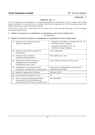#### **ANNEXURE - IV**

#### **FORM NO. AOC - 2**

Form for disclosure of particulars of contracts/arrangements entered into by the company with related parties referred to in sub-section (1) of section 188 of the Companies Act, 2013 including certain arms length transactions under third proviso thereto.

(Pursuant to clause (h) of sub-section (3) of section 134 of the Act and Rule 8(2) of the Companies (Accounts) Rules, 2014)

#### **1. Details of contracts or arrangements or transactions not at arm's length basis**

Not Applicable

#### **2. Details of material contracts or arrangement or transactions at arm's length basis :**

| (a) | Name(s) of the related party and<br>nature of relationship                                                                | - Armayesh Consultancy and Agencies Pvt. Ltd.<br>- Promoters Group Company<br>- Armayesh Embroideries Pvt. Ltd.<br>- Promoters Group Company |
|-----|---------------------------------------------------------------------------------------------------------------------------|----------------------------------------------------------------------------------------------------------------------------------------------|
| (b) | Nature of contracts/arrangements/<br>transactions                                                                         | Lease Agreement                                                                                                                              |
| (c) | Duration of the contracts/<br>arrangements/transactions                                                                   | Renewable every Year                                                                                                                         |
| (d) | Salient terms of the contracts or<br>arrangements or transactions<br>including the value, if any                          | 10% increase in lease rent every year                                                                                                        |
| (e) | Justification for entering into such<br>contracts or arrangements or transactions                                         | Lease rent is comparatively lower than the<br>prevailing market rates.                                                                       |
| (f) | Date(s) of approval by the Board                                                                                          | 29th May, 2015                                                                                                                               |
| (g) | Amount paid as advances, if any:                                                                                          | Nil                                                                                                                                          |
| (h) | Date on which the Special Resolution<br>was passed in General Meeting as<br>required under first proviso to section 188 : | Not Applicable                                                                                                                               |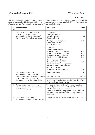## **ANNEXURE - V**

The ratio of the remuneration of each director to the median employee's remuneration and other details in terms of sub-section 12 of Section 197 of the Companies Act, 2013 read with Rule 5(1) of the Companies (Appointment and Remuneration of Managerial Personnel) Rules, 2014:

| SI.<br>No. | <b>Requirements</b>                                                                                                                        | <b>Disclosure</b>                                                                                                                                                                                                                                                           | <b>Ratio</b>                 |  |
|------------|--------------------------------------------------------------------------------------------------------------------------------------------|-----------------------------------------------------------------------------------------------------------------------------------------------------------------------------------------------------------------------------------------------------------------------------|------------------------------|--|
| (i)        | The ratio of the remuneration of<br>each director to the median<br>remuneration of the employees of<br>the Company for the financial year; | Remuneration:<br><b>Executive Directors:</b><br>Mr. Adi F. Madan<br><b>Managing Director</b>                                                                                                                                                                                | 14.96                        |  |
|            |                                                                                                                                            | Mrs. Ayesha K. DadyBurjor<br><b>Whole-time Director</b><br>(w.e.f. 01/09/2014)                                                                                                                                                                                              | 5.33                         |  |
|            |                                                                                                                                            | Sitting fees:<br>Independent Directors:<br>Mr. Arun S. Sanghi - Chairman<br>Mr. Ajit P. Walwaikar - Director<br>Mr. Harish H. Shah - Director<br>Mr. Vinay V. Sanghi - Director                                                                                             | 1.75<br>1.75<br>1.70<br>0.50 |  |
|            |                                                                                                                                            | Non-Independent Directors:<br>Mr. Ayesha K. DadyBurjor<br>(promoted from Non-Independent<br>Director to Whole-time Director<br>w.e.f. 01/09/2014)<br>Mr. Armand N. Aga - Director                                                                                           | 0.20<br>0.10                 |  |
| (ii)       | The percentage increase in<br>remuneration of each Director,                                                                               | <b>Managing Director</b>                                                                                                                                                                                                                                                    | Nil                          |  |
|            | Chief Financial Officer, Chief Executive<br>Officer, Company Secretary or                                                                  | <b>Company Secretary</b>                                                                                                                                                                                                                                                    | 13.76%                       |  |
|            | Manager, if any, in the financial year;                                                                                                    | Note: Whole-time Director and Chief Financial Officer<br>were appointed during the year.                                                                                                                                                                                    |                              |  |
| (iii)      | The percentage increase in the<br>median remuneration of employees<br>in the financial year;                                               | The median remuneration of the employees in the<br>financial year increased by 18.45%. The calculation<br>of % Increase in Median Remuneration is done<br>based on comparable employees. For this we have<br>excluded employees who were not eligible for any<br>increment. |                              |  |
| (iv)       | The number of permanent<br>employees on the rolls of the Company;                                                                          | There were 145 employees as on March 31, 2015.                                                                                                                                                                                                                              |                              |  |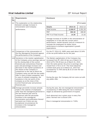# *25<sup>th</sup> Annual Report* **Virat Industries Limited**

| SI.<br>No. | <b>Requirements</b>                                                                                                                                                                                                                                                                                                                                                                                                                                                                                                                                                              | <b>Disclosure</b>                                                                                                                                                                                                                                                                                                                                                                                                                                                           |          |                            |
|------------|----------------------------------------------------------------------------------------------------------------------------------------------------------------------------------------------------------------------------------------------------------------------------------------------------------------------------------------------------------------------------------------------------------------------------------------------------------------------------------------------------------------------------------------------------------------------------------|-----------------------------------------------------------------------------------------------------------------------------------------------------------------------------------------------------------------------------------------------------------------------------------------------------------------------------------------------------------------------------------------------------------------------------------------------------------------------------|----------|----------------------------|
| (v)        | The explanation on the relationship<br>between average increase in                                                                                                                                                                                                                                                                                                                                                                                                                                                                                                               |                                                                                                                                                                                                                                                                                                                                                                                                                                                                             |          | $(5 \in \mathsf{In}$ Lacs) |
|            | remuneration and Company                                                                                                                                                                                                                                                                                                                                                                                                                                                                                                                                                         | <b>Details</b><br>2014-15<br>2013-14                                                                                                                                                                                                                                                                                                                                                                                                                                        |          |                            |
|            | performance;                                                                                                                                                                                                                                                                                                                                                                                                                                                                                                                                                                     | <b>Total Income</b>                                                                                                                                                                                                                                                                                                                                                                                                                                                         | 2,106.47 | 2,251.20                   |
|            |                                                                                                                                                                                                                                                                                                                                                                                                                                                                                                                                                                                  | <b>PBT</b>                                                                                                                                                                                                                                                                                                                                                                                                                                                                  | 302.18   | 486.60                     |
|            |                                                                                                                                                                                                                                                                                                                                                                                                                                                                                                                                                                                  | PBT % of Total Income                                                                                                                                                                                                                                                                                                                                                                                                                                                       | 14.35    | 21.62                      |
|            |                                                                                                                                                                                                                                                                                                                                                                                                                                                                                                                                                                                  | Average increase of 16.99% in the remuneration of<br>employees is in line with the current year's<br>performance, market dynamic and as a measure to<br>motivate the employees for better future<br>performance to achieve organisation's growth<br>expectations.                                                                                                                                                                                                           |          |                            |
| (vi)       | Comparison of the remuneration of<br>the Key Managerial Personnel against<br>the performance of the Company;                                                                                                                                                                                                                                                                                                                                                                                                                                                                     | For the FY 2014-15, KMPs were paid about 15.54%<br>of the net profit before tax for the year.                                                                                                                                                                                                                                                                                                                                                                               |          |                            |
| (vii)      | Variations in the market capitalisation<br>of the Company, price earnings ratio as<br>at the closing date of the current<br>financial year and previous financial<br>year and percentage increase over<br>decrease in the market quotations of<br>the shares of the Company in<br>comparison to the rate at which the<br>Company came out with the last public<br>offer in case of listed companies, and<br>in case of unlisted companies, the<br>variations in the net worth of the<br>company as at the close of the<br>current financial year and previous<br>financial year; | The Market capitalization of the Company has<br>increased from $\xi$ 1,563.16 lacs as of March 31,<br>2014 to ₹ 2,700.45 lacs as of March 31, 2015.<br>Over the same period, the price to earnings ratio<br>moved from 4.76 to 13.37. The Virat Industries<br>Limited stock price as at March 31, 2015 has<br>increased by 72.76% and by $\overline{\xi}$ 23.10 over the last<br>financial year.<br>During the year, the Company did not come out with<br>any public offer. |          |                            |
|            | (viii) Average percentile increase already<br>made in the salaries of employees<br>other than the managerial personnel in<br>the last financial year and its<br>comparison with the percentile<br>increase in the managerial<br>remuneration and justification thereof<br>and point out if there are any<br>exceptional circumstances for<br>increase in the managerial<br>remuneration;                                                                                                                                                                                         | During the year, the non-managerial remuneration<br>increased by 27.08% being the rise in minimum<br>wages as declared by government of Gujarat.<br>Such abnormal rise is given once in every five<br>years. Normal rise is around 10%.<br>Rise in managerial remuneration is 7.93%.                                                                                                                                                                                        |          |                            |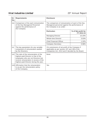| SI.<br>No. | <b>Requirements</b>                                                                                                                                                                                    | <b>Disclosure</b>                                                                                                                                 |        |  |
|------------|--------------------------------------------------------------------------------------------------------------------------------------------------------------------------------------------------------|---------------------------------------------------------------------------------------------------------------------------------------------------|--------|--|
| (ix)       | Comparison of the each remuneration<br>of the Key Managerial Personnel<br>against the performance of<br>the Company                                                                                    | The comparison of remuneration of each of the Key<br>Managerial personnel against the performance of<br>the Company is as under :                 |        |  |
|            |                                                                                                                                                                                                        | <b>Particulars</b><br>% of Net profit for<br>FY 2014-15                                                                                           |        |  |
|            |                                                                                                                                                                                                        | <b>Managing Director</b>                                                                                                                          | 10.20% |  |
|            |                                                                                                                                                                                                        | <b>Whole-time Director</b>                                                                                                                        | 3.03%  |  |
|            |                                                                                                                                                                                                        | <b>Chief Financial Officer</b><br>1.32%                                                                                                           |        |  |
|            |                                                                                                                                                                                                        | 0.98%<br><b>Company Secretary</b>                                                                                                                 |        |  |
| (x)        | The key parameters for any variable<br>component of remuneration availed<br>by the Directors;                                                                                                          | 1% commission of net profit of the Company if<br>applicable as per section 197 and 198 of the<br>Companies Act, 2013 and if decided by the Board. |        |  |
| (xi)       | The ratio of the remuneration of the<br>highest paid Director to that of the<br>employees who are not Directors but<br>receive remuneration in excess of the<br>highest paid Director during the year; | <b>None</b>                                                                                                                                       |        |  |
| (xii)      | Affirmation that the remuneration<br>is as per the remuneration policy<br>of the Company.                                                                                                              | Yes                                                                                                                                               |        |  |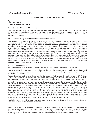#### **INDEPENDENT AUDITORS' REPORT**

#### To, The Members of **VIRAT INDUSTRIES LIMITED**

#### **Report on the Financial Statements**

We have audited the accompanying financial statements of **Virat Industries Limited** ("the Company") which comprise the Balance Sheet as at 31 March, 2015, the Statement of Profit and Loss and the Cash Flow Statement for the year then ended, and a summary of the significant accounting policies and other explanatory information.

#### **Management's Responsibility for the Financial Statements**

The Company's Board of Directors is responsible for the matters stated in Section 134(5) of the Companies Act, 2013 ("the Act") with respect to the preparation of these standalone financial statements that give a true and fair view of the financial position, financial performance and cash flows of the Company in accordance with the accounting principles generally accepted in India, including the Accounting Standards specified under Section 133 of the Act, read with Rule 7 of the Companies (Accounts) Rules, 2014. This responsibility also includes maintenance of adequate accounting records in accordance with the provisions of the Act for safeguarding of the assets of the Company and for preventing and detecting frauds and other irregularities; selection and application of appropriate accounting policies; making judgments and estimates that are reasonable and prudent; and design, implementation and maintenance of adequate internal financial controls, that were operating effectively for ensuring the accuracy and completeness of the accounting records, relevant to the preparation and presentation of the financial statements that give a true and fair view and are free from material misstatement, whether due to fraud or error.

#### **Auditor's Responsibility**

Our responsibility is to express an opinion on the financial statements based on our audit.

We have taken into account the provisions of the Act, the accounting and auditing standards and matters which are required to be included in the audit report under the provisions of the Act and the Rules made thereunder.

We conducted our audit in accordance with the Standards on Auditing specified under Section 143(10) of the Act. Those Standards require that we comply with ethical requirements and plan and perform the audit to obtain reasonable assurance about whether the financial statements are free from material misstatement.

An audit involves performing procedures to obtain audit evidence about the amounts and the disclosures in the financial statements. The procedures selected depend on the auditor's judgment, including the assessment of the risks of material misstatement of the financial statements, whether due to fraud or error. In making those risk assessments, the auditor considers internal financial control relevant to the Company's preparation of the financial statements that give a true and fair view in order to design audit procedures that are appropriate in the circumstances, but not for the purpose of expressing an opinion on whether the Company has in place an adequate internal financial controls system over financial reporting and the operating effectiveness of such controls. An audit also includes evaluating the appropriateness of the accounting policies used and the reasonableness of the accounting estimates made by the Company's Directors, as well as evaluating the overall presentation of the financial statements

We believe that the audit evidence we have obtained is sufficient and appropriate to provide a basis for our audit opinion on the financial statements.

#### **Opinion**

In our opinion and to the best of our information and according to the explanations given to us, the aforesaid financial statements give the information required by the Act in the manner so required and give a true and fair view in conformity with the accounting principles generally accepted in India, of the state of affairs of the Company as at 31 March, 2015 and its profit and its cash flows for the yearended on that date.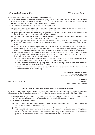#### **Report on Other Legal and Regulatory Requirements**

- 1. As required by the Companies (Auditor's Report) Order, 2015 ("the Order") issued by the Central Government of India in terms of Section 143 (11) of the Act, we give in the Annexure a statement on the matters specified in paragraphs 3 and 4 of the Order.
- 2. As required by Section 143 (3) of the Act, we report that:
	- (a) We have sought and obtained all the information and explanations which to the best of our knowledge and belief were necessary for the purposes of our audit.
	- (b) In our opinion, proper books of account as required by law have been kept by the Company so far as it appears from our examination of those books.
	- (c) The Balance Sheet, the Statement of Profit and Loss, and the Cash Flow Statement dealt with by this Report are in agreement with the books of account.
	- (d) In our opinion, the aforesaid financial statements comply with the Accounting Standards specified under Section 133 of the Act, read with Rule 7 of the Companies (Accounts) Rules, 2014.
	- (e) On the basis of the written representations received from the Directors as on 31 March, 2015 taken on record by the Board of Directors, none of the Directors is disqualified as on 31 March, 2015 from being appointed as a Director in terms of in terms of Section 164 (2) of the Act.
	- (f) With respect to the other matters to be included in the Auditor's Report in accordance with Rule 11 of the Companies (Audit and Auditors) Rules, 2014, in our opinion and to the best of our information and according to the explanations given to us:
		- i. The Company has disclosed the impact of pending litigations on its financial position in its financial statements - Refer Note 27(i) to the financial statements.
		- ii. The Company did not have any long-term contracts including derivative contracts for which there were any material foreseeable losses.
		- iii. There were no amounts which were required to be transferred to the Investor Education and Protection Fund by the Company.

For **Deloitte Haskins & Sells** Chartered Accountants (Firm's Registration No. 117364W)

**R. Salivati** Mumbai, 29**th** May, 2015. Partner (Membership No. 034004)

#### **ANNEXURE TO THE INDEPENDENT AUDITORS' REPORT**

(Referred to in paragraph 1 under 'Report on Other Legal and Regulatory Requirements' section of our report of even dateon the financial statements of Virat Industries Limited for the year ended 31 March, 2015)

- (i) Having regard to the nature of the Company's business/activities/results during the year, clauses (v), (vi) and (xi) of paragraph 3 of the order are not applicable to the Company.
- (ii) In respect of its fixed assets:
	- (a) The Company has maintained proper records showing full particulars, including quantitative details and situation of the fixed assets.
	- (b) The fixed assets were physically verified during the year by the Management in accordance with a regular programme of verification which, in our opinion, provides for physical verification of all the fixed assets at reasonable intervals. According to the information and explanation given to us, no material discrepancies were noticed on such verification.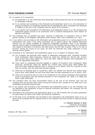# *25<sup>th</sup> Annual Report* 25<sup>th</sup> **Annual Report**

- (iii) In respect of its inventories:
	- (a) As explained to us, the inventories were physically verified during the year by the Management at reasonable intervals.
	- (b) In our opinion and according to the information and explanation given to us, the procedures of physical verification of inventories followed by the Management were reasonable and adequate in relation to the size of the Company and the nature of its business.
	- (c) In our opinion and according to the information and explanations given to us, the Company has maintained proper records of its inventories and no material discrepancies were noticed on physical verification.
- (iv) The Company has not granted any loans, secured or unsecured, to companies, firms or other parties covered in the Register maintained under Section 189 of the Companies Act, 2013.
- (v) In our opinion and according to the information and explanations given to us, having regard to the explanations that some of the items purchased are of special nature and suitable alternative sources are not readily available for obtaining comparable quotations, there is an adequate internal control system commensurate with the size of the Company and the nature of its business with regard to purchases of inventory and fixed assets and the sale of goods. There is no sale of services. During the course of our audit, we have not observed any major weakness in such internal control system.
- (vi) According to the information and explanations given to us in respect of statutory dues:
	- (a) The Company has generally been regular in depositing undisputed dues, including Provident Fund, Employees' State Insurance, Income-tax, Sales Tax, Wealth Tax, Service Tax, Custom Duty, Excise Duty, Value Added Tax, Cess and other material statutory dues applicable to it with the appropriate authorities.
	- (b) There were no undisputed amounts payable in respect of Provident Fund, Employees' State Insurance, Income-tax, Sales tax, Wealth Tax, Custom Duty, Excise Duty, Value Added Tax, Cess and other material statutory dues in arrears as at 31 March, 2015 for a period of more than six months from the date they became payable.
	- (c) There are no disputed dues of Income-tax, Sales Tax, Wealth Tax, Service Tax, Custom Duty, Excise Duty, Value Added Tax and Cess which have not been deposited as on 31 March, 2015.
	- (d) There are no amounts that are due to be transferred to the Investor Education and Protection Fund in accordance with the relevant provisions of the Companies Act, 1956 (1 of 1956) and Rules made thereunder.
- (vii) The Company does not have accumulated losses at the end of the financial year and the Company has not incurred cash losses during the financial year covered by our audit and in the immediately preceding financial year.
- (viii) In our opinion and according to the information and explanations given to us, the Company has not defaulted in the repayment of dues to financial institutions and banks. The Company has not issued any debentures.
- (ix) According to the information and explanations given to us, the Company has not given guarantees for loans taken by others from banks and financial institutions.
- (x) To the best of our knowledge and according to the information and explanations given to us, no fraud by the Company and no material fraud on the Company has been noticed or reported during the year.

For **Deloitte Haskins & Sells** Chartered Accountants (Firm's Registration No. 117364W)

**R. Salivati** Mumbai, 29<sup>th</sup> May, 2015. **Partner** (Membership No. 034004)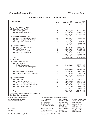# **BALANCE SHEET AS AT 31 MARCH, 2015**

|             | <b>Particulars</b>                                           |                                             | <b>Note</b><br>No. |          | As at<br>31 March, 2015<br>₹             | As at<br>31 March, 2014<br>₹                       |
|-------------|--------------------------------------------------------------|---------------------------------------------|--------------------|----------|------------------------------------------|----------------------------------------------------|
| А.          | <b>EQUITY AND LIABILITIES</b>                                |                                             |                    |          |                                          |                                                    |
| (1)         | <b>Shareholders' Funds</b>                                   |                                             |                    |          |                                          |                                                    |
|             | (a) Share Capital                                            |                                             | 3                  |          | 49,233,400                               | 49,233,400                                         |
|             | (b) Reserve and Surplus                                      |                                             | 4                  |          | 83,516,656                               | 74,002,930                                         |
| (2)         | <b>Non-current Liabilities</b>                               |                                             |                    |          | 132,750,056                              | 123,236,330                                        |
|             | (a) Deferred Tax Liabilities (Net)                           |                                             | 40                 |          | 2,709,705                                | 4,636,968                                          |
|             | (b) Other Long-Term Liabilities                              |                                             | 5                  |          | 46,497                                   |                                                    |
|             | (c) Long-Term Provisions                                     |                                             | 6                  |          | 1,307,221                                | 894,862                                            |
|             |                                                              |                                             |                    |          | 4,063,423                                | 5,531,830                                          |
|             | (3) Current Liabilities<br>(a) Short-term borrowings         |                                             | 7                  |          | 6,200,000                                | 19,498,545                                         |
|             | (b) Trade Payables                                           |                                             | 8                  |          | 15,735,401                               | 14,337,196                                         |
|             | (c) Other Current Liabilities                                |                                             | 9                  |          | 2,502,789                                | 2,390,550                                          |
|             | (d) Short-term Provisions                                    |                                             | 10                 |          | 11,245,834                               | 10,679,987                                         |
|             |                                                              |                                             |                    |          | 35,684,024                               | 46,906,278                                         |
|             | <b>Total</b>                                                 |                                             |                    |          | 172,497,503                              | 175,674,438                                        |
| В.          | <b>ASSETS</b>                                                |                                             |                    |          |                                          |                                                    |
| (1)         | <b>Non-Current Assets</b>                                    |                                             |                    |          |                                          |                                                    |
|             | (a) Fixed Assets<br>(i) Tangible Assets                      |                                             | 11                 |          | 54,525,235                               | 59,774,687                                         |
|             | (ii) Capital Work In Progress                                |                                             |                    |          |                                          | 1,345,612                                          |
|             |                                                              |                                             |                    |          | 54,525,235                               | 61,120,299                                         |
|             | (b) Non-current investments                                  |                                             | 12                 |          | 2,650,000                                | 2,650,000                                          |
|             | Long-term Loans and Advances<br>(C) =                        |                                             | 13                 |          | 3,766,690                                | 4,902,725                                          |
|             |                                                              |                                             |                    |          | 60,941,925                               | 68,673,024                                         |
| (2)         | <b>Current Assets</b>                                        |                                             |                    |          |                                          |                                                    |
|             | (a) Inventories                                              |                                             | 14                 |          | 54,865,756                               | 53,026,417                                         |
|             | (b) Trade Receivables<br>(c) Cash and Cash Equivalents       |                                             | 15<br>16           |          | 8,776,044<br>35,751,882                  | 21,215,078<br>23,543,336                           |
|             | (d) Short-term loans and advances                            |                                             | 17                 |          | 10,469,942                               | 8,129,784                                          |
|             | (e) Other Current Assets                                     |                                             | 18                 |          | 1,691,954                                | 1,086,799                                          |
|             |                                                              |                                             |                    |          | 111,555,578                              | 107,001,414                                        |
|             | Total                                                        |                                             |                    |          | 172,497,503                              | 175,674,438                                        |
|             | See accompanying notes forming part of                       |                                             |                    |          |                                          |                                                    |
|             | the financial statements                                     |                                             |                    |          |                                          |                                                    |
|             | In terms of our Report attached                              | For and on behalf of the Board of Directors |                    |          |                                          |                                                    |
|             | For Deloitte Haskins & Sells<br><b>Chartered Accountants</b> | Arun S. Sanghi<br>Chairman                  |                    |          | Adi F. Madan<br><b>Managing Director</b> | Ayesha K. DadyBurjor<br><b>Whole-time Director</b> |
|             |                                                              | DIN: 00022168                               |                    |          | DIN: 00023629                            | DIN: 02949248                                      |
|             |                                                              | <b>Bhavik R. Maisuria</b>                   |                    |          | Ajit P. Walwaikar                        | Armand N. Aga                                      |
|             |                                                              | <b>Chief Financial Officer</b>              |                    | Director | DIN: 00022123                            | Director<br>DIN: 00022401                          |
| R. Salivati |                                                              | Asinkhan S. Baholu                          |                    |          | Harish H. Shah                           | Vinay V. Sanghi                                    |
| Partner     |                                                              | <b>Company Secretary</b>                    |                    | Director |                                          | Director                                           |
|             |                                                              | Membership No.: FCS 703                     |                    |          | DIN: 03032200                            | DIN: 00309085                                      |
|             | Mumbai, Dated: 29 <sup>th</sup> May, 2015.                   | Mumbai, Dated: 29th May, 2015.              |                    |          |                                          |                                                    |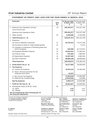# *25<sup>th</sup> Annual Report* **Virat Industries Limited**

# **STATEMENT OF PROFIT AND LOSS FOR THE YEAR ENDED 31 MARCH, 2015**

|   | <b>Particulars</b>                                                                              |                                                                                                                                                           | <b>Note</b><br>No. | For the year ended<br>31 March, 2015<br>₹                                                       | For the year ended<br>31 March, 2014<br>₹                                                                         |
|---|-------------------------------------------------------------------------------------------------|-----------------------------------------------------------------------------------------------------------------------------------------------------------|--------------------|-------------------------------------------------------------------------------------------------|-------------------------------------------------------------------------------------------------------------------|
| 1 | Revenue from Operations (Gross)<br>Less: Excise Duty                                            |                                                                                                                                                           | 19                 | 205, 343, 577                                                                                   | 216,327,209                                                                                                       |
|   | Revenue from Operations (Net)                                                                   |                                                                                                                                                           |                    | 205,343,577                                                                                     | 216,327,209                                                                                                       |
| 2 | Other Income                                                                                    |                                                                                                                                                           | 20                 | 5,303,896                                                                                       | 8,792,990                                                                                                         |
| 3 | Total Revenue (1 + 2)                                                                           |                                                                                                                                                           |                    | 210,647,473                                                                                     | 225,120,199                                                                                                       |
| 4 | <b>Expenses</b>                                                                                 |                                                                                                                                                           |                    |                                                                                                 |                                                                                                                   |
|   | (a) Cost of materials consumed                                                                  |                                                                                                                                                           | 21                 | 66,722,014                                                                                      | 78,227,296                                                                                                        |
|   | (b) Purchase of Stock-in-Trade (traded goods)                                                   |                                                                                                                                                           | 22                 |                                                                                                 | 72,675                                                                                                            |
|   | (c) Changes in inventories of finished goods and                                                |                                                                                                                                                           | 23                 |                                                                                                 |                                                                                                                   |
|   | work in progress<br>(d) Employee Benefits Expense                                               |                                                                                                                                                           | 24                 | 816,508<br>32,643,041                                                                           | (6,774,647)<br>27,560,522                                                                                         |
|   | (e) Finance Costs                                                                               |                                                                                                                                                           | 25                 | 870,382                                                                                         | 1,068,694                                                                                                         |
|   | (f) Depreciation Expense                                                                        |                                                                                                                                                           | 11                 | 10,397,560                                                                                      | 9,496,026                                                                                                         |
|   | (g) Other Expenses                                                                              |                                                                                                                                                           | 26                 | 68,980,168                                                                                      | 66,809,683                                                                                                        |
|   | <b>Total Expenses</b>                                                                           |                                                                                                                                                           |                    | 180,429,673                                                                                     | 176,460,249                                                                                                       |
| 5 | Profit before Tax (3 - 4)                                                                       |                                                                                                                                                           |                    | 30,217,800                                                                                      | 48,659,950                                                                                                        |
| 6 | <b>Tax Expense:</b>                                                                             |                                                                                                                                                           |                    |                                                                                                 |                                                                                                                   |
|   | a) Current Tax Expense                                                                          |                                                                                                                                                           |                    | 10,970,219                                                                                      | 15,300,000                                                                                                        |
|   | b) Short / (Excess) provision for tax<br>relating to prior years                                |                                                                                                                                                           |                    | 53,297                                                                                          |                                                                                                                   |
|   | c) Net Current Tax Expense<br>d) Deferred Tax (credit)/charge                                   |                                                                                                                                                           |                    | 11,023,516<br>(1,619,343)                                                                       | 15,300,000<br>519,986                                                                                             |
|   | <b>Net Tax Expense</b>                                                                          |                                                                                                                                                           |                    | 9,404,173                                                                                       | 15,819,986                                                                                                        |
| 7 | Profit for the Year (5 - 6)                                                                     |                                                                                                                                                           |                    | 20,813,627                                                                                      | 32,839,964                                                                                                        |
| 8 | Earning per Share (of ₹ 10/- each)<br>(1) Basic<br>(2) Diluted                                  |                                                                                                                                                           | 39                 | 4.23<br>4.23                                                                                    | 6.67<br>6.67                                                                                                      |
|   | See accompanying notes forming part of<br>the financial statements                              |                                                                                                                                                           |                    |                                                                                                 |                                                                                                                   |
|   | In terms of our Report attached<br>For Deloitte Haskins & Sells<br><b>Chartered Accountants</b> | For and on behalf of the Board of Directors<br>Arun S. Sanghi<br>Chairman<br>DIN: 00022168<br><b>Bhavik R. Maisuria</b><br><b>Chief Financial Officer</b> | Director           | Adi F. Madan<br><b>Managing Director</b><br>DIN: 00023629<br>Ajit P. Walwaikar<br>DIN: 00022123 | Ayesha K. DadyBurjor<br><b>Whole-time Director</b><br>DIN: 02949248<br>Armand N. Aga<br>Director<br>DIN: 00022401 |

**R. Salivati Rightan S. Baholu** Harish H. Shah Vinay V. Sanghi<br>
Partner Company Secretary Director Director<br>
Membership No.: FCS 703 DIN: 03032200 DIN: 00309085 Partner Company Secretary Director Director

Mumbai, Dated: 29**th** May, 2015. Mumbai, Dated: 29**th** May, 2015.

Membership No.: FCS 703 DIN: 03032200 DIN: 00309085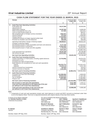# **CASH FLOW STATEMENT FOR THE YEAR ENDED 31 MARCH, 2015**

|   | <b>Particulars</b>                                                                                                                                                                                                                      |                                                            | For the year ended<br>31 March, 2015 | For the year ended<br>31 March, 2014                       |
|---|-----------------------------------------------------------------------------------------------------------------------------------------------------------------------------------------------------------------------------------------|------------------------------------------------------------|--------------------------------------|------------------------------------------------------------|
|   |                                                                                                                                                                                                                                         | ₹                                                          | ₹                                    | ₹                                                          |
| A | <b>Cash Flow from Operating Activities:</b><br>Profit before Tax<br>Adjustments for:                                                                                                                                                    | 30,217,800                                                 |                                      | 48,659,950                                                 |
|   | Depreciation expense<br>Share of loss/(profit) from LLPs<br>Loss on Fixed Assets written off<br>Net unrealised gain on foreign currency translation                                                                                     | 10,397,560<br>217,694<br>(346, 447)                        |                                      | 9,496,026<br>(159, 161)<br>884,517<br>(25, 161)            |
|   | Interest Expense<br>Interest Income<br>Liabilities/Provisions no longer required written back<br>Provision for Doubful Loan and Advances                                                                                                | 870,382<br>(2, 240, 650)<br>(86, 722)<br>500,000           |                                      | 1,068,694<br>(1,770,010)<br>(42, 718)<br>500,000           |
|   | Operating Profit before change in Working Capital                                                                                                                                                                                       | 39,529,617                                                 |                                      | 58,612,137                                                 |
|   | Changes in Working Capital<br>Decrease/(Increase) in Trade receivables and loans and advances<br>Decrease/(Increase) in Inventories<br>(Decrease)/Increase in Trade and other payables                                                  | 9,777,750<br>(1,839,339)<br>1,733,520                      |                                      | (4,919,973)<br>(12, 309, 890)<br>(4,633,879)               |
|   |                                                                                                                                                                                                                                         | 9,671,931                                                  |                                      | (21, 863, 742)                                             |
|   | Cash generated from operations<br>Net Income tax paid                                                                                                                                                                                   | 49,201,548<br>(9,676,392)                                  |                                      | 36,748,395<br>(16,999,956)                                 |
|   | <b>Net Cash from Operating Activities</b>                                                                                                                                                                                               |                                                            | 39,525,156                           | 19,748,439                                                 |
| в | <b>Cash Flow from Investing Activities:</b><br>Capital expenditure on fixed assets, including capital advances<br>Investment in LLPs<br>Proceeds from Sale of Fixed Assets<br>Bank balances not considered as Cash and cash equivalents | (4,733,808)                                                |                                      | (9,678,375)<br>(150,000)<br>3,331                          |
|   | - Placed<br>- Matured<br>Interest received from Investments<br>Interest received on Deposits                                                                                                                                            | (16, 576, 771)<br>12,679,712<br>183,500<br>1,451,995       |                                      | (13,022,137)<br>5,671,730<br>203,610<br>939,388            |
|   | <b>Net Cash used in Investing Activities</b>                                                                                                                                                                                            |                                                            | (6,995,372)                          | (16,032,453)                                               |
| C | <b>Cash Flow from Financing Activities:</b><br>Proceeds from short term borrowings<br>Dividend paid<br>Tax on Dividend<br>Finance cost                                                                                                  | (13, 298, 545)<br>(8,543,270)<br>(1,506,099)<br>(870, 382) |                                      | 6,892,625<br>(7, 120, 718)<br>(1, 255, 082)<br>(1,068,694) |
|   | <b>Net Cash used in Financing Activities</b>                                                                                                                                                                                            |                                                            | (24, 218, 296)                       | (2,551,869)                                                |
|   | Net increase in cash and cash equivalents<br>Cash and Cash equivalents at the beginning of the year<br>(as defined in AS-3 Cash Flow Statements)                                                                                        |                                                            | 8,311,488<br>4,285,160               | 1,164,117<br>3,121,043                                     |
|   | Cash and Cash equivalents at the end of the year<br>(as defined in AS-3 Cash Flow Statements)                                                                                                                                           |                                                            | 12,596,648                           | 4,285,160                                                  |

**Note:**

1 Components of cash and cash equivalents include cash, bank balances in current and EEFC accounts as disclosed under Note no.16 of the Balance Sheet. There are no deposits/investments with original maturity of less than three months.

| In terms of our Report attached                              | For and on behalf of the Board of Directors                        |                                                           |                                                                     |  |  |
|--------------------------------------------------------------|--------------------------------------------------------------------|-----------------------------------------------------------|---------------------------------------------------------------------|--|--|
| For Deloitte Haskins & Sells<br><b>Chartered Accountants</b> | Arun S. Sanghi<br>Chairman<br>DIN: 00022168                        | Adi F. Madan<br><b>Managing Director</b><br>DIN: 00023629 | Ayesha K. DadyBurjor<br><b>Whole-time Director</b><br>DIN: 02949248 |  |  |
|                                                              | <b>Bhavik R. Maisuria</b><br><b>Chief Financial Officer</b>        | Ajit P. Walwaikar<br>Director<br>DIN: 00022123            | Armand N. Aga<br>Director<br>DIN: 00022401                          |  |  |
| R. Salivati<br>Partner                                       | Asinkhan S. Baholu<br>Company Secretary<br>Membership No.: FCS 703 | Harish H. Shah<br>Director<br>DIN: 03032200               | Vinay V. Sanghi<br>Director<br>DIN: 00309085                        |  |  |
| Mumbai, Dated: 29th May, 2015.                               | Mumbai, Dated: 29th May, 2015.                                     |                                                           |                                                                     |  |  |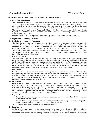#### **1. Corporate Information:**

Virat Industries Limited ("the Company") is a Manufacturer and Exporter of premium quality of dress and sport socks for Men, Ladies and Children. The Company also manufactures high quality football socks for many prestigious clubs of Europe. The socks are knitted and processed on imported machinery. The socks of the Company are exported to Switzerland, U.K and Gulf countries for top end markets.

The manufacturing activity and Registered Office of the Company are located in Navsari, South Gujarat. The Head Office of the Company is situated in Mumbai. The marketing function is carried out at the Mumbai Head Office.

Virat Industries Limited is a public imited Company, listed on the Bombay Stock Exchange.

#### **2. Significant Accounting Policies:**

#### 2.1 **Basis for preparation of Accounts:**

The financial statements of the Company have been prepared in accordance with the Generally Accepted Accounting Principles in India (Indian GAAP) to comply with the Accounting Standards specified under Section 133 of the Companies Act, 2013, read with Rule 7 of the Companies (Accounts) Rules, 2014 and the relevant provisions of the Companies Act, 2013 ("the 2013 Act"). The financial statements have been prepared on accrual basis under the historical cost convention. The accounting policies adopted in the preparation of the financial statements are consistent with those followed in the previous year.

#### 2.2 **Use of Estimates:**

The preparation of the financial statements in conformity with Indian GAAP requires the Management to make estimates and assumptions considered in the reported amounts of assets and liabilities (including contingent liabilities) and the reported income and expenses during the year. The Management believes that the estimates used in preparation of the financial statements are prudent and reasonable. Future results could differ due to these estimates and the differences between the actual results and the estimates are recognised in the periods in which the results are known / materialise.

#### 2.3 **Inventories:**

Inventories are valued at the lower of cost on weighted average basis and the net realisable value after providing for obsolescence and other losses, where considered necessary. Cost includes all charges in bringing the goods to the point of sale, including octroi and other levies, transit insurance and receiving charges. Work-in-progress and finished goods include appropriate proportion of overheads and, where applicable, excise duty.

#### 2.4 **Fixed Assets:**

Fixed assets are carried at cost less accumulated depreciation / amortisation and impairment losses, if any. The cost of fixed assets comprises its purchase price net of any trade discounts and rebates, any import duties and other taxes (other than those subsequently recoverable from the tax authorities), any directly attributable expenditure on making the asset ready for its intended use, other incidental expenses and interest on borrowings attributable to acquisition of qualifying fixed assets up to the date the asset is ready for its intended use.

#### 2.5 **Depreciation:**

a) Depreciable amount for assets is the cost of an asset, or other amount substituted for cost, less its estimated residual value.

Depreciation on tangible fixed assets has been provided on the straight-line method as per the useful life prescribed in Schedule II to the Companies Act, 2013.

b) Leasehold land is amortized over the duration of lease.

#### 2.6 **Impairment:**

At the end of each year, the Company determines whether a provision should be made for impairment loss on fixed assets by considering the indication that an impairment loss may have occurred in accordance with Accounting Standard 28 "Impairment of Assets". Where the recoverable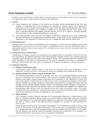amount of any fixed assets is lower than its carrying amount in accordance with AS 28, a provision for impairment loss on fixed assets is made for the difference.

#### 2.7 **Leases:**

- (a) Assets leased by the Company in its capacity as a lessee, where substantially all the risks and rewards of ownership vest in the Company are classified as finance leases. Such leases are capitalised at the inception of the lease at the lower of the fair value and the present value of the minimum lease payments and a liability is created for an equivalent amount. Each lease rental paid is allocated between the liability and the interest cost so as to obtain a constant periodic rate of interest on the outstanding liability for each year.
- (b) Lease arrangements where the risks and rewards incidental to ownership of an asset substantially vest with the lessor are recognised as operating leases. Lease rentals under operating leases are recognised in the Statement of Profit and Loss on a straight-line basis over the lease term.

#### 2.8 **Borrowing Cost:**

Borrowing cost, if any, that are attributable to the acquisition or construction of qualifying assets are capitalized as part of the cost of such assets. A qualifying asset is one that necessarily takes a substantial period of time to get ready for its intended use or sale. All other borrowing costs are charged to revenue.

#### 2.9 **Foreign Currency Transactions:**

Transactions in foreign currency are recorded at the original rates of exchange in force at the time the transactions are effected. Monetary Items denominated in foreign currency are restated using the exchange rates prevailing at the date of the Balance Sheet. The exchange difference between the rates prevailing on the date of transactions on the date of settlement and also on translation of Monetary items at the end of the year, is recognised as income or expense, as the case may be.

#### 2.10 **Employee Benefits:**

#### **a) Defined Contribution Plan:**

Contributions under Defined Plans in the form of Provident Fund are recognised in the Statement of profit and loss in the period in which the employee has rendered the service.

#### **b) Defined Benefit and Other Long-term Benefit Plan:**

For defined benefit plans in the form of gratuity fund, the cost of providing benefits is determined using the Projected Unit Credit method, with actuarial valuations being carried out at each balance sheet date. Actuarial gains and losses are recognised in the Statement of Profit and Loss in the period in which they occur. Past service cost is recognised immediately to the extent that the benefits are already vested and otherwise is amortised on a straight-line basis over the average period until the benefits become vested. The retirement benefit obligation recognised in the Balance Sheet represents the present value of the defined benefit obligation as adjusted for unrecognised past service cost, as reduced by the fair value of scheme assets. Any asset resulting from this calculation is limited to past service cost, plus the present value of available refunds and reductions in future contributions to the schemes.

#### **c) Other Benefits:**

The Company's liability towards provision for Compensated Absences is determined on the basis of actuarial valuation being carried out at each Balance Sheet date using the Projected Unit Credit Method. The retirement benefit obligation recognised in the Balance Sheet represents the total of present value of the defined benefit obligation as reduced by unrecognised past service cost.

Actuarial gains and losses are recognised immediately in the Statement of profit and loss in the period of occurrence of such gains and losses. Past service cost is recognised as an expense on a straight line basis over the average period until the benefits become vested. To the extent that the benefits are already vested immediately following the introduction of or changes to a defined benefit plan, past service cost is recognised immediately.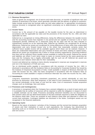# *25<sup>th</sup> Annual Report* 25<sup>th</sup> **Annual Report**

#### 2.11 **Revenue Recognition:**

Sales of goods are recognised, net of returns and trade discounts, on transfer of significant risks and rewards of ownership to the buyer, which generally coincides with the delivery of goods to customers. Sales include excise duty but exclude sales tax and value added tax. In appropriate circumstances, revenue (income) is recognised when no significant uncertainty as to determination or realisation exists.

#### 2.12 **Income Taxes:**

Current tax is the amount of tax payable on the taxable income for the year as determined in accordance with the applicable tax rates and the provisions of the Income Tax Act, 1961 and other applicable tax laws.

Deferred tax is recognised on timing differences, being the differences between the taxable income and the accounting income that originate in one period and are capable of reversal in one or more subsequent periods. Deferred tax is measured using the tax rates and the tax laws enacted or substantively enacted as at the reporting date. Deferred tax liabilities are recognised for all timing differences. Deferred tax assets are recognised for timing differences of items other than unabsorbed depreciation and carry forward losses only to the extent that reasonable certainty exists that sufficient future taxable income will be available against which these can be realised. However, if there are unabsorbed depreciation and carry forward of losses and items relating to capital losses, deferred tax assets are recognised only if there is virtual certainty supported by convincing evidence that there will be sufficient future taxable income available to realise the assets. Deferred tax assets and liabilities are offset if such items relate to taxes on income levied by the same governing tax laws and the Company has a legally enforceable right for such set off. Deferred tax assets are reviewed at each balance sheet date for their realisability.

Current and deferred tax relating to items directly recognised in reserves are recognised in reserves and not in the Statement of Profit and Loss.

Tax on distributed profits payable in accordance with the provision of Income Tax Act, 1961 is disclosed in accordance with the Guidance Note on Accounting for Corporate Dividend Tax issued by the Institute of Chartered Accountants of India. Credit available in respect of Minimum Alternate Tax under the Income Tax Act, 1961 has been recognised in accordance with the Guidance Note on Accounting for Credit available in respect of Minimum Alternate Tax under the Income Tax Act, 1961.

#### 2.13 **Investments:**

Long-term investments (excluding investment properties), are carried individually at cost less provision for diminution, other than temporary, in the value of such investments. Current investments are carried individually, at the lower of cost and fair value. Cost of investments include acquisition charges such as brokerage, fees and duties.

#### 2.14 **Provisions and Contingencies:**

A provision is recognised when the Company has a present obligation as a result of past events and it is probable that an outflow of resources will be required to settle the obligation in respect of which a reliable estimate can be made. Provisions (excluding retirement benefits) are not discounted to their present value and are determined based on the best estimate required to settle the obligation at the balance sheet date. These are reviewed at each balance sheet date and adjusted to reflect the current best estimates. Contingent liabilities are disclosed in the Notes. Contingent assets are not recognised in the financial statements.

#### 2.15 **Operating Cycle:**

Based on the nature of products / activities of the Company and the normal time between acquisition of assets and their realisation in cash or cash equivalents, the Company has determined its operating cycle as 12 months for the purpose of classification of its assets and liabilities as current and non-current.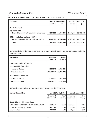| <b>Particulars</b>                                         | As at 31 March, 2015 |            | As at 31 March, 2014 |            |
|------------------------------------------------------------|----------------------|------------|----------------------|------------|
|                                                            | <b>Number</b>        | ₹          | Number               | ₹          |
| 3 Share Capital                                            |                      |            |                      |            |
| (a) Authorised                                             |                      |            |                      |            |
| Equity Shares of $\bar{\tau}$ 10/- each with voting rights | 5,000,000            | 50,000,000 | 5,000,000            | 50,000,000 |
| (b) Issued, Subscribed and Paid Up                         |                      |            |                      |            |
| Equity Shares of $\bar{\tau}$ 10/- each with voting rights | 4,923,340            | 49,233,400 | 4,923,340            | 49.233.400 |
| <b>Total</b>                                               | 4,923,340            | 49,233,400 | 4,923,340            | 49,233,400 |
|                                                            |                      |            |                      |            |

3.1 Reconciliation of the number of shares and amount outstanding at the beginning and at the end of the reporting period:

| <b>Particulars</b>               | <b>Opening</b><br><b>Balance</b> | <b>Closing</b><br><b>Balance</b> |
|----------------------------------|----------------------------------|----------------------------------|
| Equity Shares with voting rights |                                  |                                  |
| Year ended 31 March, 2015        |                                  |                                  |
| - Number of Shares               | 4,923,340                        | 4,923,340                        |
| - Amount in Rupees               | 49,233,400                       | 49,233,400                       |
| Year ended 31 March, 2014        |                                  |                                  |
| - Number of Shares               | 4,923,340                        | 4,923,340                        |
| - Amount in Rupees               | 49,233,400                       | 49,233,400                       |

3.2 Details of shares held by each shareholder holding more than 5% shares:

| Name of Shareholders                          | As at 31 March, 2015            |                          | As at 31 March, 2014     |                   |
|-----------------------------------------------|---------------------------------|--------------------------|--------------------------|-------------------|
|                                               | Number of<br><b>Shares held</b> | $%$ of<br><b>Holding</b> | Number of<br>Shares held | $%$ of<br>Holding |
| <b>Equity Shares with voting rights</b>       |                                 |                          |                          |                   |
| Shapoorjee Chandabhoy Finvest Private Limited | 1,753,795                       | 35.62                    | 1,753,795                | 35.62             |
| H M Investments (UK) Limited                  | 492,340                         | 10.00                    | 492.340                  | 10.00             |
| Naozer J. Aga                                 | 475,277                         | 9.65                     | 475,127                  | 9.65              |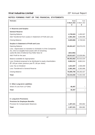# *25<sup>th</sup> Annual Report* **Virat Industries Limited**

| <b>Particulars</b>                                                                                       | As at               | As at               |
|----------------------------------------------------------------------------------------------------------|---------------------|---------------------|
|                                                                                                          | 31 March, 2015<br>₹ | 31 March, 2014<br>₹ |
| <b>4 Reserves and Surplus</b>                                                                            |                     |                     |
| <b>General Reserve</b>                                                                                   |                     |                     |
| <b>Opening Balance</b>                                                                                   | 4,739,503           | 1,455,507           |
| Add: Transferred from surplus in Statement of Profit and Loss                                            | 2,081,363           | 3,283,996           |
| <b>Closing Balance</b>                                                                                   | 6,820,866           | 4,739,503           |
| <b>Surplus in Statement of Profit and Loss</b>                                                           |                     |                     |
| <b>Opening Balance</b>                                                                                   | 69,263,427          | 50,075,570          |
| Less: Depreciation on transition to Schedule II of the Companies                                         |                     |                     |
| Act, 2013 on tangible fixed assets with nil remaining<br>useful life (Net of Deferred Tax) Refer Note 42 | (623, 392)          |                     |
| Add: Profit for the year                                                                                 | 20,813,627          | 32,839,964          |
| Balance available for Appropriation                                                                      | 89,453,662          | 82,915,534          |
| Less: Dividend proposed to be distributed to equity shareholders                                         | 8,862,012           | 8,862,012           |
| (₹1.80 per share; previous year ₹1.80 per share)                                                         |                     |                     |
| Less: Tax on Dividend                                                                                    | 1,814,497           | 1,506,099           |
| Less: Transferred to General Reserve                                                                     | 2,081,363           | 3,283,996           |
| <b>Closing Balance</b>                                                                                   | 76,695,790          | 69,263,427          |
| <b>Total</b>                                                                                             | 83,516,656          | 74,002,930          |
|                                                                                                          |                     |                     |
|                                                                                                          |                     |                     |
| 5 Other Long-term Liabilities                                                                            |                     |                     |
| Share of Loss from LLP (Net)                                                                             | 46,497              |                     |
| <b>Total</b>                                                                                             | 46,497              |                     |
|                                                                                                          |                     |                     |
| <b>6 Long-term Provisions</b>                                                                            |                     |                     |
| <b>Provision for Employee Benefits</b>                                                                   |                     |                     |
| Provision for Compensated Absences                                                                       | 1,307,221           | 894,862             |
| <b>Total</b>                                                                                             | 1,307,221           | 894,862             |
|                                                                                                          |                     |                     |
|                                                                                                          |                     |                     |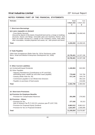| <b>Particulars</b>                                                                                                                                                                                                                                                                                                                                             | As at<br>31 March, 2015 | As at<br>31 March, 2014 |
|----------------------------------------------------------------------------------------------------------------------------------------------------------------------------------------------------------------------------------------------------------------------------------------------------------------------------------------------------------------|-------------------------|-------------------------|
|                                                                                                                                                                                                                                                                                                                                                                | ₹                       | ₹                       |
| <b>7 Short-term Borrowings</b>                                                                                                                                                                                                                                                                                                                                 |                         |                         |
| (a) Loans repayable on demand                                                                                                                                                                                                                                                                                                                                  |                         |                         |
| - From Banks Secured<br>(Secured by deposit of title deeds of leasehold land and by a charge on buildings,<br>structures, fixtures and fittings, immovable plant and machinery thereon. Such<br>loans are further secured by a charge on the Company's stocks, book debts,<br>other receivables, movable properties and assets, etc., both present and future) | 6,200,000               | 19,498,545              |
| <b>Total</b>                                                                                                                                                                                                                                                                                                                                                   | 6,200,000               | 19,498,545              |
|                                                                                                                                                                                                                                                                                                                                                                |                         |                         |
| 8 Trade Payables                                                                                                                                                                                                                                                                                                                                               |                         |                         |
| Other than Acceptances (Refer Note No. 28 for Disclosure under<br>Micro, Small and Medium Enterprises Development Act, 2006)                                                                                                                                                                                                                                   | 15,735,401              | 14,337,196              |
| <b>Total</b>                                                                                                                                                                                                                                                                                                                                                   | 15,735,401              | 14,337,196              |
|                                                                                                                                                                                                                                                                                                                                                                |                         |                         |
|                                                                                                                                                                                                                                                                                                                                                                |                         |                         |
| <b>9 Other Current Liabilities</b><br>(a) Unclaimed/Unpaid Dividends                                                                                                                                                                                                                                                                                           | 1,160,804               | 842,062                 |
| (b) Other Payables                                                                                                                                                                                                                                                                                                                                             |                         |                         |
| - Statutory Remittances (Contributions to PF and ESIC,                                                                                                                                                                                                                                                                                                         |                         |                         |
| withholding taxes, wealth tax and other taxes payable)                                                                                                                                                                                                                                                                                                         | 770,840                 | 742,794                 |
| - Gratuity (Refer Note No. 35)<br>- Commission payable to non Whole-time Directors                                                                                                                                                                                                                                                                             | 571,145                 | 104,179<br>491,515      |
| - Payable on purchase of fixed assets                                                                                                                                                                                                                                                                                                                          |                         | 210,000                 |
| <b>Total</b>                                                                                                                                                                                                                                                                                                                                                   | 2,502,789               | 2,390,550               |
|                                                                                                                                                                                                                                                                                                                                                                |                         |                         |
|                                                                                                                                                                                                                                                                                                                                                                |                         |                         |
| <b>10 Short-term Provisions</b>                                                                                                                                                                                                                                                                                                                                |                         |                         |
| (a) Provision for Employee Benefits                                                                                                                                                                                                                                                                                                                            |                         |                         |
| - Provision for Compensated Absences                                                                                                                                                                                                                                                                                                                           | 291,899                 | 276,563                 |
| (b) Provision - Others                                                                                                                                                                                                                                                                                                                                         |                         |                         |
| - Provision for Tax<br>(Net of Advance Tax ₹ 27,222,574, previous year ₹ 3,207,703)                                                                                                                                                                                                                                                                            | 277,426                 | 35,313                  |
| - Provision for Proposed Equity Dividend                                                                                                                                                                                                                                                                                                                       | 8,862,012               | 8,862,012               |
| - Provision for Tax on Proposed Dividend                                                                                                                                                                                                                                                                                                                       | 1,814,497               | 1,506,099               |
| <b>Total</b>                                                                                                                                                                                                                                                                                                                                                   | 11,245,834              | 10,679,987              |
|                                                                                                                                                                                                                                                                                                                                                                |                         |                         |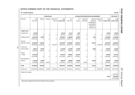49

|                                     | <b>GROSS BLOCK</b><br>ACCUMULATED DEPRECIATION AND IMPAIRMENT |                             |                   |                                               |                               | <b>NET BLOCK</b>             |                          |                             |                                                                                                       |                                       |                              |                              |
|-------------------------------------|---------------------------------------------------------------|-----------------------------|-------------------|-----------------------------------------------|-------------------------------|------------------------------|--------------------------|-----------------------------|-------------------------------------------------------------------------------------------------------|---------------------------------------|------------------------------|------------------------------|
| Particulars                         | As at<br>1 April, 2014                                        | Additions                   | Disposals         | Adjustments/<br>Write off                     | As at<br>31 March, 2015       | As at<br>1 April, 2014       | For<br>the year          | Elimination<br>on Disposals | Transition<br>adjustment<br>recorded against<br>surplus balance<br>in Statement of<br>Profit and Loss | Adjustments/<br>Write off             | As at<br>31 March, 2015      | As at<br>31 March, 2015      |
| <b>Tangible Assets</b>              |                                                               |                             |                   |                                               |                               |                              |                          |                             |                                                                                                       |                                       |                              |                              |
| Leasehold Land                      | 687,100<br>(687, 100)                                         | $(-)$                       | $(-)$             | $\overline{\phantom{a}}$<br>$(-)$             | 687,100<br>(687, 100)         | 171,113<br>(162, 655)        | 8,426<br>(8, 458)        | $(-)$                       | $(-)$                                                                                                 | $(-)$                                 | 179,539<br>(171, 113)        | 507,561<br>(515, 987)        |
| <b>Buildings (Owned)</b>            | 30,102,410<br>(30, 102, 410)                                  | 133,501<br>$(-)$            | $(-)$             | $(-)$                                         | 30,235,911<br>(30, 102, 410)  | 17,485,930<br>(16, 498, 471) | 983,685<br>(987, 459)    | $\left( -\right)$           | 9,310<br>$(-)$                                                                                        | $\qquad \qquad \blacksquare$<br>$(-)$ | 18,478,925<br>(17, 485, 930) | 11,756,986<br>(12,616,480)   |
| Plant and<br>Machinery (Owned)      | 96,284,610<br>(88,035,848)                                    | 5,193,875<br>(12, 499, 635) | $(-)$             | (4,250,873)                                   | 101,478,485<br>(96, 284, 610) | 59,455,996<br>(55,996,797)   | 6,505,522<br>(6,858,949) | $(\hbox{--})$               | 614,075<br>$(-)$                                                                                      | (3,399,750)                           | 66,575,593<br>(59, 455, 996) | 34,902,892<br>(36,828,614)   |
| Furniture and<br>Fixtures (Owned)   | 1,696,217<br>(1,503,465)                                      | 575,591<br>(192, 752)       | $\left( -\right)$ | $\overline{\phantom{a}}$<br>$(-)$             | 2,271,808<br>(1,696,217)      | 1,122,558<br>(909, 083)      | 261,499<br>(213, 475)    | $(-)$                       | 62,489<br>$(-)$                                                                                       | ÷,<br>$(-)$                           | 1,446,546<br>(1, 122, 558)   | 825,262<br>(573, 659)        |
| Vehicles<br>- Owned                 | 13,375,034<br>(13, 375, 034)                                  | $\left( -\right)$           | $(-)$             | ٠<br>$(-)$                                    | 13,375,034<br>(13, 375, 034)  | 4,919,804<br>(3,649,717)     | 2,337,879<br>(1,270,087) | $\left( -\right)$           | $(-)$                                                                                                 | $(-)$                                 | 7,257,683<br>(4,919,804)     | 6,117,351<br>(8,455,230)     |
| <b>Office Equipments</b><br>(Owned) | 2,183,126<br>(2, 125, 650)                                    | 176,453<br>(146, 225)       | (88, 749)         | $\overline{\phantom{m}}$<br>$\left( -\right)$ | 2,359,579<br>(2, 183, 126)    | 1,398,409<br>(1, 292, 318)   | 300,549<br>(157, 597)    | (51, 506)                   | 245,438<br>$\left( -\right)$                                                                          | ٠<br>$\left( -\right)$                | 1,944,396<br>(1, 398, 409)   | 415,183<br>(784, 717)        |
| <b>TOTAL</b>                        | 144,328,497                                                   | 6,079,420                   |                   | $\overline{\phantom{a}}$                      | 150,407,917                   | 84,553,810                   | 10,397,560               |                             | 931,312                                                                                               | ÷                                     | 95,882,682                   | 54,525,235                   |
| Previous year                       | (135, 829, 507)                                               | (12,838,612)                | (88, 749)         | (4,250,873)                                   | (144, 328, 497)               | (78, 509, 041)               | (9,496,026)              | (51, 506)                   | $(-)$                                                                                                 | (3,399,750)                           | (84, 553, 810)               | (59, 774, 687)               |
| Capital work in progress            |                                                               |                             |                   |                                               |                               |                              |                          |                             |                                                                                                       |                                       |                              | (1, 345, 612)                |
|                                     |                                                               |                             |                   |                                               |                               |                              |                          |                             |                                                                                                       |                                       | <b>TOTAL</b>                 | 54,525,235<br>(61, 120, 299) |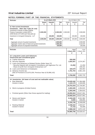| <b>Particulars</b>                                                                                                                                                                                                                                                                                                                                                                                                                                         | As at 31 March, 2015 |                      |                                   |  |                                                                     | As at 31 March, 2014                                                |                                      |
|------------------------------------------------------------------------------------------------------------------------------------------------------------------------------------------------------------------------------------------------------------------------------------------------------------------------------------------------------------------------------------------------------------------------------------------------------------|----------------------|----------------------|-----------------------------------|--|---------------------------------------------------------------------|---------------------------------------------------------------------|--------------------------------------|
|                                                                                                                                                                                                                                                                                                                                                                                                                                                            | Quoted<br>₹          | <b>Unquoted</b><br>₹ | Total<br>₹                        |  | Quoted<br>₹                                                         | Unquoted<br>₹                                                       | Total<br>₹                           |
| 12 Non-current Investments<br>Investments - Other than Trade (At cost)<br>Investment in Bonds of Indian Railway<br>Finance Corporation Limited (IRFC)<br>(2500 Bonds of $\overline{\tau}$ 1000 each fully paid up)                                                                                                                                                                                                                                         | 2,500,000            |                      | 2,500,000                         |  | 2,500,000                                                           |                                                                     | 2,500,000                            |
| Investment in Armayesh Enterprise - LLP                                                                                                                                                                                                                                                                                                                                                                                                                    |                      | 150,000              | 150,000                           |  |                                                                     | 150,000                                                             | 150,000                              |
| <b>Total</b>                                                                                                                                                                                                                                                                                                                                                                                                                                               | 2,500,000            | 150,000              | 2,650,000                         |  | 2,500,000                                                           | 150,000                                                             | 2,650,000                            |
| - Aggregate amount of quoted investments<br>- Aggregate market value of listed and quoted investments<br>- Aggregate amount of unquoted investments                                                                                                                                                                                                                                                                                                        |                      |                      | 2,500,000<br>2,590,250<br>150,000 |  |                                                                     |                                                                     | 2,500,000<br>2,324,975<br>150,000    |
| <b>Particulars</b>                                                                                                                                                                                                                                                                                                                                                                                                                                         |                      |                      |                                   |  |                                                                     | As at<br>31 March, 2015<br>₹                                        | As at<br>31 March, 2014<br>₹         |
| 13 Long-term Loans and Advances<br><b>Unsecured and considered good</b><br>a) Capital Advances<br>b) Security Deposits<br>c) Loans and Advances to Related Parties (Refer Note 37)<br>- Security Deposit with Armayesh Consultancy and Agencies Pvt. Ltd.<br>- Share of profit from Armayesh Enterprises LLP<br>d) Loans and Advances to Employees<br>e) Advance Income-tax<br>(Net of Provision ₹ 10,970,209, Previous Year ₹ 35,898,142)<br><b>Total</b> |                      |                      |                                   |  | 200,000<br>1,603,357<br>21,050<br>160,579<br>1,781,704<br>3,766,690 | 1,574,357<br>21,050<br>159,161<br>266,964<br>2,881,193<br>4,902,725 |                                      |
| 14 Inventories (At lower of cost and net realisable value)<br>a. Raw Materials<br>Goods-in transit                                                                                                                                                                                                                                                                                                                                                         |                      |                      |                                   |  |                                                                     | 23,629,340<br>1,122,170                                             | 21,384,888<br>1,349,699              |
| b. Work-in-progress (Knitted Socks)                                                                                                                                                                                                                                                                                                                                                                                                                        |                      |                      |                                   |  |                                                                     | 24,751,510<br>2,263,345<br>2,263,345                                | 22,734,587<br>1,354,815<br>1,354,815 |
| c. Finished goods (Other than those aquired for trading)                                                                                                                                                                                                                                                                                                                                                                                                   |                      |                      |                                   |  |                                                                     | 19,092,024<br>19,092,024                                            | 20,817,061<br>20,817,061             |
| d. Stores and Spares<br>Goods-in transit                                                                                                                                                                                                                                                                                                                                                                                                                   |                      |                      |                                   |  |                                                                     | 6,184,245<br>8,500                                                  | 6,041,984<br>206,855                 |
| e. Packing Material<br>Goods-in transit                                                                                                                                                                                                                                                                                                                                                                                                                    |                      |                      |                                   |  |                                                                     | 6,192,745<br>2,538,410<br>27,722                                    | 6,248,839<br>1,820,547<br>50,568     |
| <b>Total</b>                                                                                                                                                                                                                                                                                                                                                                                                                                               |                      |                      |                                   |  |                                                                     | 2,566,132<br>54,865,756                                             | 1,871,115<br>53,026,417              |
|                                                                                                                                                                                                                                                                                                                                                                                                                                                            |                      |                      |                                   |  |                                                                     |                                                                     |                                      |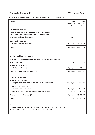# *25<sup>th</sup> Annual Report* **Virat Industries Limited**

| <b>Particulars</b>                                                                                                                         | As at<br>31 March, 2015<br>₹ | As at<br>31 March, 2014<br>₹ |
|--------------------------------------------------------------------------------------------------------------------------------------------|------------------------------|------------------------------|
| <b>15 Trade Receivables</b>                                                                                                                |                              |                              |
| Trade receivables outstanding for a period exceeding<br>six months from the date they were due for payment                                 |                              |                              |
| Unsecured and considered good                                                                                                              | 1,080                        |                              |
| <b>Other Trade Receivable</b>                                                                                                              |                              |                              |
| Unsecured and considered good                                                                                                              | 8,774,964                    | 21,215,078                   |
| <b>Total</b>                                                                                                                               | 8,776,044                    | 21,215,078                   |
|                                                                                                                                            |                              |                              |
| <b>16 Cash and Cash Equivalents</b>                                                                                                        |                              |                              |
| A. Cash and Cash Equivalents (As per AS 3 Cash Flow Statements)                                                                            |                              |                              |
| a) Cash on Hand                                                                                                                            | 2,460                        |                              |
| b) Balances with Banks                                                                                                                     |                              |                              |
| - In Current Accounts                                                                                                                      | 12,594,188                   | 4,285,161                    |
| Total - Cash and cash equivalents (A)                                                                                                      | 12,596,648                   | 4,285,161                    |
| <b>B. Other Bank Balances</b>                                                                                                              |                              |                              |
| In Deposit Accounts<br>i)                                                                                                                  |                              |                              |
| - original maturity more than 3 months (Refer Note below)                                                                                  | 21,698,954                   | 18,135,203                   |
| In Earmarked Accounts<br>ii)                                                                                                               |                              |                              |
| - unpaid dividend accounts                                                                                                                 | 1,160,804                    | 842,062                      |
| - balances held as margin money against guarantees                                                                                         | 295,476                      | 280,910                      |
| <b>Total other Bank Balances (B)</b>                                                                                                       | 23, 155, 234                 | 19,258,175                   |
| <b>Total</b>                                                                                                                               | 35,751,882                   | 23,543,336                   |
|                                                                                                                                            |                              |                              |
| Note:                                                                                                                                      |                              |                              |
| Other Bank Balances include deposits with remaining maturity of more than 12<br>months from the Balance Sheet date ₹ Nil (PY ₹ 5,635,203). |                              |                              |
|                                                                                                                                            |                              |                              |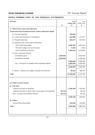| <b>Particulars</b>                                                                         | ₹         | As at<br>31 March, 2015<br>₹ | As at<br>31 March, 2014<br>₹ |
|--------------------------------------------------------------------------------------------|-----------|------------------------------|------------------------------|
| 17 Short-term Loans and Advances<br>Unsecured and Considered Good, unless otherwise stated |           |                              |                              |
| a) Security Deposits                                                                       |           | 105,000                      |                              |
| b) Loans and Advances to Employees                                                         |           | 551,885                      | 212,077                      |
| <b>Prepaid Expenses</b><br>C)                                                              |           | 516,577                      | 402,302                      |
| <b>Balances with Government Authorities</b><br>d)                                          |           |                              |                              |
| - VAT Credit Receivable                                                                    |           | 1,809,750                    | 1,403,351                    |
| - Personal Ledger Account (Excise)                                                         |           | 8,162                        | 8,162                        |
| - Duty Drawback (Customs)                                                                  |           | 6,394,234                    | 4,215,819                    |
| Inter-corporate Deposit<br>e)                                                              |           |                              |                              |
| Considered good                                                                            | 1,000,000 |                              | 1,500,000                    |
| Considered doubtful                                                                        | 1,500,000 |                              | 1,000,000                    |
| Less: Provision for doubtful inter-corporate deposit                                       |           | 2,500,000<br>1,500,000       | 2,500,000<br>1,000,000       |
|                                                                                            |           | 1,000,000                    | 1,500,000                    |
| Others - Advance for supply of goods and services<br>f                                     |           | 84,334                       | 388,073                      |
| <b>Total</b>                                                                               |           | 10,469,942                   | 8,129,784                    |
|                                                                                            |           |                              |                              |
|                                                                                            |           |                              |                              |
| <b>18 Other Current Assets</b>                                                             |           |                              |                              |
| a) Accruals                                                                                |           |                              |                              |
| - Interest Accrued on Deposits                                                             |           | 1,546,106                    | 940,951                      |
| - Interest Accrued on Short Term Loans given to Companies                                  | 68,116    |                              | 68,116                       |
| Less : Provision for doubtful Interest                                                     | 68,116    |                              | 68,116                       |
|                                                                                            |           | 1,546,106                    | 940,951                      |
| b) Others                                                                                  |           |                              |                              |
| - Excise Duty recoverable                                                                  |           | 145,848                      | 145,848                      |
| <b>Total</b>                                                                               |           | 1,691,954                    | 1,086,799                    |
|                                                                                            |           |                              |                              |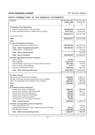# *25<sup>th</sup> Annual Report* **Virat Industries Limited**

| <b>Particulars</b>                                                         | For the year ended<br>31 March, 2015 | For the year ended<br>31 March, 2014 |
|----------------------------------------------------------------------------|--------------------------------------|--------------------------------------|
|                                                                            | ₹                                    | ₹                                    |
| <b>19 Revenue from Operations</b>                                          |                                      |                                      |
| a) Sale of Products (Refer Note (i) below)                                 | 189,306,026                          | 202,683,848                          |
| b) Other Operating Revenues (Refer Note (ii) below)                        | 16,037,551                           | 13,643,361                           |
|                                                                            | 205,343,577                          | 216,327,209                          |
| Less: Excise Duty                                                          |                                      |                                      |
| <b>Total</b>                                                               | 205, 343, 577                        | 216,327,209                          |
| Note:                                                                      |                                      |                                      |
| (i) Sale of Products Comprises                                             |                                      |                                      |
| Manufactured goods - Knitted Socks                                         | 189,306,026                          | 202,542,718                          |
| <b>Total - Sale of manufactured goods</b>                                  | 189,306,026                          | 202,542,718                          |
| Traded goods - Knitted Socks                                               |                                      | 141,130                              |
| <b>Total - Sale of traded goods</b>                                        |                                      | 141,130                              |
| <b>Total - Sale of Products</b>                                            | 189,306,026                          | 202,683,848                          |
| (ii) Other Operating Revenues Comprise:                                    |                                      |                                      |
| Sale of Scrap                                                              | 43,363                               |                                      |
| Duty Drawback                                                              | 12,604,544                           | 11,918,308                           |
| Sale of Market Linked Focus Product (MLFP) Scheme                          | 1,857,462                            | 733,456                              |
| Profit on Sale of Raw Material<br>Samples Development Income               | 3,077<br>1,529,105                   | 4,444                                |
|                                                                            |                                      | 987,153                              |
| <b>Total - Other Operating Revenues</b>                                    | 16,037,551                           | 13,643,361                           |
|                                                                            |                                      |                                      |
| 20 Other Income<br>Interest Income (Refer Note (i) below)                  | 2,832,061                            | 2,352,727                            |
| Net gain on foreign currency transactions and translation                  | 788,528                              | 5,450,815                            |
| Other Non-operating Income (Refer Note (ii) below)                         | 1,683,307                            | 989,448                              |
| <b>Total</b>                                                               | 5,303,896                            | 8,792,990                            |
| Note:                                                                      |                                      |                                      |
| (i) Interest Income Comprises:                                             |                                      |                                      |
| Interest from banks on Deposits                                            | 1,884,831                            | 1,389,056                            |
| Interest from overdue Trade Receivable<br>Interest from loans and advances | 410,020<br>160,283                   | 582,717<br>177,344                   |
| Interest from long term investments                                        | 183,500                              | 203,610                              |
| Interest from Income-tax refund                                            | 181,391                              |                                      |
| Interest from LLP on Capital contribution                                  | 12,036                               |                                      |
| <b>Total - Interest Income</b>                                             | 2,832,061                            | 2,352,727                            |
| (ii) Other non-operating income comprises:                                 |                                      |                                      |
| Share of profit from LLP                                                   |                                      | 159,161                              |
| Liabilities/Provisions no longer required written back (Net)               | 86,722                               | 42,718                               |
| Miscellaneous Income                                                       | 1,596,585                            | 787,569                              |
| <b>Total - Other non-operating Income</b>                                  | 1,683,307                            | 989,448                              |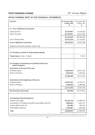| <b>Particulars</b>                                                  | For the year ended<br>31 March, 2015<br>₹ | For the year ended<br>31 March, 2014<br>₹ |
|---------------------------------------------------------------------|-------------------------------------------|-------------------------------------------|
| 21 Cost of Materials Consumed                                       |                                           |                                           |
| <b>Opening Stock</b>                                                | 22,734,587                                | 19,144,203                                |
| Add: Purchases                                                      | 68,738,937                                | 81,817,680                                |
|                                                                     | 91,473,524                                | 100,961,883                               |
| Less: Closing Stock                                                 | 24,751,510                                | 22,734,587                                |
| <b>Cost of Materials Consumed</b>                                   | 66,722,014                                | 78,227,296                                |
| Material Consumed comprises of yarn only.                           |                                           |                                           |
|                                                                     |                                           |                                           |
| 22 Purchase of Stock-in-Trade (traded goods)                        |                                           |                                           |
| <b>Traded Items: Socks - Knitted</b>                                |                                           | 72,675                                    |
|                                                                     |                                           |                                           |
| 23 Changes in Inventories of Finished Goods and<br>work in progress |                                           |                                           |
| Inventories at the end of the year                                  |                                           |                                           |
| <b>Finished Goods</b>                                               | 19,092,023                                | 20,817,061                                |
| Work-in-Progress                                                    | 2,263,345                                 | 1,354,815                                 |
|                                                                     | 21,355,368                                | 22,171,876                                |
| Inventories at the beginning of the year                            |                                           |                                           |
| <b>Finished Goods</b>                                               | 20,817,061                                | 13,710,571                                |
| Work-in-Progress                                                    | 1,354,815                                 | 1,686,658                                 |
|                                                                     | 22, 171, 876                              | 15,397,229                                |
| Net Decrease / (Increase)                                           | 816,508                                   | (6,774,647)                               |
|                                                                     |                                           |                                           |
| 24 Employee Benefit Expenses                                        |                                           |                                           |
| Salaries and wages                                                  | 29, 132, 776                              | 24,369,318                                |
| Contribution to Provident and other funds (Refer Note 35)           | 1,668,602                                 | 1,501,137                                 |
| <b>Gratuity (Refer Note 35)</b>                                     | 516,966                                   | 345,232                                   |
| Staff welfare expenses                                              | 1,324,697                                 | 1,344,835                                 |
| <b>Total</b>                                                        | 32,643,041                                | 27,560,522                                |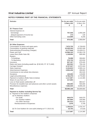| <b>Particulars</b>                                                | For the year ended<br>31 March, 2015<br>₹ | For the year ended<br>31 March, 2014<br>₹ |
|-------------------------------------------------------------------|-------------------------------------------|-------------------------------------------|
| 25 Finance Cost                                                   |                                           |                                           |
| Interest Expense on:                                              |                                           |                                           |
| - borrowings                                                      | 757,540                                   | 1,059,328                                 |
| - delayed payment of Income-tax                                   | 173                                       | 126                                       |
| Other borrowing costs                                             | 112,669                                   | 9,240                                     |
| <b>Total</b>                                                      | 870,382                                   | 1,068,694                                 |
| <b>26 Other Expenses</b>                                          |                                           |                                           |
| Consumption of stores and spare parts                             | 7,973,725                                 | 6,739,833                                 |
| Consumption of packing materials                                  | 10,435,344                                | 10,002,446                                |
| Subcontracting (Processing Charges)                               | 9,177,648                                 | 13,426,071                                |
| Power and Fuel                                                    | 14,566,103                                | 12,991,278                                |
| Lease Rent (Refer Note 38)                                        | 1,138,694                                 | 809,400                                   |
| Repairs:                                                          |                                           |                                           |
| - To Buildings                                                    | 79,098                                    | 359,802                                   |
| - To Machinery                                                    | 370,735                                   | 423,034                                   |
| Insurance                                                         | 827,167                                   | 879,445                                   |
| Rates and taxes (including wealth tax ₹ 60,520, PY ₹ 71,640)      | 842,502                                   | 756,134                                   |
| Carriage Outward                                                  | 4,707,537                                 | 4,973,343                                 |
| Sales expenses                                                    | 3,154,810                                 | 2,595,114                                 |
| <b>Advertisement Expenses</b>                                     | 2,904,436                                 | 268,663                                   |
| Commission to non-whole time directors                            |                                           | 491,515                                   |
| Donations                                                         | 120,000                                   | 119,600                                   |
| Legal and professional                                            | 3,784,478                                 | 2,775,903                                 |
| Payment to Auditors (Refer Note (i) below)                        | 1,117,667                                 | 1,114,365                                 |
| Share of Loss from LLP                                            | 217,694                                   |                                           |
| Loss on fixed assets sold/written off                             |                                           | 884,517                                   |
| Provision for doubtful loan and advances and other current assets | 500,000                                   | 500,000                                   |
| Miscellaneous expenses                                            | 7,062,530                                 | 6,699,220                                 |
| <b>Total</b>                                                      | 68,980,168                                | 66,809,683                                |
| <b>Payment to Auditor including Service Tax</b>                   |                                           |                                           |
| (i) Payment to the Auditors comprises                             |                                           |                                           |
| (a) To Statutory Auditors                                         |                                           |                                           |
| - For Audit                                                       | 646,070                                   | 646,070                                   |
| - For Taxation matters                                            | 267,854                                   | 235,956                                   |
| - For Other Services                                              | 191,012                                   | 191,012                                   |
| Reimbursement of Expenses                                         | 1,978                                     | 3,709                                     |
|                                                                   | 1,106,914                                 | 1,076,747                                 |
| (b) To Cost Auditors for cost audit (relating to F.Y. 2013-14)    | 10,753                                    | 37,618                                    |
| <b>Total</b>                                                      | 1,117,667                                 | 1,114,365                                 |
|                                                                   |                                           |                                           |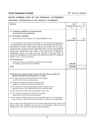# **ADDITIONAL INFORMATION TO THE FINANCIAL STATEMENTS**

| <b>Particulars</b>                                                                                                                                                                                                                                                                                                                                                                                                                                                                                                                                                                                                                                     | As at<br>31 March, 2015<br>₹ | As at<br>31 March, 2014<br>₹ |
|--------------------------------------------------------------------------------------------------------------------------------------------------------------------------------------------------------------------------------------------------------------------------------------------------------------------------------------------------------------------------------------------------------------------------------------------------------------------------------------------------------------------------------------------------------------------------------------------------------------------------------------------------------|------------------------------|------------------------------|
| 27 Contingent Liabilities and Commitments<br>(to the extent not provided for)                                                                                                                                                                                                                                                                                                                                                                                                                                                                                                                                                                          |                              |                              |
| (i) Contingent Liabilities                                                                                                                                                                                                                                                                                                                                                                                                                                                                                                                                                                                                                             |                              |                              |
| Claims against the Company not acknowledged as debt                                                                                                                                                                                                                                                                                                                                                                                                                                                                                                                                                                                                    | <b>Not</b><br>Ascertained    | Not<br><b>LAscertained</b>   |
| - For Assessment Year 2005-06 and 2006-07, the Income Tax Department<br>has adjusted the carried forward of losses and unabsorbed depreciation in<br>computing the benefit under section 10B of the Income Tax Act, 1961.<br>During the year Company received favourable order in Income-tax Appellate<br>Tribunal for the Assessment Year 2006-07 and the Income-tax Department,<br>Navsari has referred the said matter to the High Court of Gujarat at<br>Ahmedabad. Hence, the matter has been referred to the High Court of<br>Gujarat at Ahmedabad for Assessment Year 2005-06 and 2006-07. Additional<br>liability, if any, is not ascertained. |                              |                              |
| (ii) Commitments                                                                                                                                                                                                                                                                                                                                                                                                                                                                                                                                                                                                                                       |                              |                              |
| Estimated amount of contracts remaining to be executed<br>on capital account and not provided for                                                                                                                                                                                                                                                                                                                                                                                                                                                                                                                                                      | 200,000                      |                              |
| <b>Total</b>                                                                                                                                                                                                                                                                                                                                                                                                                                                                                                                                                                                                                                           | 200,000                      |                              |
|                                                                                                                                                                                                                                                                                                                                                                                                                                                                                                                                                                                                                                                        |                              |                              |
| 28 Disclosures required under Section 22 of the Micro, Small and<br><b>Medium Enterprises Development Act, 2006</b>                                                                                                                                                                                                                                                                                                                                                                                                                                                                                                                                    |                              |                              |
| (i) Principal amount remaining unpaid to any supplier<br>as at the end of the accounting year                                                                                                                                                                                                                                                                                                                                                                                                                                                                                                                                                          |                              |                              |
| (ii) Interest due thereon remaining unpaid to any<br>supplier as at the end of the accounting year                                                                                                                                                                                                                                                                                                                                                                                                                                                                                                                                                     |                              |                              |
| (iii) The amount of interest paid along with the amounts of the<br>payment made to the supplier beyond the appointed day                                                                                                                                                                                                                                                                                                                                                                                                                                                                                                                               |                              |                              |
| (iv) The amount of interest due and payable for the year                                                                                                                                                                                                                                                                                                                                                                                                                                                                                                                                                                                               |                              |                              |
| (v) The amount of interest accrued and remaining<br>unpaid at the end of the accounting year                                                                                                                                                                                                                                                                                                                                                                                                                                                                                                                                                           |                              |                              |
| (vi) The amount of further interest due and payable even in the succeeding<br>year, until such date when the interest dues as above are actually paid                                                                                                                                                                                                                                                                                                                                                                                                                                                                                                  |                              |                              |
| Dues to Micro and Small Enterprises have been determined to the extent such<br>parties have been identified on the basis of information collected by the<br>Management. This has been relied upon by the auditors.                                                                                                                                                                                                                                                                                                                                                                                                                                     |                              |                              |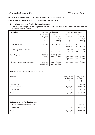#### **ADDITIONAL INFORMATION TO THE FINANCIAL STATEMENTS**

#### **29 Details on unhedged Foreign Currency Exposures**

The year-end foreign currency exposures that have not been hedged by a derivative instrument or otherwise are given below:

| <b>Particulars</b>              | As at 31 March, 2015      |                                                  |                          | As at 31 March, 2014                      |
|---------------------------------|---------------------------|--------------------------------------------------|--------------------------|-------------------------------------------|
|                                 | Receivable/<br>(Payable)  | Receivable/<br>(Payable)<br>in Foreign           | Receivable/<br>(Payable) | Receivable/<br>(Payable)<br>in Foreign    |
|                                 | ₹                         | Currency                                         | ₹                        | Currency                                  |
| Trade Receivables               | 4,625,455                 | <b>GBP</b><br>50,452                             | 17,419,922<br>3,045,051  | GBP<br>171,771<br><b>USD</b><br>51,040    |
| Advance given to Suppliers      | 33,148                    | <b>USD</b><br>527                                | 251,952<br>10,441        | <b>EURO</b><br>3,085<br><b>USD</b><br>175 |
| <b>Trade Payables</b>           | (263, 649)<br>(9,798)     | <b>EURO</b><br>(3,865)<br><b>GBP</b><br>(105)    | (230, 240)<br>(20, 355)  | GBP<br>(2, 298)<br>USD<br>(338)           |
| Advance received from customers | (554, 790)<br>(2,510,428) | <b>USD</b><br>(8,930)<br><b>GBP</b><br>(27, 383) | (178,980)                | <b>USD</b><br>(3,000)                     |

## **30 Value of Imports calculated on CIF basis**

| <b>Particulars</b>                        | For the year ended<br>31 March, 2015<br>₹ | For the year ended<br>31 March, 2014<br>₹ |
|-------------------------------------------|-------------------------------------------|-------------------------------------------|
| <b>Raw Materials</b>                      |                                           | 702,390                                   |
| <b>Stores and Spares</b>                  | 3,797,014                                 | 4,303,949                                 |
| <b>Capital Goods</b>                      | 317,871                                   | 4,440,830                                 |
| <b>Total</b>                              | 4,114,885                                 | 9,447,169                                 |
|                                           |                                           |                                           |
| 31 Expenditure in Foreign Currency        |                                           |                                           |
| <b>Professional and Consultation Fees</b> |                                           | 125,334                                   |
| <b>Other Matters</b>                      | 1,108,387                                 | 1,436,325                                 |
| <b>Total</b>                              | 1,108,387                                 | 1,561,659                                 |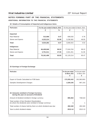# **NOTES FORMING PART OF THE FINANCIAL STATEMENTS ADDITIONAL INFORMATION TO THE FINANCIAL STATEMENTS**

#### **32 Details of Consumption of Imported and Indigenous items**

| <b>Particulars</b>       | For the year ended 31 March, 2015 |       | For the year ended 31 March, 2014 |       |
|--------------------------|-----------------------------------|-------|-----------------------------------|-------|
|                          | ₹                                 | $\%$  | ₹                                 | $\%$  |
| Imported                 |                                   |       |                                   |       |
| <b>Raw Material</b>      | 312,068                           | 0.47  | 608,533                           | 0.78  |
| <b>Stores and Spares</b> | 4,222,214                         | 52.95 | 3,238,382                         | 48.05 |
| <b>Total</b>             | 4,534,282                         | 6.07  | 3,846,915                         | 4.53  |
| Indigenous               |                                   |       |                                   |       |
| <b>Raw Material</b>      | 66,409,946                        | 99.53 | 77,618,763                        | 99.22 |
| <b>Stores and Spares</b> | 3,751,511                         | 47.05 | 3,501,451                         | 51.95 |
| <b>Total</b>             | 70,161,456                        | 93.93 | 81,120,214                        | 95.47 |
|                          |                                   |       |                                   |       |

## **33 Earnings in Foreign Exchange**

| <b>Particulars</b>                                                                                     | For the year ended<br>31 March, 2015<br>₹ | For the year ended<br>31 March, 2014<br>₹ |
|--------------------------------------------------------------------------------------------------------|-------------------------------------------|-------------------------------------------|
| Export of Goods Calculated on FOB basis                                                                | 172,202,410                               | 191,963,803                               |
| Samples Development Charges                                                                            | 1,529,105                                 | 987,153                                   |
|                                                                                                        |                                           |                                           |
| 34 Amounts remitted in Foreign Currency<br>during the year on account of Dividend                      |                                           |                                           |
| Amount of dividend remitted in foreign currency                                                        | 890,364                                   | 738,510                                   |
| Total number of Non Resident Shareholders<br>(to whom the dividends were remitted in foreign currency) |                                           |                                           |
| Total number of shares held by them on which dividend was due                                          | 492,340                                   | 492,340                                   |
| Year to which dividend relates                                                                         | 2013-14                                   | 2012-13                                   |
|                                                                                                        |                                           |                                           |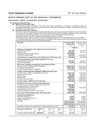#### **DISCLOSURE UNDER ACCOUNTING STANDARDS**

#### **35 Employee Benefit Plans**

#### **(a) Defined Contribution Plan**

The Company makes Provident fund and other funds contributions to defined contribution plans for qualifying employees. The Company recognised ₹ 1,668,602 (Year ended 31 March, 2014 ₹ 1,501,137) for Provident Fund contributions.

#### **(b) Defined Benefit Plan: Gratuity**

Provision is made for gratuity and compensated absences based upon actuarial valuation done at the end of every financial year using 'Projected Unit Credit' method and it covers all regular employees. Gains and losses on changes in actuarial assumptions are accounted for in the Statement of profit and loss.

During the previous year the Company funded gratuity with LIC of India.

The disclosures as required under revised Accounting Standard 15 on "Employee Benefits" are as follows:

The following table sets out the funded status (unfunded in the previous year) of the defined benefit schemes and the amount recognised in the financial statements:  $\overline{\phantom{0}}$  $\overline{\phantom{a}}$ -

| <b>Particulars</b>                                                                                     |            |         |                                              | For the year ended<br>31 March, 2015 | For the year ended<br>31 March, 2014 |
|--------------------------------------------------------------------------------------------------------|------------|---------|----------------------------------------------|--------------------------------------|--------------------------------------|
|                                                                                                        |            |         |                                              | ₹                                    | ₹<br><b>Gratuity</b>                 |
| Expense recognised in the statement of profit and loss                                                 |            |         |                                              |                                      |                                      |
| <b>Current Service Cost</b><br><b>Interest Cost</b>                                                    |            |         |                                              | 247,365<br>428,649                   | 252,752<br>361,312                   |
| Expected returns on plan assets                                                                        |            |         |                                              | (391, 500)                           |                                      |
| Actuarial Losses/(Gain)<br>Total Expense recognized in the Statement of Profit and Loss                |            |         |                                              | 232,452<br>516,966                   | (268, 830)<br>345,234                |
| Actual contribution and benefit payments for year                                                      |            |         |                                              |                                      |                                      |
| Actual benefit payments                                                                                |            |         |                                              | 200,213                              | 120,597                              |
| Actual contributions                                                                                   |            |         |                                              | 50,000                               | 4,500,000                            |
| Net asset / (liability) recognised in the Balance Sheet<br>Present value of defined benefit obligation |            |         |                                              | (5,268,203)                          | (4,604,179)                          |
| Fair value of plan assets                                                                              |            |         |                                              | 4,697,058                            | 4,500,000                            |
| Funded status [Surplus / (Deficit)]                                                                    |            |         |                                              | (571, 145)                           | (104, 179)                           |
| Change in defined benefit obligations (DBO) during the year                                            |            |         |                                              |                                      |                                      |
| Present value of DBO at beginning of the year<br><b>Current Service Cost</b>                           |            |         |                                              | 4,604,179<br>247,365                 | 4,379,542<br>252,752                 |
| Interest Cost                                                                                          |            |         |                                              | 428,649                              | 361,312                              |
| <b>Benefit Paid</b><br>Actuarial Losses/(Gain)                                                         |            |         | (200, 213)<br>188,223                        | (120, 597)<br>(268, 830)             |                                      |
| Present value of DBO at end of the year                                                                |            |         |                                              | 5,268,203                            | 4,604,179                            |
| Change in fair value of assets during the year                                                         |            |         |                                              |                                      |                                      |
| Fair value of Plan assets at beginning of the year                                                     |            |         |                                              | 4,500,000                            |                                      |
| Expected Return on Plan Assets<br>Contributions during the year                                        |            |         |                                              | 391,500<br>50,000                    | 4,500,000                            |
| Benefit Paid from the Fund                                                                             |            |         |                                              | (200, 213)                           |                                      |
| Actuarial Gains/(Losses) on Plan Assets<br>Fair value of Plan assets at the end of the year            |            |         |                                              | (44,229)<br>4,697,058                | 4,500,000                            |
| <b>Actuarial Assumptions:</b>                                                                          |            |         |                                              |                                      |                                      |
| Discount Rate (p.a.)                                                                                   |            |         |                                              | 8.03%                                | 9.31%                                |
| Salary Escalation Rate (p.a.)                                                                          |            |         |                                              | 5.00%                                | 5.00%                                |
| Attrition Rate (p.a.)<br>Mortality                                                                     |            |         | $2.00\%$<br><b>Indian Assured</b>            | 2.00%<br>Indian Assured              |                                      |
|                                                                                                        |            |         | <b>Lives Mortality</b><br>(2006-08) Ultimate | <b>Lives Mortality</b>               |                                      |
|                                                                                                        |            |         |                                              |                                      | (2006-08) Ultimate                   |
| Estimate of amount of contribution in the immediate next year                                          |            |         |                                              | 953,935                              | 351,544                              |
| <b>Experience Adjustment:</b>                                                                          | 2014-15    | 2013-14 | 2012-13                                      | 2011-12                              | 2010-11                              |
|                                                                                                        | ₹          | ₹       | ₹                                            | ₹                                    | ₹                                    |
| On Plan Liability (Gain)/Loss                                                                          | (294, 649) | 271,583 | 83,408                                       | 582,508                              | 23,143                               |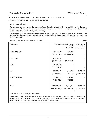#### **DISCLOSURE UNDER ACCOUNTING STANDARDS**

#### **36 Segment information**

The principal business of the Company is of manufacturing of socks. All other activities of the Company revolve around its main business. Hence, there is only one primary reportable business segment as defined by Accounting Standard 17 - "Segment Reporting".

The Secondary Segments are identified based on the geographical location of customers. The secondary geographical segments of the Company consist of regions of United Kingdom, Switzerland, UAE, India and Rest of the World.

| <b>Particulars</b> | <b>Revenues</b> | <b>Segment Assets</b><br><b>Trade</b><br><b>Receivable</b> | <b>Cost incurred</b><br>on acquisition<br>of Fixed Assets |
|--------------------|-----------------|------------------------------------------------------------|-----------------------------------------------------------|
| United Kingdom     | 76,677,240      | 3,670,898                                                  |                                                           |
|                    | (84, 732, 521)  | (17, 374, 971)                                             |                                                           |
| Switzerland        | 58,014,174      |                                                            |                                                           |
|                    | (85, 762, 750)  | (3,045,051)                                                |                                                           |
| <b>UAE</b>         | 31,786,244      |                                                            |                                                           |
|                    | (18, 571, 139)  |                                                            |                                                           |
| India              | 16,328,233      | 4,150,588                                                  | 6,079,420                                                 |
|                    | (10, 330, 685)  | (750, 104)                                                 | (12,838,612)                                              |
| Rest of the World  | 6,500,135       | 954,558                                                    |                                                           |
|                    | (3, 286, 752)   | (44, 952)                                                  |                                                           |
|                    |                 |                                                            |                                                           |
| <b>Total</b>       | 189,306,026     | 8,776,044                                                  | 6,079,420                                                 |
|                    | (202, 683, 847) | (21, 215, 078)                                             | (12,838,612)                                              |
|                    |                 |                                                            |                                                           |

Secondary Segments information is as follows -  $\left(\ln \overline{z}\right)$  (In  $\overline{z}$ )

Previous year figures are given in brackets.

Segregation of assets (except trade receivable) into secondary segments has not been done as all the assets are located and used in India and the Company is of the view that it is not practical to reasonably allocate such assets and an ad-hoc allocation will not be meaningful.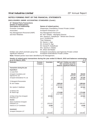#### **DISCLOSURES UNDER ACCOUNTING STANDARDS (Contd.)**

| <b>37 Related Party Transactions</b><br>Details of related parties:<br><b>Description of relationship</b> | Names of related parties:                                                                  |
|-----------------------------------------------------------------------------------------------------------|--------------------------------------------------------------------------------------------|
| <b>Promoter Company</b>                                                                                   | Shapoorjee Chandabhoy Finvest Private Limited                                              |
| Associates                                                                                                | Armayesh Enterprise LLP                                                                    |
| Key Management Personnel (KMP)                                                                            | Key Management Personnel:                                                                  |
| and their Relatives                                                                                       | Mr. Adi F. Madan - Managing Director                                                       |
|                                                                                                           | Mrs. Ayesha K. DadyBurjor - Whole-time Director                                            |
|                                                                                                           | (w.e.f. 01/09/2014)                                                                        |
|                                                                                                           | Their Relatives:                                                                           |
|                                                                                                           | Mr. Naozer J. Aga                                                                          |
|                                                                                                           | Mr. Armand N. Aga                                                                          |
|                                                                                                           | Mr. Kaizad R. DadyBurjor                                                                   |
|                                                                                                           | Mrs. Ayesha A. Madan                                                                       |
|                                                                                                           | Mr. Jehan Adi Madan                                                                        |
| Entities over which promoter group has<br>significant influence                                           | Armayesh Consultancy and Agencies Private Limited<br>Armayesh Embroideries Private Limited |

**Note:** Related parties have been identified by the Management.

| Details of related party transactions during the year ended 31 March, 2015 and balances outstanding |  |        |
|-----------------------------------------------------------------------------------------------------|--|--------|
| as at 31 March, 2015:                                                                               |  | (In ₹) |

| <b>Particulars</b>              | <b>Promoter</b><br>Company | <b>Associates</b> | <b>KMP</b> and<br>their<br><b>Relatives</b> | <b>Entities over which</b><br>promoter group has<br>significant influence | <b>Total</b>     |
|---------------------------------|----------------------------|-------------------|---------------------------------------------|---------------------------------------------------------------------------|------------------|
| Transactions during the year    |                            |                   |                                             |                                                                           |                  |
| <b>Expenditure:</b>             |                            |                   |                                             |                                                                           |                  |
| 1) Lease Rent:                  |                            |                   |                                             |                                                                           |                  |
| Armayesh Consultancy and        |                            |                   |                                             | 558,000                                                                   | 558,000          |
| Agencies Pvt. Ltd.              | $(-)$                      | $(-)$             | $(-)$                                       | (508, 200)                                                                | (508, 200)       |
| Armayesh Embroideries Pvt. Ltd. |                            |                   |                                             | 331,200                                                                   | 331.200          |
|                                 | $(-)$                      | $(-)$             | $(-)$                                       | (301, 200)                                                                | (301, 200)       |
| 2) Managerial Remuneration      |                            |                   |                                             |                                                                           |                  |
| Mr. Adi F. Madan                | -                          |                   | 3,083,404                                   |                                                                           | 3,083,404        |
|                                 | $(-)$                      | $(-)$             | (2,913,404)                                 | $(-)$                                                                     | (2,913,404)      |
| Mrs. Ayesha K. DadyBurjor       | $(-)$                      | $(-)$             | 917,002<br>$(-)$                            | $(-)$                                                                     | 917,002<br>$(-)$ |
| 3) Advisory Fee                 |                            |                   |                                             |                                                                           |                  |
| Mr. Naozer Aga                  | $\qquad \qquad$            |                   | 1,711,646                                   | -                                                                         | 1,711,646        |
|                                 | $(-)$                      | $(-)$             | (1,617,439)                                 | $(-)$                                                                     | (1,617,439)      |
| 4) Share of loss from Armayesh  |                            | 217,694           |                                             |                                                                           | 217,694          |
| Enterprise LLP                  | $(-)$                      | $(-)$             | $(-)$                                       | $(-)$                                                                     | $(-)$            |
| Income:                         |                            |                   |                                             |                                                                           |                  |
| Share of profit from Armayesh   | -                          |                   |                                             |                                                                           |                  |
| Enterprise LLP                  | $(-)$                      | (159, 161)        | $(-)$                                       | $(-)$                                                                     | (159, 161)       |
| Interest on LLP Contribution    |                            | 12,036            |                                             |                                                                           | 12,036           |
|                                 | $(-)$                      | $(-)$             | $(-)$                                       | $(-)$                                                                     | $(-)$            |
| Investment:                     |                            |                   |                                             |                                                                           |                  |
| Armayesh Enterprise LLP         |                            |                   |                                             |                                                                           |                  |
|                                 | $(-)$                      | (150,000)         | $(-)$                                       | $(-)$                                                                     | (150,000)        |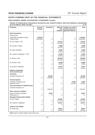#### **DISCLOSURES UNDER ACCOUNTING STANDARDS (Contd.)**

#### **Details of related party transactions during the year ended 31 March, 2015 and balances outstanding as at 31 March, 2015: (Contd.)** (In )

| <b>Particulars</b>                                      | <b>Promoter</b><br>Company        | <b>Associates</b>    | <b>KMP</b> and<br>their<br><b>Relatives</b> | <b>Entities over which</b><br>promoter group has<br>significant influence | <b>Total</b>             |
|---------------------------------------------------------|-----------------------------------|----------------------|---------------------------------------------|---------------------------------------------------------------------------|--------------------------|
| <b>Other Transactions:</b>                              |                                   |                      |                                             |                                                                           |                          |
| Dividend paid:                                          |                                   |                      |                                             |                                                                           |                          |
| Shapoorjee Chandabhoy Finvest<br><b>Private Limited</b> | 3,156,831<br>(2,630,693)          | $(-)$                | $(-)$                                       | $(-)$                                                                     | 3,156,831<br>(2,630,693) |
| Mr. Adi F. Madan - MD                                   | $(-)$                             | $(-)$                | 213,131<br>(177, 609)                       | $(-)$                                                                     | 213,131<br>(177, 609)    |
| Mrs. Ayesha A. Madan                                    | $(-)$                             | $(-)$                | 14,488<br>(12,074)                          | $(-)$                                                                     | 14,488<br>(12,074)       |
| Mr. Jehan Adi Madan                                     | $(-)$                             | $(-)$                | 13,950<br>(11, 625)                         | $(-)$                                                                     | 13,950<br>(11, 625)      |
| Mrs. Ayesha K. DadyBurjor - WTD                         | $(-)$                             | $(-)$                | 31,565<br>(26, 304)                         | $(-)$                                                                     | 31,565<br>(26, 304)      |
| Mr. Naozer J. Aga                                       | $(-)$                             | $(-)$                | 855,499<br>(712, 916)                       | $(-)$                                                                     | 855,499<br>(712, 916)    |
| Mr. Armand N. Aga                                       | $(-)$                             | $(-)$                | 62,980<br>52,484                            | $(-)$                                                                     | 62,980<br>52,484         |
| Mr. Kaizad R. DadyBurjor                                | $(-)$                             | $(-)$                | 87,874<br>(73, 229)                         | $(-)$                                                                     | 87,874<br>(73, 229)      |
| <b>Balances outstanding</b><br>at the end of the year   |                                   |                      |                                             |                                                                           |                          |
| <b>Investment</b>                                       |                                   |                      |                                             |                                                                           |                          |
| Armayesh Enterprise LLP                                 | -<br>$(-)$                        | 150,000<br>(150,000) | $(-)$                                       | $(-)$                                                                     | 150,000<br>(150,000)     |
| <b>Security Deposits</b>                                |                                   |                      |                                             |                                                                           |                          |
| Armayesh Consultancy and<br>Agencies Pvt Ltd.           | $(-)$                             | $(-)$                | $(-)$                                       | 21,050<br>(21,050)                                                        | 21,050<br>(21,050)       |
| <b>Loans and Advances to Related Parties:</b>           |                                   |                      |                                             |                                                                           |                          |
| Armayesh Enterprise LLP                                 | $\overline{a}$<br>$(-)$           | (159, 161)           | $(-)$                                       | $(-)$                                                                     | (159, 161)               |
| Other Long-term Liabilities:                            |                                   |                      |                                             |                                                                           |                          |
| Share of Loss from Armayesh<br><b>Enterprises LLP</b>   | $(-)$                             | 46,497<br>$(-)$      | $(-)$                                       | $(-)$                                                                     | 46,497<br>$(-)$          |
| <b>Managerial Remuneration Payable</b>                  |                                   |                      |                                             |                                                                           |                          |
| Mr. Adi F. Madan                                        | <sup>-</sup><br>$\left( -\right)$ | $(-)$                | 163,267<br>(171, 187)                       | -<br>$(-)$                                                                | 163,267<br>(171, 187)    |
| Mrs. Ayesha K. DadyBurjor                               | $\overline{a}$<br>$(-)$           | $(-)$                | 125,147<br>$(-)$                            | $(-)$                                                                     | 125,147<br>$(-)$         |
| <b>Advisory Fees Payable</b>                            |                                   |                      |                                             |                                                                           |                          |
| Mr. Naozer Aga                                          | $(-)$                             | $(-)$                | 88,673<br>(60, 580)                         | $(-)$                                                                     | 88,673<br>(60, 580)      |

**Note:** Figures in bracket relates to the previous year.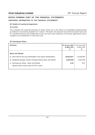**ADDITIONAL INFORMATION TO THE FINANCIAL STATEMENTS**

#### **38 Details of Leasing Arrangements**

#### **As Lessee**

The Company has acquired premises on lease, which are in the nature of cancellable operating lease as defined in Accounting Standard 19 "Leases". The lease rent paid and accounted during the year was ₹ 1,138,694 (Previous year ₹ 809,400) as per the terms and conditions of the lease agreements and is charged to the Statement of Profit and Loss.

#### **39 Earning per Share**

| <b>Particulars</b>                                                                                         | For the year ended<br>31 March, 2015<br>₹ | For the year ended<br>31 March, 2014 |
|------------------------------------------------------------------------------------------------------------|-------------------------------------------|--------------------------------------|
| <b>Basic and Diluted</b>                                                                                   |                                           |                                      |
| a) Net Profit for the year attributable to the Equity Shareholders                                         | 20,813,627                                | 32,839,964                           |
| Weighted average number of Equity Shares basic and diluted<br>b)                                           | 4,923,340                                 | 4,923,340                            |
| Earnings per Share - Basic and Diluted<br>C)<br>(Equity Share of face value of $\overline{\xi}$ 10/- each) | 4.23                                      | 6.67                                 |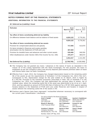#### **ADDITIONAL INFORMATION TO THE FINANCIAL STATEMENTS**

#### **40 Deferred tax (Liability) / Asset**

| <b>Particulars</b>                                                                                      | As at<br>March 31, 2015 | As at<br>March 31, 2014 |
|---------------------------------------------------------------------------------------------------------|-------------------------|-------------------------|
| Tax effect of items constituting deferred tax liability                                                 |                         |                         |
| On difference between book balance and tax balance of fixed assets                                      | 4,624,122               | 5,778,261               |
|                                                                                                         | 4,624,122               | 5,778,261               |
| Tax effect of items constituting deferred tax assets                                                    |                         |                         |
| Provision for compensated absences and gratuity                                                         | 717,555                 | 413,870                 |
| On items included in Reserves and surplus pending<br>amortisation into the Statement of Profit and Loss | 307,920                 |                         |
| Provision for doubtful loans and advances and other current assets                                      | 518,466                 | 346,550                 |
| Other disallowances under Section 43B of the Income Tax Act, 1961                                       | 370,477                 | 380,873                 |
|                                                                                                         | 1,914,417               | 1,141,293               |
| <b>Net Deferred Tax (Liability)</b>                                                                     | (2,709,705)             | (4,636,968)             |

- **41** The Company has not granted any loans / advances in the nature of loans as stipulated in the Clause 32 of the Listing Agreement with the Stock Exchanges. For this purpose, the loans to employees as per the Company's policy and security deposits paid towards premises taken on leave and license basis have not been considered.
- **42** Effective from 1 April, 2014, the Company has charged depreciation based on the remaining useful life of the assets as per the requirements of Schedule II of the Companies Act, 2013 ("the Act"). Consequent to this, depreciation charge for the year ended on 31 March, 2015 is higher by  $\bar{\tau}$  1,763,765. Pursuant to the transition provisions prescribed in Note 7(b) of Schedule II to the Companies Act, 2013, the Company has fully depreciated the carrying value of assets, net of residual value, where the remaining useful life of the asset was determined to be nil as on 1 April, 2014, and has adjusted an amount of  $\overline{\xi}$  623,393 (Net of Deferred Tax of  $\overline{\xi}$  307,920) against opening Surplus balance in the Statement of Profit and Loss under Reserves and Surplus in respect of assets wherein the remaining useful life of the assets is Nil.
- **43** Previous year's figures have been regrouped / reclassified wherever necessary to correspond with the current year's classification / disclosure.

| For and on behalf of the Board of Directors                        |                                                |                                                    |
|--------------------------------------------------------------------|------------------------------------------------|----------------------------------------------------|
| Arun S. Sanghi<br>Chairman                                         | Adi F. Madan<br><b>Managing Director</b>       | Ayesha K. DadyBurjor<br><b>Whole-time Director</b> |
| DIN: 00022168                                                      | DIN: 00023629                                  | DIN: 02949248                                      |
| <b>Bhavik R. Maisuria</b><br>Chief Financial Officer               | Ajit P. Walwaikar<br>Director<br>DIN: 00022123 | Armand N. Aga<br>Director<br>DIN: 00022401         |
| Asinkhan S. Baholu<br>Company Secretary<br>Membership No.: FCS 703 | Harish H. Shah<br>Director<br>DIN: 03032200    | Vinay V. Sanghi<br>Director<br>DIN: 00309085       |
| Mumbai, Dated: 29th May, 2015.                                     |                                                |                                                    |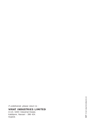If undelivered, please return to :

# **VIRAT INDUSTRIES LIMITED**

A-1/2, GIDC Industrial Estate, Kabilpore, Navsari - 396 424. Gujarat.